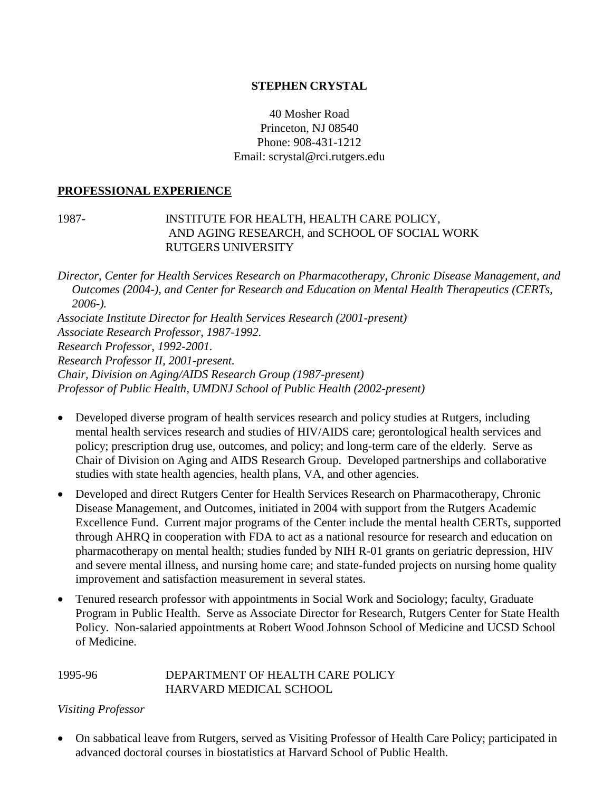### **STEPHEN CRYSTAL**

## 40 Mosher Road Princeton, NJ 08540 Phone: 908-431-1212 Email: scrystal@rci.rutgers.edu

#### **PROFESSIONAL EXPERIENCE**

#### 1987- INSTITUTE FOR HEALTH, HEALTH CARE POLICY, AND AGING RESEARCH, and SCHOOL OF SOCIAL WORK RUTGERS UNIVERSITY

*Director, Center for Health Services Research on Pharmacotherapy, Chronic Disease Management, and Outcomes (2004-), and Center for Research and Education on Mental Health Therapeutics (CERTs, 2006-). Associate Institute Director for Health Services Research (2001-present) Associate Research Professor, 1987-1992. Research Professor, 1992-2001. Research Professor II, 2001-present. Chair, Division on Aging/AIDS Research Group (1987-present) Professor of Public Health, UMDNJ School of Public Health (2002-present)*

- Developed diverse program of health services research and policy studies at Rutgers, including mental health services research and studies of HIV/AIDS care; gerontological health services and policy; prescription drug use, outcomes, and policy; and long-term care of the elderly. Serve as Chair of Division on Aging and AIDS Research Group. Developed partnerships and collaborative studies with state health agencies, health plans, VA, and other agencies.
- Developed and direct Rutgers Center for Health Services Research on Pharmacotherapy, Chronic Disease Management, and Outcomes, initiated in 2004 with support from the Rutgers Academic Excellence Fund. Current major programs of the Center include the mental health CERTs, supported through AHRQ in cooperation with FDA to act as a national resource for research and education on pharmacotherapy on mental health; studies funded by NIH R-01 grants on geriatric depression, HIV and severe mental illness, and nursing home care; and state-funded projects on nursing home quality improvement and satisfaction measurement in several states.
- Tenured research professor with appointments in Social Work and Sociology; faculty, Graduate Program in Public Health. Serve as Associate Director for Research, Rutgers Center for State Health Policy. Non-salaried appointments at Robert Wood Johnson School of Medicine and UCSD School of Medicine.

#### 1995-96 DEPARTMENT OF HEALTH CARE POLICY HARVARD MEDICAL SCHOOL

## *Visiting Professor*

 On sabbatical leave from Rutgers, served as Visiting Professor of Health Care Policy; participated in advanced doctoral courses in biostatistics at Harvard School of Public Health.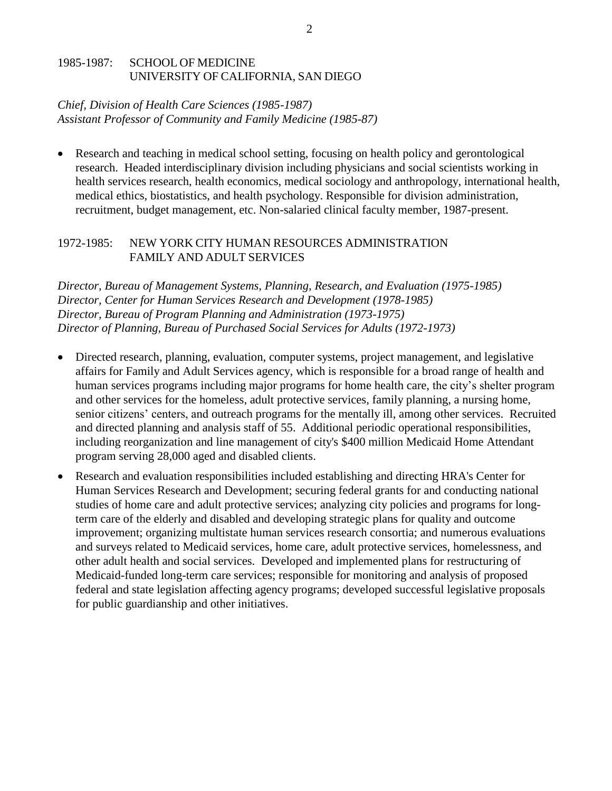#### 1985-1987: SCHOOL OF MEDICINE UNIVERSITY OF CALIFORNIA, SAN DIEGO

### *Chief, Division of Health Care Sciences (1985-1987) Assistant Professor of Community and Family Medicine (1985-87)*

 Research and teaching in medical school setting, focusing on health policy and gerontological research. Headed interdisciplinary division including physicians and social scientists working in health services research, health economics, medical sociology and anthropology, international health, medical ethics, biostatistics, and health psychology. Responsible for division administration, recruitment, budget management, etc. Non-salaried clinical faculty member, 1987-present.

### 1972-1985: NEW YORK CITY HUMAN RESOURCES ADMINISTRATION FAMILY AND ADULT SERVICES

*Director, Bureau of Management Systems, Planning, Research, and Evaluation (1975-1985) Director, Center for Human Services Research and Development (1978-1985) Director, Bureau of Program Planning and Administration (1973-1975) Director of Planning, Bureau of Purchased Social Services for Adults (1972-1973)*

- Directed research, planning, evaluation, computer systems, project management, and legislative affairs for Family and Adult Services agency, which is responsible for a broad range of health and human services programs including major programs for home health care, the city's shelter program and other services for the homeless, adult protective services, family planning, a nursing home, senior citizens' centers, and outreach programs for the mentally ill, among other services. Recruited and directed planning and analysis staff of 55. Additional periodic operational responsibilities, including reorganization and line management of city's \$400 million Medicaid Home Attendant program serving 28,000 aged and disabled clients.
- Research and evaluation responsibilities included establishing and directing HRA's Center for Human Services Research and Development; securing federal grants for and conducting national studies of home care and adult protective services; analyzing city policies and programs for longterm care of the elderly and disabled and developing strategic plans for quality and outcome improvement; organizing multistate human services research consortia; and numerous evaluations and surveys related to Medicaid services, home care, adult protective services, homelessness, and other adult health and social services. Developed and implemented plans for restructuring of Medicaid-funded long-term care services; responsible for monitoring and analysis of proposed federal and state legislation affecting agency programs; developed successful legislative proposals for public guardianship and other initiatives.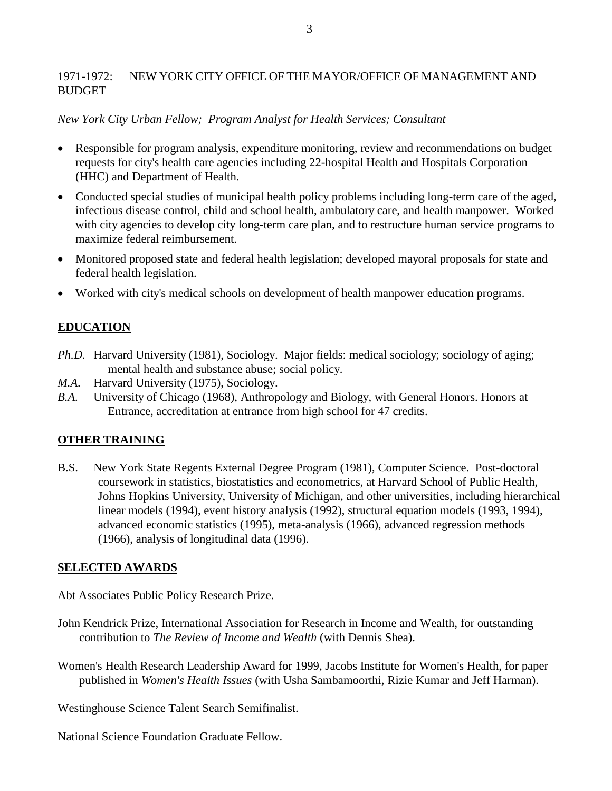## 1971-1972: NEW YORK CITY OFFICE OF THE MAYOR/OFFICE OF MANAGEMENT AND **BUDGET**

### *New York City Urban Fellow; Program Analyst for Health Services; Consultant*

- Responsible for program analysis, expenditure monitoring, review and recommendations on budget requests for city's health care agencies including 22-hospital Health and Hospitals Corporation (HHC) and Department of Health.
- Conducted special studies of municipal health policy problems including long-term care of the aged, infectious disease control, child and school health, ambulatory care, and health manpower. Worked with city agencies to develop city long-term care plan, and to restructure human service programs to maximize federal reimbursement.
- Monitored proposed state and federal health legislation; developed mayoral proposals for state and federal health legislation.
- Worked with city's medical schools on development of health manpower education programs.

## **EDUCATION**

- *Ph.D.* Harvard University (1981), Sociology. Major fields: medical sociology; sociology of aging; mental health and substance abuse; social policy.
- *M.A.* Harvard University (1975), Sociology.
- *B.A.* University of Chicago (1968), Anthropology and Biology, with General Honors. Honors at Entrance, accreditation at entrance from high school for 47 credits.

## **OTHER TRAINING**

B.S. New York State Regents External Degree Program (1981), Computer Science. Post-doctoral coursework in statistics, biostatistics and econometrics, at Harvard School of Public Health, Johns Hopkins University, University of Michigan, and other universities, including hierarchical linear models (1994), event history analysis (1992), structural equation models (1993, 1994), advanced economic statistics (1995), meta-analysis (1966), advanced regression methods (1966), analysis of longitudinal data (1996).

## **SELECTED AWARDS**

Abt Associates Public Policy Research Prize.

- John Kendrick Prize, International Association for Research in Income and Wealth, for outstanding contribution to *The Review of Income and Wealth* (with Dennis Shea).
- Women's Health Research Leadership Award for 1999, Jacobs Institute for Women's Health, for paper published in *Women's Health Issues* (with Usha Sambamoorthi, Rizie Kumar and Jeff Harman).

Westinghouse Science Talent Search Semifinalist.

National Science Foundation Graduate Fellow.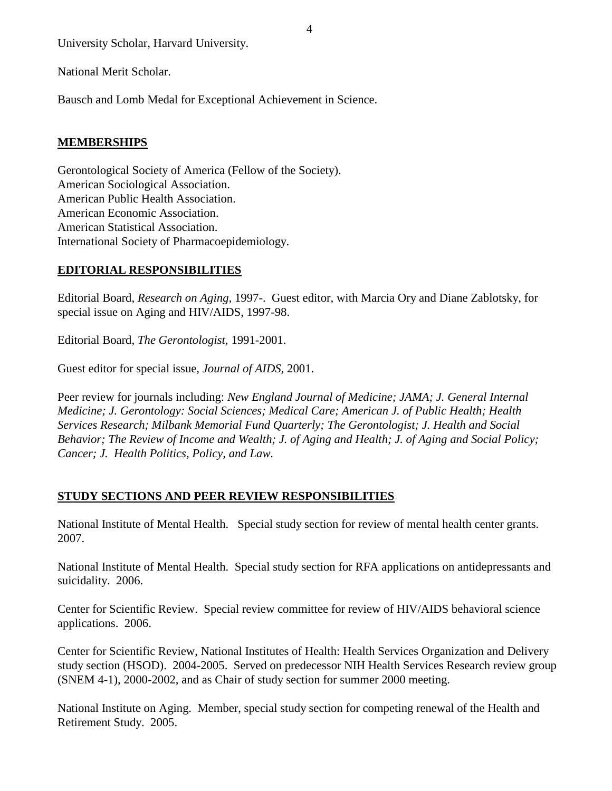University Scholar, Harvard University.

National Merit Scholar.

Bausch and Lomb Medal for Exceptional Achievement in Science.

## **MEMBERSHIPS**

Gerontological Society of America (Fellow of the Society). American Sociological Association. American Public Health Association. American Economic Association. American Statistical Association. International Society of Pharmacoepidemiology.

## **EDITORIAL RESPONSIBILITIES**

Editorial Board, *Research on Aging,* 1997-. Guest editor, with Marcia Ory and Diane Zablotsky, for special issue on Aging and HIV/AIDS, 1997-98.

Editorial Board, *The Gerontologist,* 1991-2001.

Guest editor for special issue, *Journal of AIDS,* 2001.

Peer review for journals including: *New England Journal of Medicine; JAMA; J. General Internal Medicine; J. Gerontology: Social Sciences; Medical Care; American J. of Public Health; Health Services Research; Milbank Memorial Fund Quarterly; The Gerontologist; J. Health and Social Behavior; The Review of Income and Wealth; J. of Aging and Health; J. of Aging and Social Policy; Cancer; J. Health Politics, Policy, and Law.*

## **STUDY SECTIONS AND PEER REVIEW RESPONSIBILITIES**

National Institute of Mental Health. Special study section for review of mental health center grants. 2007.

National Institute of Mental Health. Special study section for RFA applications on antidepressants and suicidality. 2006.

Center for Scientific Review. Special review committee for review of HIV/AIDS behavioral science applications. 2006.

Center for Scientific Review, National Institutes of Health: Health Services Organization and Delivery study section (HSOD). 2004-2005. Served on predecessor NIH Health Services Research review group (SNEM 4-1), 2000-2002, and as Chair of study section for summer 2000 meeting.

National Institute on Aging. Member, special study section for competing renewal of the Health and Retirement Study. 2005.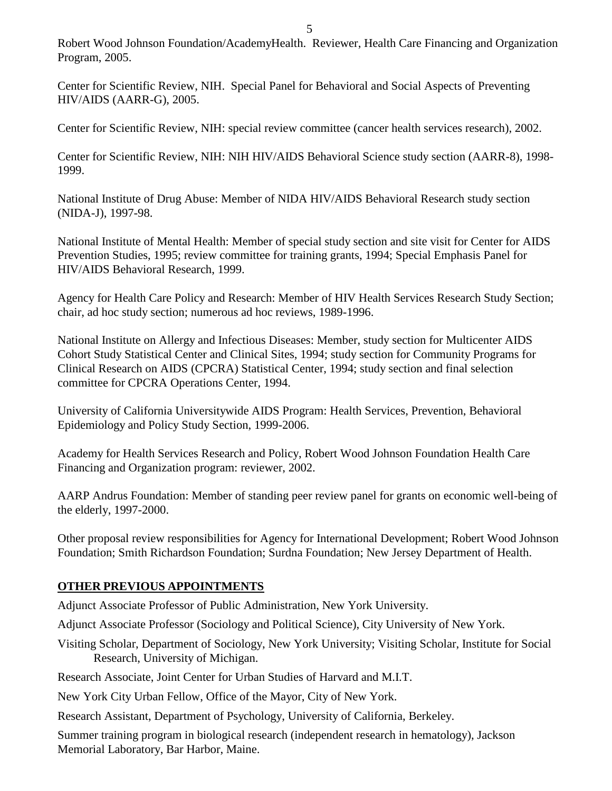Robert Wood Johnson Foundation/AcademyHealth. Reviewer, Health Care Financing and Organization Program, 2005.

Center for Scientific Review, NIH. Special Panel for Behavioral and Social Aspects of Preventing HIV/AIDS (AARR-G), 2005.

Center for Scientific Review, NIH: special review committee (cancer health services research), 2002.

Center for Scientific Review, NIH: NIH HIV/AIDS Behavioral Science study section (AARR-8), 1998- 1999.

National Institute of Drug Abuse: Member of NIDA HIV/AIDS Behavioral Research study section (NIDA-J), 1997-98.

National Institute of Mental Health: Member of special study section and site visit for Center for AIDS Prevention Studies, 1995; review committee for training grants, 1994; Special Emphasis Panel for HIV/AIDS Behavioral Research, 1999.

Agency for Health Care Policy and Research: Member of HIV Health Services Research Study Section; chair, ad hoc study section; numerous ad hoc reviews, 1989-1996.

National Institute on Allergy and Infectious Diseases: Member, study section for Multicenter AIDS Cohort Study Statistical Center and Clinical Sites, 1994; study section for Community Programs for Clinical Research on AIDS (CPCRA) Statistical Center, 1994; study section and final selection committee for CPCRA Operations Center, 1994.

University of California Universitywide AIDS Program: Health Services, Prevention, Behavioral Epidemiology and Policy Study Section, 1999-2006.

Academy for Health Services Research and Policy, Robert Wood Johnson Foundation Health Care Financing and Organization program: reviewer, 2002.

AARP Andrus Foundation: Member of standing peer review panel for grants on economic well-being of the elderly, 1997-2000.

Other proposal review responsibilities for Agency for International Development; Robert Wood Johnson Foundation; Smith Richardson Foundation; Surdna Foundation; New Jersey Department of Health.

## **OTHER PREVIOUS APPOINTMENTS**

Adjunct Associate Professor of Public Administration, New York University.

Adjunct Associate Professor (Sociology and Political Science), City University of New York.

Visiting Scholar, Department of Sociology, New York University; Visiting Scholar, Institute for Social Research, University of Michigan.

Research Associate, Joint Center for Urban Studies of Harvard and M.I.T.

New York City Urban Fellow, Office of the Mayor, City of New York.

Research Assistant, Department of Psychology, University of California, Berkeley.

Summer training program in biological research (independent research in hematology), Jackson Memorial Laboratory, Bar Harbor, Maine.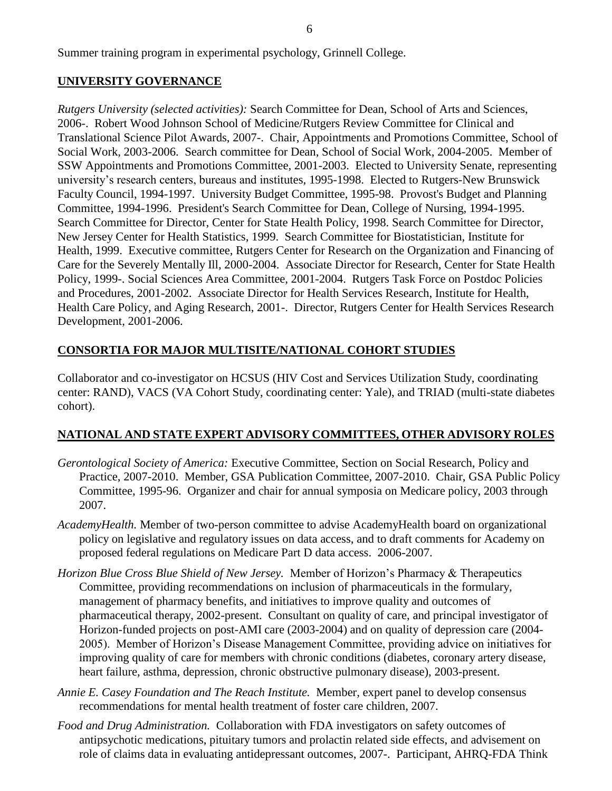Summer training program in experimental psychology, Grinnell College.

#### **UNIVERSITY GOVERNANCE**

*Rutgers University (selected activities):* Search Committee for Dean, School of Arts and Sciences, 2006-. Robert Wood Johnson School of Medicine/Rutgers Review Committee for Clinical and Translational Science Pilot Awards, 2007-. Chair, Appointments and Promotions Committee, School of Social Work, 2003-2006. Search committee for Dean, School of Social Work, 2004-2005. Member of SSW Appointments and Promotions Committee, 2001-2003. Elected to University Senate, representing university's research centers, bureaus and institutes, 1995-1998. Elected to Rutgers-New Brunswick Faculty Council, 1994-1997. University Budget Committee, 1995-98. Provost's Budget and Planning Committee, 1994-1996. President's Search Committee for Dean, College of Nursing, 1994-1995. Search Committee for Director, Center for State Health Policy, 1998. Search Committee for Director, New Jersey Center for Health Statistics, 1999. Search Committee for Biostatistician, Institute for Health, 1999. Executive committee, Rutgers Center for Research on the Organization and Financing of Care for the Severely Mentally Ill, 2000-2004. Associate Director for Research, Center for State Health Policy, 1999-. Social Sciences Area Committee, 2001-2004. Rutgers Task Force on Postdoc Policies and Procedures, 2001-2002. Associate Director for Health Services Research, Institute for Health, Health Care Policy, and Aging Research, 2001-. Director, Rutgers Center for Health Services Research Development, 2001-2006.

## **CONSORTIA FOR MAJOR MULTISITE/NATIONAL COHORT STUDIES**

Collaborator and co-investigator on HCSUS (HIV Cost and Services Utilization Study, coordinating center: RAND), VACS (VA Cohort Study, coordinating center: Yale), and TRIAD (multi-state diabetes cohort).

## **NATIONAL AND STATE EXPERT ADVISORY COMMITTEES, OTHER ADVISORY ROLES**

- *Gerontological Society of America:* Executive Committee, Section on Social Research, Policy and Practice, 2007-2010. Member, GSA Publication Committee, 2007-2010. Chair, GSA Public Policy Committee, 1995-96. Organizer and chair for annual symposia on Medicare policy, 2003 through 2007.
- *AcademyHealth.* Member of two-person committee to advise AcademyHealth board on organizational policy on legislative and regulatory issues on data access, and to draft comments for Academy on proposed federal regulations on Medicare Part D data access. 2006-2007.
- *Horizon Blue Cross Blue Shield of New Jersey.* Member of Horizon's Pharmacy & Therapeutics Committee, providing recommendations on inclusion of pharmaceuticals in the formulary, management of pharmacy benefits, and initiatives to improve quality and outcomes of pharmaceutical therapy, 2002-present. Consultant on quality of care, and principal investigator of Horizon-funded projects on post-AMI care (2003-2004) and on quality of depression care (2004- 2005). Member of Horizon's Disease Management Committee, providing advice on initiatives for improving quality of care for members with chronic conditions (diabetes, coronary artery disease, heart failure, asthma, depression, chronic obstructive pulmonary disease), 2003-present.
- *Annie E. Casey Foundation and The Reach Institute.* Member, expert panel to develop consensus recommendations for mental health treatment of foster care children, 2007.
- *Food and Drug Administration.* Collaboration with FDA investigators on safety outcomes of antipsychotic medications, pituitary tumors and prolactin related side effects, and advisement on role of claims data in evaluating antidepressant outcomes, 2007-. Participant, AHRQ-FDA Think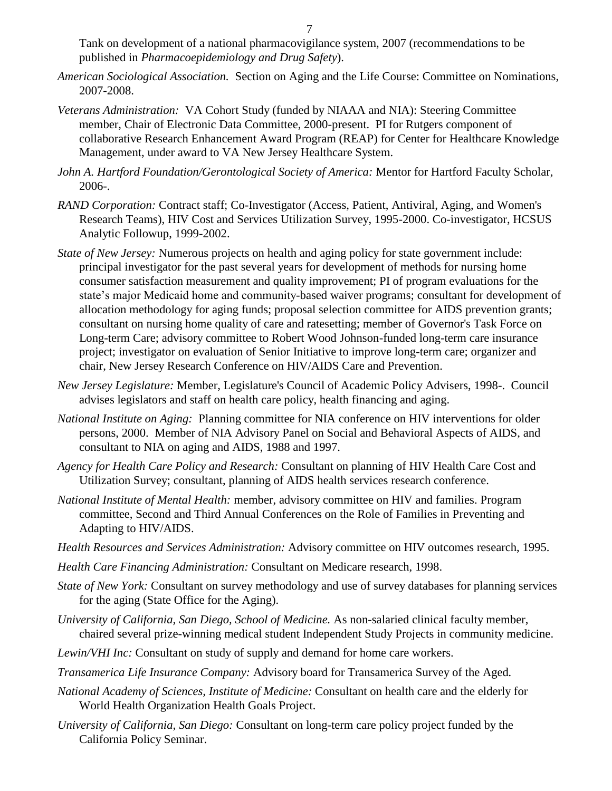Tank on development of a national pharmacovigilance system, 2007 (recommendations to be published in *Pharmacoepidemiology and Drug Safety*).

- *American Sociological Association.* Section on Aging and the Life Course: Committee on Nominations, 2007-2008.
- *Veterans Administration:* VA Cohort Study (funded by NIAAA and NIA): Steering Committee member, Chair of Electronic Data Committee, 2000-present. PI for Rutgers component of collaborative Research Enhancement Award Program (REAP) for Center for Healthcare Knowledge Management, under award to VA New Jersey Healthcare System.
- *John A. Hartford Foundation/Gerontological Society of America:* Mentor for Hartford Faculty Scholar, 2006-.
- *RAND Corporation:* Contract staff; Co-Investigator (Access, Patient, Antiviral, Aging, and Women's Research Teams), HIV Cost and Services Utilization Survey, 1995-2000. Co-investigator, HCSUS Analytic Followup, 1999-2002.
- *State of New Jersey:* Numerous projects on health and aging policy for state government include: principal investigator for the past several years for development of methods for nursing home consumer satisfaction measurement and quality improvement; PI of program evaluations for the state's major Medicaid home and community-based waiver programs; consultant for development of allocation methodology for aging funds; proposal selection committee for AIDS prevention grants; consultant on nursing home quality of care and ratesetting; member of Governor's Task Force on Long-term Care; advisory committee to Robert Wood Johnson-funded long-term care insurance project; investigator on evaluation of Senior Initiative to improve long-term care; organizer and chair, New Jersey Research Conference on HIV/AIDS Care and Prevention.
- *New Jersey Legislature:* Member, Legislature's Council of Academic Policy Advisers, 1998-. Council advises legislators and staff on health care policy, health financing and aging.
- *National Institute on Aging:* Planning committee for NIA conference on HIV interventions for older persons, 2000. Member of NIA Advisory Panel on Social and Behavioral Aspects of AIDS, and consultant to NIA on aging and AIDS, 1988 and 1997.
- *Agency for Health Care Policy and Research:* Consultant on planning of HIV Health Care Cost and Utilization Survey; consultant, planning of AIDS health services research conference.
- *National Institute of Mental Health:* member, advisory committee on HIV and families. Program committee, Second and Third Annual Conferences on the Role of Families in Preventing and Adapting to HIV/AIDS.
- *Health Resources and Services Administration:* Advisory committee on HIV outcomes research, 1995.
- *Health Care Financing Administration:* Consultant on Medicare research, 1998.
- *State of New York:* Consultant on survey methodology and use of survey databases for planning services for the aging (State Office for the Aging).
- *University of California, San Diego, School of Medicine.* As non-salaried clinical faculty member, chaired several prize-winning medical student Independent Study Projects in community medicine.
- *Lewin/VHI Inc:* Consultant on study of supply and demand for home care workers.
- *Transamerica Life Insurance Company:* Advisory board for Transamerica Survey of the Aged*.*
- *National Academy of Sciences, Institute of Medicine:* Consultant on health care and the elderly for World Health Organization Health Goals Project*.*
- *University of California, San Diego:* Consultant on long-term care policy project funded by the California Policy Seminar.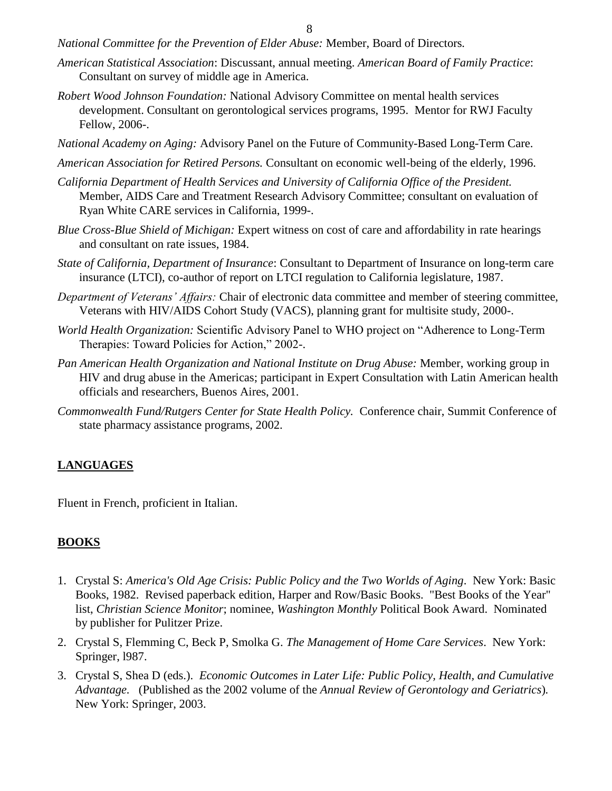- *National Committee for the Prevention of Elder Abuse:* Member, Board of Directors*.*
- *American Statistical Association*: Discussant, annual meeting. *American Board of Family Practice*: Consultant on survey of middle age in America.
- *Robert Wood Johnson Foundation:* National Advisory Committee on mental health services development. Consultant on gerontological services programs, 1995. Mentor for RWJ Faculty Fellow, 2006-.
- *National Academy on Aging:* Advisory Panel on the Future of Community-Based Long-Term Care.
- *American Association for Retired Persons.* Consultant on economic well-being of the elderly, 1996.
- *California Department of Health Services and University of California Office of the President.* Member, AIDS Care and Treatment Research Advisory Committee; consultant on evaluation of Ryan White CARE services in California, 1999-.
- *Blue Cross-Blue Shield of Michigan:* Expert witness on cost of care and affordability in rate hearings and consultant on rate issues, 1984.
- *State of California, Department of Insurance*: Consultant to Department of Insurance on long-term care insurance (LTCI), co-author of report on LTCI regulation to California legislature, 1987.
- *Department of Veterans' Affairs:* Chair of electronic data committee and member of steering committee, Veterans with HIV/AIDS Cohort Study (VACS), planning grant for multisite study, 2000-.
- *World Health Organization:* Scientific Advisory Panel to WHO project on "Adherence to Long-Term Therapies: Toward Policies for Action," 2002-.
- *Pan American Health Organization and National Institute on Drug Abuse:* Member, working group in HIV and drug abuse in the Americas; participant in Expert Consultation with Latin American health officials and researchers, Buenos Aires, 2001.
- *Commonwealth Fund/Rutgers Center for State Health Policy.* Conference chair, Summit Conference of state pharmacy assistance programs, 2002.

#### **LANGUAGES**

Fluent in French, proficient in Italian.

#### **BOOKS**

- 1. Crystal S: *America's Old Age Crisis: Public Policy and the Two Worlds of Aging*. New York: Basic Books, 1982. Revised paperback edition, Harper and Row/Basic Books. "Best Books of the Year" list, *Christian Science Monitor*; nominee, *Washington Monthly* Political Book Award. Nominated by publisher for Pulitzer Prize.
- 2. Crystal S, Flemming C, Beck P, Smolka G. *The Management of Home Care Services*. New York: Springer, l987.
- 3. Crystal S, Shea D (eds.). *Economic Outcomes in Later Life: Public Policy, Health, and Cumulative Advantage.* (Published as the 2002 volume of the *Annual Review of Gerontology and Geriatrics*)*.*  New York: Springer, 2003.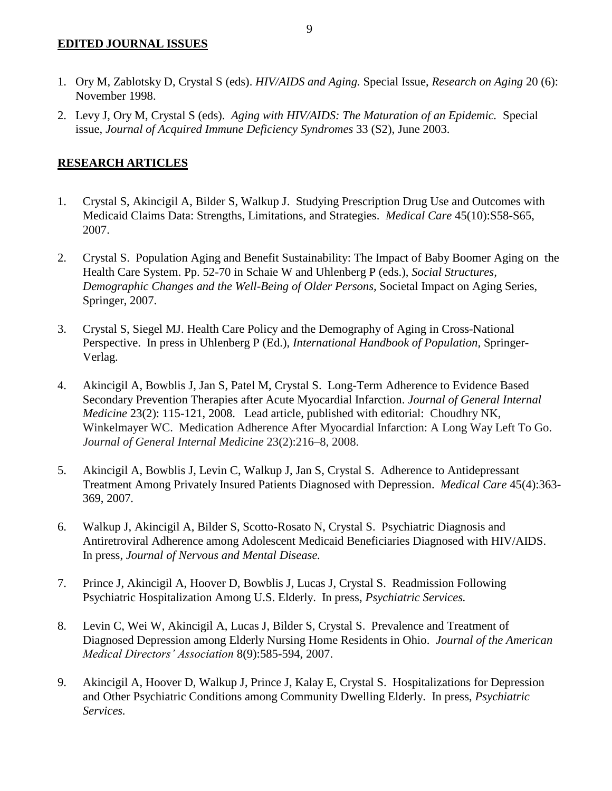#### **EDITED JOURNAL ISSUES**

- 1. Ory M, Zablotsky D, Crystal S (eds). *HIV/AIDS and Aging.* Special Issue, *Research on Aging* 20 (6): November 1998.
- 2. Levy J, Ory M, Crystal S (eds). *Aging with HIV/AIDS: The Maturation of an Epidemic.* Special issue, *Journal of Acquired Immune Deficiency Syndromes* 33 (S2), June 2003.

## **RESEARCH ARTICLES**

- 1. Crystal S, Akincigil A, Bilder S, Walkup J. Studying Prescription Drug Use and Outcomes with Medicaid Claims Data: Strengths, Limitations, and Strategies. *Medical Care* 45(10):S58-S65, 2007.
- 2. Crystal S. Population Aging and Benefit Sustainability: The Impact of Baby Boomer Aging on the Health Care System. Pp. 52-70 in Schaie W and Uhlenberg P (eds.), *Social Structures, Demographic Changes and the Well-Being of Older Persons,* Societal Impact on Aging Series, Springer, 2007.
- 3. Crystal S, Siegel MJ. Health Care Policy and the Demography of Aging in Cross-National Perspective. In press in Uhlenberg P (Ed.), *International Handbook of Population,* Springer-Verlag.
- 4. Akincigil A, Bowblis J, Jan S, Patel M, Crystal S. Long-Term Adherence to Evidence Based Secondary Prevention Therapies after Acute Myocardial Infarction. *Journal of General Internal Medicine* 23(2): 115-121, 2008. Lead article, published with editorial: Choudhry NK, Winkelmayer WC. Medication Adherence After Myocardial Infarction: A Long Way Left To Go. *Journal of General Internal Medicine* 23(2):216–8, 2008.
- 5. Akincigil A, Bowblis J, Levin C, Walkup J, Jan S, Crystal S. Adherence to Antidepressant Treatment Among Privately Insured Patients Diagnosed with Depression. *Medical Care* 45(4):363- 369, 2007*.*
- 6. Walkup J, Akincigil A, Bilder S, Scotto-Rosato N, Crystal S. Psychiatric Diagnosis and Antiretroviral Adherence among Adolescent Medicaid Beneficiaries Diagnosed with HIV/AIDS. In press, *Journal of Nervous and Mental Disease.*
- 7. Prince J, Akincigil A, Hoover D, Bowblis J, Lucas J, Crystal S. Readmission Following Psychiatric Hospitalization Among U.S. Elderly. In press, *Psychiatric Services.*
- 8. Levin C, Wei W, Akincigil A, Lucas J, Bilder S, Crystal S. Prevalence and Treatment of Diagnosed Depression among Elderly Nursing Home Residents in Ohio. *Journal of the American Medical Directors' Association* 8(9):585-594, 2007.
- 9. Akincigil A, Hoover D, Walkup J, Prince J, Kalay E, Crystal S. Hospitalizations for Depression and Other Psychiatric Conditions among Community Dwelling Elderly. In press, *Psychiatric Services.*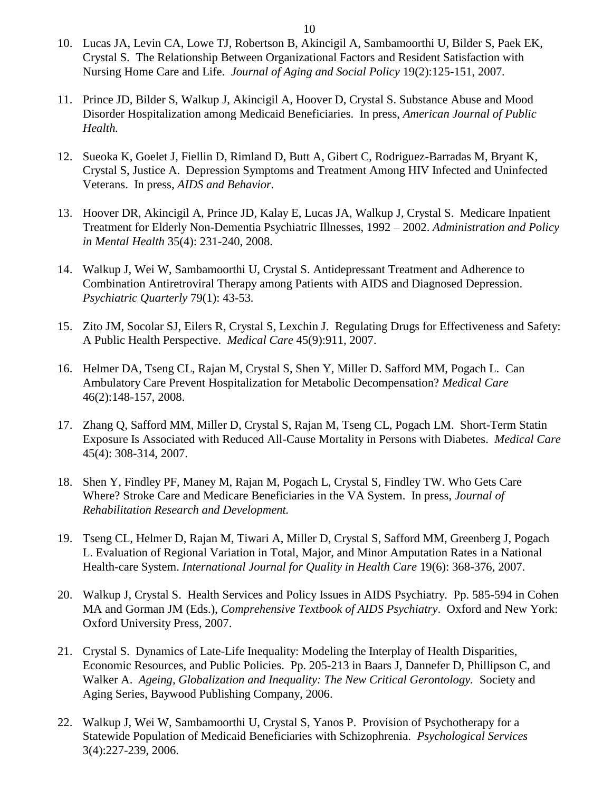- 10. Lucas JA, Levin CA, Lowe TJ, Robertson B, Akincigil A, Sambamoorthi U, Bilder S, Paek EK, Crystal S. The Relationship Between Organizational Factors and Resident Satisfaction with Nursing Home Care and Life. *Journal of Aging and Social Policy* 19(2):125-151, 2007*.*
- 11. Prince JD, Bilder S, Walkup J, Akincigil A, Hoover D, Crystal S. Substance Abuse and Mood Disorder Hospitalization among Medicaid Beneficiaries. In press, *American Journal of Public Health.*
- 12. Sueoka K, Goelet J, Fiellin D, Rimland D, Butt A, Gibert C, Rodriguez-Barradas M, Bryant K, Crystal S, Justice A. Depression Symptoms and Treatment Among HIV Infected and Uninfected Veterans. In press, *AIDS and Behavior.*
- 13. Hoover DR, Akincigil A, Prince JD, Kalay E, Lucas JA, Walkup J, Crystal S. Medicare Inpatient Treatment for Elderly Non-Dementia Psychiatric Illnesses, 1992 – 2002. *Administration and Policy in Mental Health* 35(4): 231-240, 2008.
- 14. Walkup J, Wei W, Sambamoorthi U, Crystal S. Antidepressant Treatment and Adherence to Combination Antiretroviral Therapy among Patients with AIDS and Diagnosed Depression. *Psychiatric Quarterly* 79(1): 43-53*.*
- 15. Zito JM, Socolar SJ, Eilers R, Crystal S, Lexchin J. Regulating Drugs for Effectiveness and Safety: A Public Health Perspective. *Medical Care* 45(9):911, 2007.
- 16. Helmer DA, Tseng CL, Rajan M, Crystal S, Shen Y, Miller D. Safford MM, Pogach L. Can Ambulatory Care Prevent Hospitalization for Metabolic Decompensation? *Medical Care* 46(2):148-157, 2008.
- 17. Zhang Q, Safford MM, Miller D, Crystal S, Rajan M, Tseng CL, Pogach LM. Short-Term Statin Exposure Is Associated with Reduced All-Cause Mortality in Persons with Diabetes. *Medical Care*  45(4): 308-314, 2007.
- 18. Shen Y, Findley PF, Maney M, Rajan M, Pogach L, Crystal S, Findley TW. Who Gets Care Where? Stroke Care and Medicare Beneficiaries in the VA System. In press, *Journal of Rehabilitation Research and Development.*
- 19. Tseng CL, Helmer D, Rajan M, Tiwari A, Miller D, Crystal S, Safford MM, Greenberg J, Pogach L. Evaluation of Regional Variation in Total, Major, and Minor Amputation Rates in a National Health-care System. *International Journal for Quality in Health Care* 19(6): 368-376, 2007.
- 20. Walkup J, Crystal S. Health Services and Policy Issues in AIDS Psychiatry. Pp. 585-594 in Cohen MA and Gorman JM (Eds.), *Comprehensive Textbook of AIDS Psychiatry*. Oxford and New York: Oxford University Press, 2007.
- 21. Crystal S. Dynamics of Late-Life Inequality: Modeling the Interplay of Health Disparities, Economic Resources, and Public Policies. Pp. 205-213 in Baars J, Dannefer D, Phillipson C, and Walker A. *Ageing, Globalization and Inequality: The New Critical Gerontology.* Society and Aging Series, Baywood Publishing Company, 2006.
- 22. Walkup J, Wei W, Sambamoorthi U, Crystal S, Yanos P. Provision of Psychotherapy for a Statewide Population of Medicaid Beneficiaries with Schizophrenia. *Psychological Services* 3(4):227-239, 2006.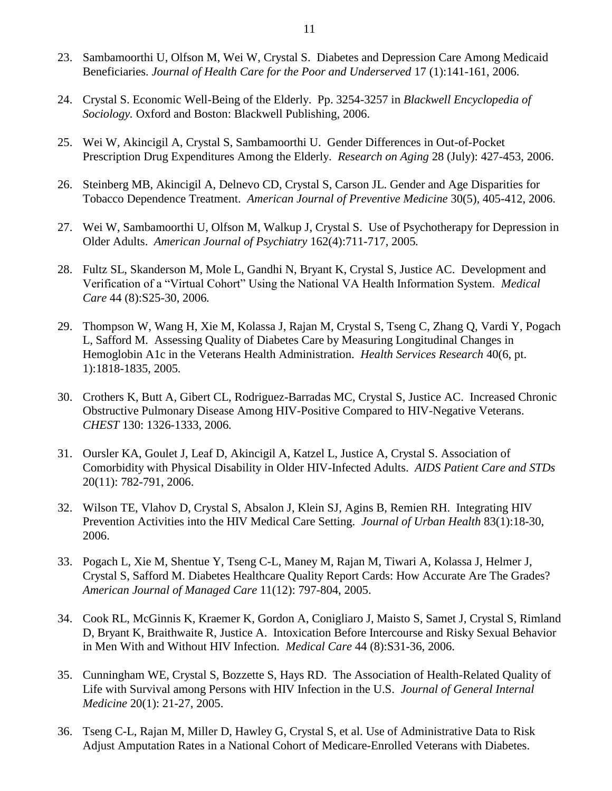- 23. Sambamoorthi U, Olfson M, Wei W, Crystal S. Diabetes and Depression Care Among Medicaid Beneficiaries. *Journal of Health Care for the Poor and Underserved* 17 (1):141-161, 2006.
- 24. Crystal S. Economic Well-Being of the Elderly. Pp. 3254-3257 in *Blackwell Encyclopedia of Sociology.* Oxford and Boston: Blackwell Publishing, 2006.
- 25. Wei W, Akincigil A, Crystal S, Sambamoorthi U. Gender Differences in Out-of-Pocket Prescription Drug Expenditures Among the Elderly. *Research on Aging* 28 (July): 427-453, 2006.
- 26. Steinberg MB, Akincigil A, Delnevo CD, Crystal S, Carson JL. Gender and Age Disparities for Tobacco Dependence Treatment. *American Journal of Preventive Medicine* 30(5)*,* 405-412, 2006.
- 27. Wei W, Sambamoorthi U, Olfson M, Walkup J, Crystal S. Use of Psychotherapy for Depression in Older Adults. *American Journal of Psychiatry* 162(4):711-717, 2005*.*
- 28. Fultz SL, Skanderson M, Mole L, Gandhi N, Bryant K, Crystal S, Justice AC. Development and Verification of a "Virtual Cohort" Using the National VA Health Information System. *Medical Care* 44 (8):S25-30, 2006*.*
- 29. Thompson W, Wang H, Xie M, Kolassa J, Rajan M, Crystal S, Tseng C, Zhang Q, Vardi Y, Pogach L, Safford M. Assessing Quality of Diabetes Care by Measuring Longitudinal Changes in Hemoglobin A1c in the Veterans Health Administration. *Health Services Research* 40(6, pt. 1):1818-1835, 2005*.*
- 30. Crothers K, Butt A, Gibert CL, Rodriguez-Barradas MC, Crystal S, Justice AC. Increased Chronic Obstructive Pulmonary Disease Among HIV-Positive Compared to HIV-Negative Veterans. *CHEST* 130: 1326-1333, 2006*.*
- 31. Oursler KA, Goulet J, Leaf D, Akincigil A, Katzel L, Justice A, Crystal S. Association of Comorbidity with Physical Disability in Older HIV-Infected Adults. *AIDS Patient Care and STDs*  20(11): 782-791, 2006.
- 32. Wilson TE, Vlahov D, Crystal S, Absalon J, Klein SJ, Agins B, Remien RH. Integrating HIV Prevention Activities into the HIV Medical Care Setting. *Journal of Urban Health* 83(1):18-30, 2006.
- 33. Pogach L, Xie M, Shentue Y, Tseng C-L, Maney M, Rajan M, Tiwari A, Kolassa J, Helmer J, Crystal S, Safford M. Diabetes Healthcare Quality Report Cards: How Accurate Are The Grades? *American Journal of Managed Care* 11(12): 797-804, 2005.
- 34. Cook RL, McGinnis K, Kraemer K, Gordon A, Conigliaro J, Maisto S, Samet J, Crystal S, Rimland D, Bryant K, Braithwaite R, Justice A. Intoxication Before Intercourse and Risky Sexual Behavior in Men With and Without HIV Infection. *Medical Care* 44 (8):S31-36, 2006.
- 35. Cunningham WE, Crystal S, Bozzette S, Hays RD. The Association of Health-Related Quality of Life with Survival among Persons with HIV Infection in the U.S. *Journal of General Internal Medicine* 20(1): 21-27, 2005.
- 36. Tseng C-L, Rajan M, Miller D, Hawley G, Crystal S, et al. Use of Administrative Data to Risk Adjust Amputation Rates in a National Cohort of Medicare-Enrolled Veterans with Diabetes.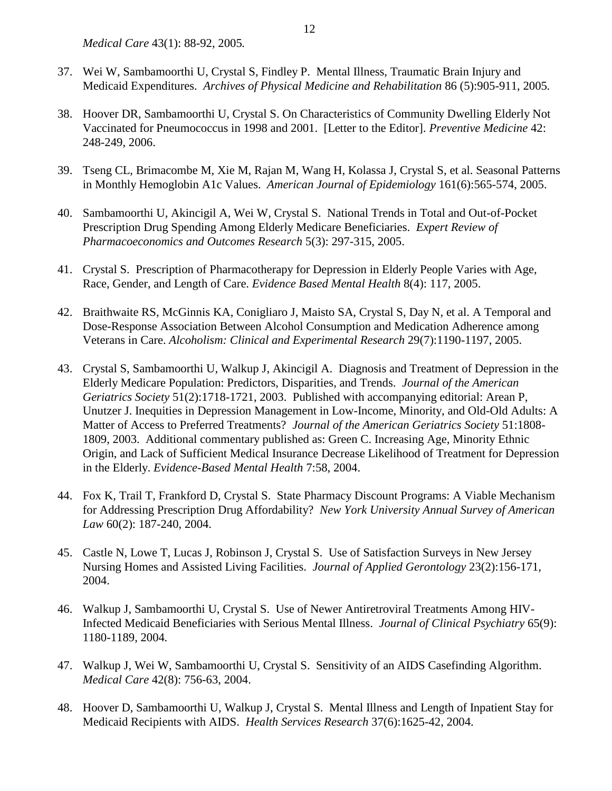*Medical Care* 43(1): 88-92, 2005*.*

- 37. Wei W, Sambamoorthi U, Crystal S, Findley P. Mental Illness, Traumatic Brain Injury and Medicaid Expenditures. *Archives of Physical Medicine and Rehabilitation* 86 (5):905-911, 2005*.*
- 38. Hoover DR, Sambamoorthi U, Crystal S. On Characteristics of Community Dwelling Elderly Not Vaccinated for Pneumococcus in 1998 and 2001. [Letter to the Editor]. *Preventive Medicine* 42: 248-249, 2006.
- 39. Tseng CL, Brimacombe M, Xie M, Rajan M, Wang H, Kolassa J, Crystal S, et al. Seasonal Patterns in Monthly Hemoglobin A1c Values. *American Journal of Epidemiology* 161(6):565-574, 2005.
- 40. Sambamoorthi U, Akincigil A, Wei W, Crystal S. National Trends in Total and Out-of-Pocket Prescription Drug Spending Among Elderly Medicare Beneficiaries. *Expert Review of Pharmacoeconomics and Outcomes Research* 5(3): 297-315, 2005.
- 41. Crystal S. Prescription of Pharmacotherapy for Depression in Elderly People Varies with Age, Race, Gender, and Length of Care. *Evidence Based Mental Health* 8(4): 117, 2005.
- 42. Braithwaite RS, McGinnis KA, Conigliaro J, Maisto SA, Crystal S, Day N, et al. A Temporal and Dose-Response Association Between Alcohol Consumption and Medication Adherence among Veterans in Care. *Alcoholism: Clinical and Experimental Research* 29(7):1190-1197, 2005.
- 43. Crystal S, Sambamoorthi U, Walkup J, Akincigil A. Diagnosis and Treatment of Depression in the Elderly Medicare Population: Predictors, Disparities, and Trends. *Journal of the American Geriatrics Society* 51(2):1718-1721, 2003. Published with accompanying editorial: Arean P, Unutzer J. Inequities in Depression Management in Low-Income, Minority, and Old-Old Adults: A Matter of Access to Preferred Treatments? *Journal of the American Geriatrics Society* 51:1808- 1809, 2003. Additional commentary published as: Green C. Increasing Age, Minority Ethnic Origin, and Lack of Sufficient Medical Insurance Decrease Likelihood of Treatment for Depression in the Elderly. *Evidence-Based Mental Health* 7:58, 2004.
- 44. Fox K, Trail T, Frankford D, Crystal S. State Pharmacy Discount Programs: A Viable Mechanism for Addressing Prescription Drug Affordability? *New York University Annual Survey of American Law* 60(2): 187-240, 2004.
- 45. Castle N, Lowe T, Lucas J, Robinson J, Crystal S. Use of Satisfaction Surveys in New Jersey Nursing Homes and Assisted Living Facilities. *Journal of Applied Gerontology* 23(2):156-171, 2004.
- 46. Walkup J, Sambamoorthi U, Crystal S. Use of Newer Antiretroviral Treatments Among HIV-Infected Medicaid Beneficiaries with Serious Mental Illness. *Journal of Clinical Psychiatry* 65(9): 1180-1189, 2004*.*
- 47. Walkup J, Wei W, Sambamoorthi U, Crystal S. Sensitivity of an AIDS Casefinding Algorithm. *Medical Care* 42(8): 756-63, 2004.
- 48. Hoover D, Sambamoorthi U, Walkup J, Crystal S. Mental Illness and Length of Inpatient Stay for Medicaid Recipients with AIDS. *Health Services Research* 37(6):1625-42, 2004.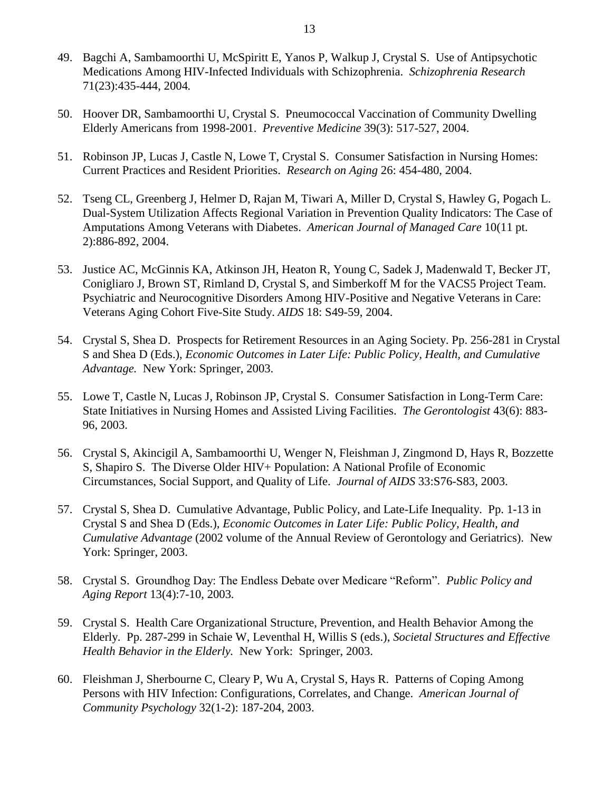- 49. Bagchi A, Sambamoorthi U, McSpiritt E, Yanos P, Walkup J, Crystal S. Use of Antipsychotic Medications Among HIV-Infected Individuals with Schizophrenia. *Schizophrenia Research*  71(23):435-444, 2004*.*
- 50. Hoover DR, Sambamoorthi U, Crystal S. Pneumococcal Vaccination of Community Dwelling Elderly Americans from 1998-2001. *Preventive Medicine* 39(3): 517-527, 2004.
- 51. Robinson JP, Lucas J, Castle N, Lowe T, Crystal S. Consumer Satisfaction in Nursing Homes: Current Practices and Resident Priorities. *Research on Aging* 26: 454-480, 2004.
- 52. Tseng CL, Greenberg J, Helmer D, Rajan M, Tiwari A, Miller D, Crystal S, Hawley G, Pogach L. Dual-System Utilization Affects Regional Variation in Prevention Quality Indicators: The Case of Amputations Among Veterans with Diabetes. *American Journal of Managed Care* 10(11 pt. 2):886-892, 2004.
- 53. Justice AC, McGinnis KA, Atkinson JH, Heaton R, Young C, Sadek J, Madenwald T, Becker JT, Conigliaro J, Brown ST, Rimland D, Crystal S, and Simberkoff M for the VACS5 Project Team. Psychiatric and Neurocognitive Disorders Among HIV-Positive and Negative Veterans in Care: Veterans Aging Cohort Five-Site Study. *AIDS* 18: S49-59, 2004.
- 54. Crystal S, Shea D. Prospects for Retirement Resources in an Aging Society. Pp. 256-281 in Crystal S and Shea D (Eds.), *Economic Outcomes in Later Life: Public Policy, Health, and Cumulative Advantage.* New York: Springer, 2003.
- 55. Lowe T, Castle N, Lucas J, Robinson JP, Crystal S. Consumer Satisfaction in Long-Term Care: State Initiatives in Nursing Homes and Assisted Living Facilities. *The Gerontologist* 43(6): 883- 96, 2003.
- 56. Crystal S, Akincigil A, Sambamoorthi U, Wenger N, Fleishman J, Zingmond D, Hays R, Bozzette S, Shapiro S. The Diverse Older HIV+ Population: A National Profile of Economic Circumstances, Social Support, and Quality of Life. *Journal of AIDS* 33:S76-S83, 2003.
- 57. Crystal S, Shea D. Cumulative Advantage, Public Policy, and Late-Life Inequality. Pp. 1-13 in Crystal S and Shea D (Eds.), *Economic Outcomes in Later Life: Public Policy, Health, and Cumulative Advantage* (2002 volume of the Annual Review of Gerontology and Geriatrics). New York: Springer, 2003.
- 58. Crystal S. Groundhog Day: The Endless Debate over Medicare "Reform". *Public Policy and Aging Report* 13(4):7-10, 2003*.*
- 59. Crystal S. Health Care Organizational Structure, Prevention, and Health Behavior Among the Elderly. Pp. 287-299 in Schaie W, Leventhal H, Willis S (eds.), *Societal Structures and Effective Health Behavior in the Elderly.* New York: Springer, 2003.
- 60. Fleishman J, Sherbourne C, Cleary P, Wu A, Crystal S, Hays R. Patterns of Coping Among Persons with HIV Infection: Configurations, Correlates, and Change. *American Journal of Community Psychology* 32(1-2): 187-204, 2003.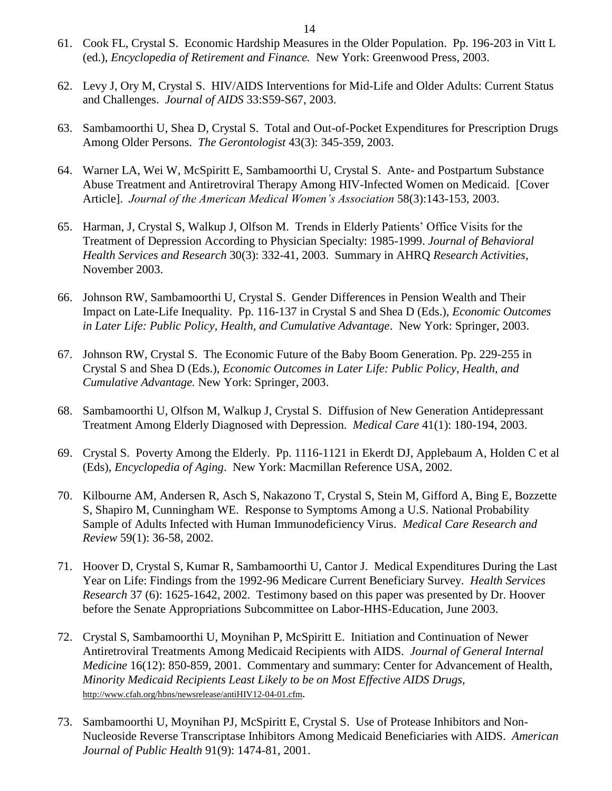- 61. Cook FL, Crystal S. Economic Hardship Measures in the Older Population. Pp. 196-203 in Vitt L (ed.), *Encyclopedia of Retirement and Finance.* New York: Greenwood Press, 2003.
- 62. Levy J, Ory M, Crystal S. HIV/AIDS Interventions for Mid-Life and Older Adults: Current Status and Challenges. *Journal of AIDS* 33:S59-S67, 2003.
- 63. Sambamoorthi U, Shea D, Crystal S. Total and Out-of-Pocket Expenditures for Prescription Drugs Among Older Persons. *The Gerontologist* 43(3): 345-359, 2003.
- 64. Warner LA, Wei W, McSpiritt E, Sambamoorthi U, Crystal S. Ante- and Postpartum Substance Abuse Treatment and Antiretroviral Therapy Among HIV-Infected Women on Medicaid. [Cover Article]. *Journal of the American Medical Women's Association* 58(3):143-153, 2003.
- 65. Harman, J, Crystal S, Walkup J, Olfson M. Trends in Elderly Patients' Office Visits for the Treatment of Depression According to Physician Specialty: 1985-1999. *Journal of Behavioral Health Services and Research* 30(3): 332-41, 2003. Summary in AHRQ *Research Activities,*  November 2003.
- 66. Johnson RW, Sambamoorthi U, Crystal S. Gender Differences in Pension Wealth and Their Impact on Late-Life Inequality. Pp. 116-137 in Crystal S and Shea D (Eds.), *Economic Outcomes in Later Life: Public Policy, Health, and Cumulative Advantage*. New York: Springer, 2003.
- 67. Johnson RW, Crystal S. The Economic Future of the Baby Boom Generation. Pp. 229-255 in Crystal S and Shea D (Eds.), *Economic Outcomes in Later Life: Public Policy, Health, and Cumulative Advantage.* New York: Springer, 2003.
- 68. Sambamoorthi U, Olfson M, Walkup J, Crystal S. Diffusion of New Generation Antidepressant Treatment Among Elderly Diagnosed with Depression. *Medical Care* 41(1): 180-194, 2003.
- 69. Crystal S. Poverty Among the Elderly. Pp. 1116-1121 in Ekerdt DJ, Applebaum A, Holden C et al (Eds), *Encyclopedia of Aging*. New York: Macmillan Reference USA, 2002.
- 70. Kilbourne AM, Andersen R, Asch S, Nakazono T, Crystal S, Stein M, Gifford A, Bing E, Bozzette S, Shapiro M, Cunningham WE. Response to Symptoms Among a U.S. National Probability Sample of Adults Infected with Human Immunodeficiency Virus. *Medical Care Research and Review* 59(1): 36-58, 2002.
- 71. Hoover D, Crystal S, Kumar R, Sambamoorthi U, Cantor J. Medical Expenditures During the Last Year on Life: Findings from the 1992-96 Medicare Current Beneficiary Survey. *Health Services Research* 37 (6): 1625-1642, 2002. Testimony based on this paper was presented by Dr. Hoover before the Senate Appropriations Subcommittee on Labor-HHS-Education, June 2003.
- 72. Crystal S, Sambamoorthi U, Moynihan P, McSpiritt E. Initiation and Continuation of Newer Antiretroviral Treatments Among Medicaid Recipients with AIDS. *Journal of General Internal Medicine* 16(12): 850-859, 2001. Commentary and summary: Center for Advancement of Health, *Minority Medicaid Recipients Least Likely to be on Most Effective AIDS Drugs,*  <http://www.cfah.org/hbns/newsrelease/antiHIV12-04-01.cfm>.
- 73. Sambamoorthi U, Moynihan PJ, McSpiritt E, Crystal S. Use of Protease Inhibitors and Non-Nucleoside Reverse Transcriptase Inhibitors Among Medicaid Beneficiaries with AIDS. *American Journal of Public Health* 91(9): 1474-81, 2001.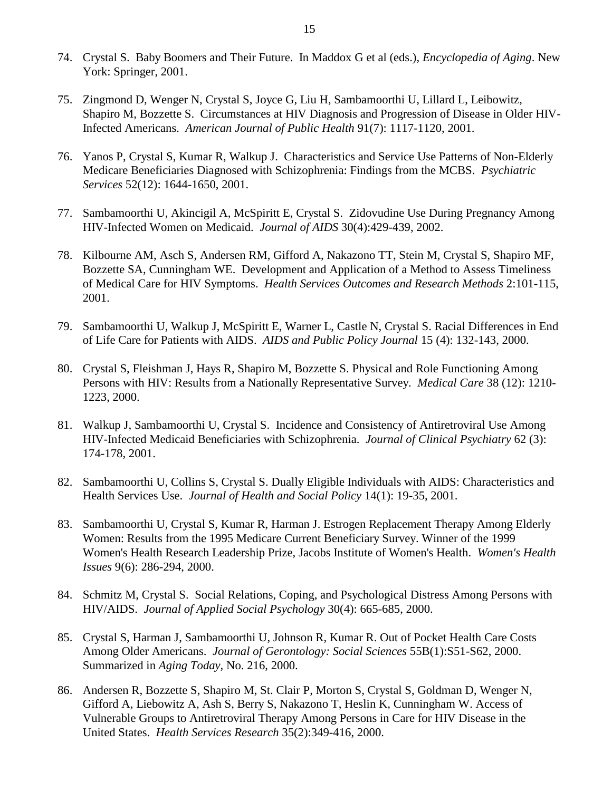- 74. Crystal S. Baby Boomers and Their Future. In Maddox G et al (eds.), *Encyclopedia of Aging*. New York: Springer, 2001.
- 75. Zingmond D, Wenger N, Crystal S, Joyce G, Liu H, Sambamoorthi U, Lillard L, Leibowitz, Shapiro M, Bozzette S. Circumstances at HIV Diagnosis and Progression of Disease in Older HIV-Infected Americans. *American Journal of Public Health* 91(7): 1117-1120, 2001.
- 76. Yanos P, Crystal S, Kumar R, Walkup J. Characteristics and Service Use Patterns of Non-Elderly Medicare Beneficiaries Diagnosed with Schizophrenia: Findings from the MCBS. *Psychiatric Services* 52(12): 1644-1650, 2001.
- 77. Sambamoorthi U, Akincigil A, McSpiritt E, Crystal S. Zidovudine Use During Pregnancy Among HIV-Infected Women on Medicaid. *Journal of AIDS* 30(4):429-439, 2002.
- 78. Kilbourne AM, Asch S, Andersen RM, Gifford A, Nakazono TT, Stein M, Crystal S, Shapiro MF, Bozzette SA, Cunningham WE. Development and Application of a Method to Assess Timeliness of Medical Care for HIV Symptoms. *Health Services Outcomes and Research Methods* 2:101-115, 2001.
- 79. Sambamoorthi U, Walkup J, McSpiritt E, Warner L, Castle N, Crystal S. Racial Differences in End of Life Care for Patients with AIDS. *AIDS and Public Policy Journal* 15 (4): 132-143, 2000.
- 80. Crystal S, Fleishman J, Hays R, Shapiro M, Bozzette S. Physical and Role Functioning Among Persons with HIV: Results from a Nationally Representative Survey. *Medical Care* 38 (12): 1210- 1223, 2000.
- 81. Walkup J, Sambamoorthi U, Crystal S. Incidence and Consistency of Antiretroviral Use Among HIV-Infected Medicaid Beneficiaries with Schizophrenia. *Journal of Clinical Psychiatry* 62 (3): 174-178, 2001.
- 82. Sambamoorthi U, Collins S, Crystal S. Dually Eligible Individuals with AIDS: Characteristics and Health Services Use. *Journal of Health and Social Policy* 14(1): 19-35, 2001.
- 83. Sambamoorthi U, Crystal S, Kumar R, Harman J. Estrogen Replacement Therapy Among Elderly Women: Results from the 1995 Medicare Current Beneficiary Survey. Winner of the 1999 Women's Health Research Leadership Prize, Jacobs Institute of Women's Health. *Women's Health Issues* 9(6): 286-294, 2000.
- 84. Schmitz M, Crystal S. Social Relations, Coping, and Psychological Distress Among Persons with HIV/AIDS. *Journal of Applied Social Psychology* 30(4): 665-685, 2000.
- 85. Crystal S, Harman J, Sambamoorthi U, Johnson R, Kumar R. Out of Pocket Health Care Costs Among Older Americans. *Journal of Gerontology: Social Sciences* 55B(1):S51-S62, 2000. Summarized in *Aging Today,* No. 216, 2000.
- 86. Andersen R, Bozzette S, Shapiro M, St. Clair P, Morton S, Crystal S, Goldman D, Wenger N, Gifford A, Liebowitz A, Ash S, Berry S, Nakazono T, Heslin K, Cunningham W. Access of Vulnerable Groups to Antiretroviral Therapy Among Persons in Care for HIV Disease in the United States. *Health Services Research* 35(2):349-416, 2000.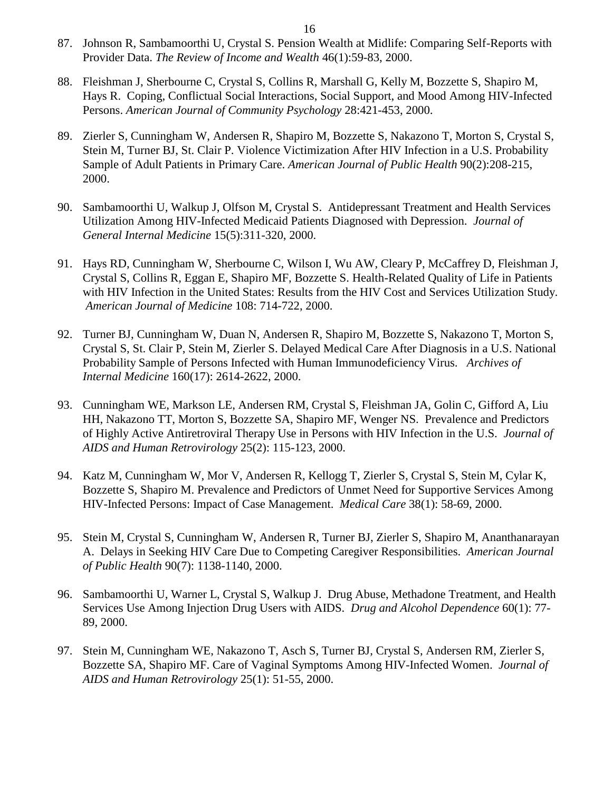- 87. Johnson R, Sambamoorthi U, Crystal S. Pension Wealth at Midlife: Comparing Self-Reports with Provider Data. *The Review of Income and Wealth* 46(1):59-83, 2000.
- 88. Fleishman J, Sherbourne C, Crystal S, Collins R, Marshall G, Kelly M, Bozzette S, Shapiro M, Hays R. Coping, Conflictual Social Interactions, Social Support, and Mood Among HIV-Infected Persons. *American Journal of Community Psychology* 28:421-453, 2000.
- 89. Zierler S, Cunningham W, Andersen R, Shapiro M, Bozzette S, Nakazono T, Morton S, Crystal S, Stein M, Turner BJ, St. Clair P. Violence Victimization After HIV Infection in a U.S. Probability Sample of Adult Patients in Primary Care. *American Journal of Public Health* 90(2):208-215, 2000.
- 90. Sambamoorthi U, Walkup J, Olfson M, Crystal S. Antidepressant Treatment and Health Services Utilization Among HIV-Infected Medicaid Patients Diagnosed with Depression. *Journal of General Internal Medicine* 15(5):311-320, 2000.
- 91. Hays RD, Cunningham W, Sherbourne C, Wilson I, Wu AW, Cleary P, McCaffrey D, Fleishman J, Crystal S, Collins R, Eggan E, Shapiro MF, Bozzette S. Health-Related Quality of Life in Patients with HIV Infection in the United States: Results from the HIV Cost and Services Utilization Study. *American Journal of Medicine* 108: 714-722, 2000.
- 92. Turner BJ, Cunningham W, Duan N, Andersen R, Shapiro M, Bozzette S, Nakazono T, Morton S, Crystal S, St. Clair P, Stein M, Zierler S. Delayed Medical Care After Diagnosis in a U.S. National Probability Sample of Persons Infected with Human Immunodeficiency Virus. *Archives of Internal Medicine* 160(17): 2614-2622, 2000.
- 93. Cunningham WE, Markson LE, Andersen RM, Crystal S, Fleishman JA, Golin C, Gifford A, Liu HH, Nakazono TT, Morton S, Bozzette SA, Shapiro MF, Wenger NS. Prevalence and Predictors of Highly Active Antiretroviral Therapy Use in Persons with HIV Infection in the U.S. *Journal of AIDS and Human Retrovirology* 25(2): 115-123, 2000.
- 94. Katz M, Cunningham W, Mor V, Andersen R, Kellogg T, Zierler S, Crystal S, Stein M, Cylar K, Bozzette S, Shapiro M. Prevalence and Predictors of Unmet Need for Supportive Services Among HIV-Infected Persons: Impact of Case Management. *Medical Care* 38(1): 58-69, 2000.
- 95. Stein M, Crystal S, Cunningham W, Andersen R, Turner BJ, Zierler S, Shapiro M, Ananthanarayan A. Delays in Seeking HIV Care Due to Competing Caregiver Responsibilities. *American Journal of Public Health* 90(7): 1138-1140, 2000.
- 96. Sambamoorthi U, Warner L, Crystal S, Walkup J. Drug Abuse, Methadone Treatment, and Health Services Use Among Injection Drug Users with AIDS. *Drug and Alcohol Dependence* 60(1): 77- 89, 2000.
- 97. Stein M, Cunningham WE, Nakazono T, Asch S, Turner BJ, Crystal S, Andersen RM, Zierler S, Bozzette SA, Shapiro MF. Care of Vaginal Symptoms Among HIV-Infected Women. *Journal of AIDS and Human Retrovirology* 25(1): 51-55, 2000.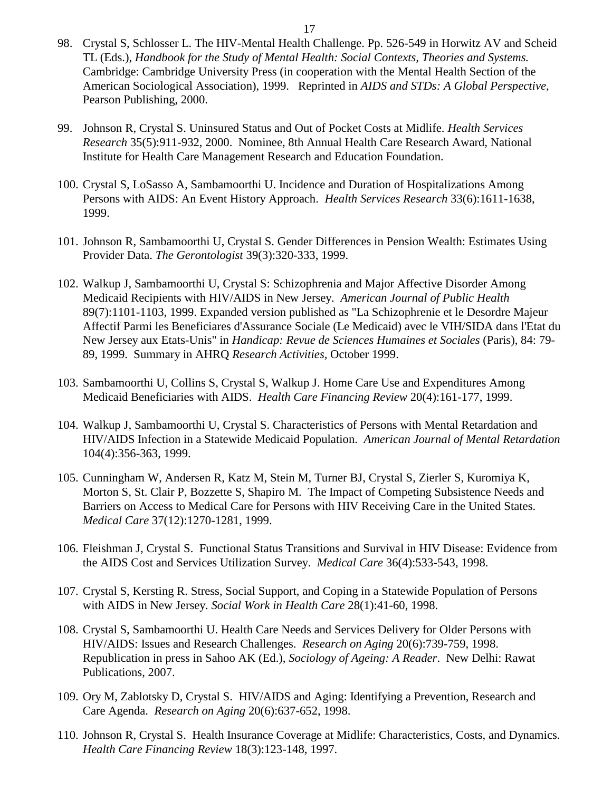- 98. Crystal S, Schlosser L. The HIV-Mental Health Challenge. Pp. 526-549 in Horwitz AV and Scheid TL (Eds.), *Handbook for the Study of Mental Health: Social Contexts, Theories and Systems.*  Cambridge: Cambridge University Press (in cooperation with the Mental Health Section of the American Sociological Association), 1999. Reprinted in *AIDS and STDs: A Global Perspective*, Pearson Publishing, 2000.
- 99. Johnson R, Crystal S. Uninsured Status and Out of Pocket Costs at Midlife. *Health Services Research* 35(5):911-932, 2000. Nominee, 8th Annual Health Care Research Award, National Institute for Health Care Management Research and Education Foundation.
- 100. Crystal S, LoSasso A, Sambamoorthi U. Incidence and Duration of Hospitalizations Among Persons with AIDS: An Event History Approach. *Health Services Research* 33(6):1611-1638, 1999.
- 101. Johnson R, Sambamoorthi U, Crystal S. Gender Differences in Pension Wealth: Estimates Using Provider Data. *The Gerontologist* 39(3):320-333, 1999.
- 102. Walkup J, Sambamoorthi U, Crystal S: Schizophrenia and Major Affective Disorder Among Medicaid Recipients with HIV/AIDS in New Jersey. *American Journal of Public Health*  89(7):1101-1103, 1999. Expanded version published as "La Schizophrenie et le Desordre Majeur Affectif Parmi les Beneficiares d'Assurance Sociale (Le Medicaid) avec le VIH/SIDA dans l'Etat du New Jersey aux Etats-Unis" in *Handicap: Revue de Sciences Humaines et Sociales* (Paris), 84: 79- 89, 1999. Summary in AHRQ *Research Activities,* October 1999.
- 103. Sambamoorthi U, Collins S, Crystal S, Walkup J. Home Care Use and Expenditures Among Medicaid Beneficiaries with AIDS. *Health Care Financing Review* 20(4):161-177, 1999.
- 104. Walkup J, Sambamoorthi U, Crystal S. Characteristics of Persons with Mental Retardation and HIV/AIDS Infection in a Statewide Medicaid Population. *American Journal of Mental Retardation* 104(4):356-363, 1999.
- 105. Cunningham W, Andersen R, Katz M, Stein M, Turner BJ, Crystal S, Zierler S, Kuromiya K, Morton S, St. Clair P, Bozzette S, Shapiro M. The Impact of Competing Subsistence Needs and Barriers on Access to Medical Care for Persons with HIV Receiving Care in the United States. *Medical Care* 37(12):1270-1281, 1999.
- 106. Fleishman J, Crystal S. Functional Status Transitions and Survival in HIV Disease: Evidence from the AIDS Cost and Services Utilization Survey. *Medical Care* 36(4):533-543, 1998.
- 107. Crystal S, Kersting R. Stress, Social Support, and Coping in a Statewide Population of Persons with AIDS in New Jersey. *Social Work in Health Care* 28(1):41-60, 1998.
- 108. Crystal S, Sambamoorthi U. Health Care Needs and Services Delivery for Older Persons with HIV/AIDS: Issues and Research Challenges. *Research on Aging* 20(6):739-759, 1998. Republication in press in Sahoo AK (Ed.), *Sociology of Ageing: A Reader*. New Delhi: Rawat Publications, 2007.
- 109. Ory M, Zablotsky D, Crystal S. HIV/AIDS and Aging: Identifying a Prevention, Research and Care Agenda. *Research on Aging* 20(6):637-652, 1998.
- 110. Johnson R, Crystal S. Health Insurance Coverage at Midlife: Characteristics, Costs, and Dynamics. *Health Care Financing Review* 18(3):123-148, 1997.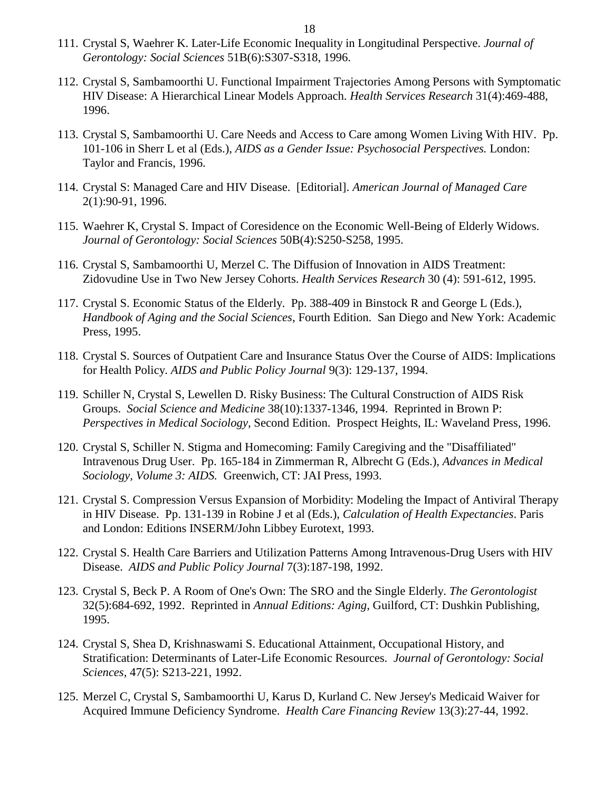- 111. Crystal S, Waehrer K. Later-Life Economic Inequality in Longitudinal Perspective. *Journal of Gerontology: Social Sciences* 51B(6):S307-S318, 1996.
- 112. Crystal S, Sambamoorthi U. Functional Impairment Trajectories Among Persons with Symptomatic HIV Disease: A Hierarchical Linear Models Approach. *Health Services Research* 31(4):469-488, 1996.
- 113. Crystal S, Sambamoorthi U. Care Needs and Access to Care among Women Living With HIV. Pp. 101-106 in Sherr L et al (Eds.), *AIDS as a Gender Issue: Psychosocial Perspectives.* London: Taylor and Francis, 1996.
- 114. Crystal S: Managed Care and HIV Disease. [Editorial]. *American Journal of Managed Care*  2(1):90-91, 1996.
- 115. Waehrer K, Crystal S. Impact of Coresidence on the Economic Well-Being of Elderly Widows. *Journal of Gerontology: Social Sciences* 50B(4):S250-S258, 1995.
- 116. Crystal S, Sambamoorthi U, Merzel C. The Diffusion of Innovation in AIDS Treatment: Zidovudine Use in Two New Jersey Cohorts. *Health Services Research* 30 (4): 591-612, 1995.
- 117. Crystal S. Economic Status of the Elderly. Pp. 388-409 in Binstock R and George L (Eds.), *Handbook of Aging and the Social Sciences*, Fourth Edition. San Diego and New York: Academic Press, 1995.
- 118. Crystal S. Sources of Outpatient Care and Insurance Status Over the Course of AIDS: Implications for Health Policy. *AIDS and Public Policy Journal* 9(3): 129-137, 1994.
- 119. Schiller N, Crystal S, Lewellen D. Risky Business: The Cultural Construction of AIDS Risk Groups. *Social Science and Medicine* 38(10):1337-1346, 1994. Reprinted in Brown P: *Perspectives in Medical Sociology,* Second Edition. Prospect Heights, IL: Waveland Press, 1996.
- 120. Crystal S, Schiller N. Stigma and Homecoming: Family Caregiving and the "Disaffiliated" Intravenous Drug User. Pp. 165-184 in Zimmerman R, Albrecht G (Eds.), *Advances in Medical Sociology, Volume 3: AIDS.* Greenwich, CT: JAI Press, 1993.
- 121. Crystal S. Compression Versus Expansion of Morbidity: Modeling the Impact of Antiviral Therapy in HIV Disease. Pp. 131-139 in Robine J et al (Eds.), *Calculation of Health Expectancies*. Paris and London: Editions INSERM/John Libbey Eurotext, 1993.
- 122. Crystal S. Health Care Barriers and Utilization Patterns Among Intravenous-Drug Users with HIV Disease. *AIDS and Public Policy Journal* 7(3):187-198, 1992.
- 123. Crystal S, Beck P. A Room of One's Own: The SRO and the Single Elderly. *The Gerontologist*  32(5):684-692, 1992. Reprinted in *Annual Editions: Aging*, Guilford, CT: Dushkin Publishing, 1995.
- 124. Crystal S, Shea D, Krishnaswami S. Educational Attainment, Occupational History, and Stratification: Determinants of Later-Life Economic Resources. *Journal of Gerontology: Social Sciences*, 47(5): S213-221, 1992.
- 125. Merzel C, Crystal S, Sambamoorthi U, Karus D, Kurland C. New Jersey's Medicaid Waiver for Acquired Immune Deficiency Syndrome. *Health Care Financing Review* 13(3):27-44, 1992.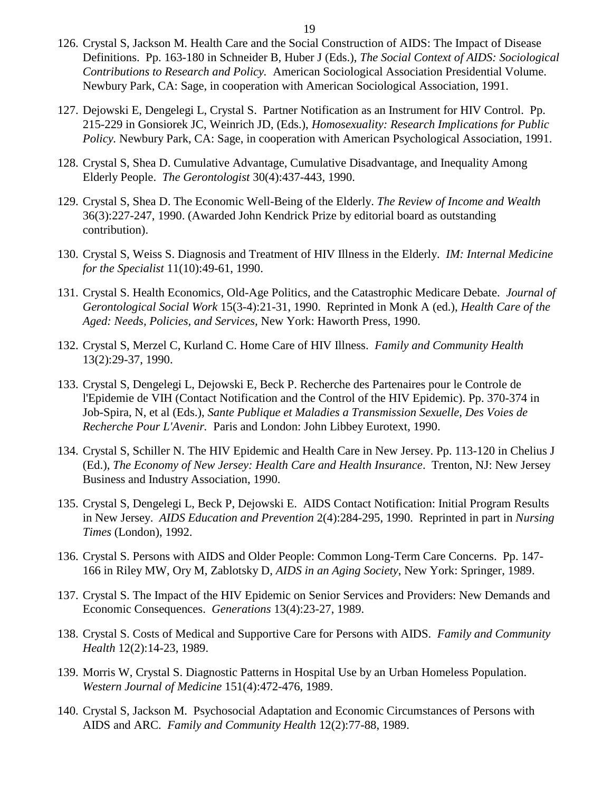- 126. Crystal S, Jackson M. Health Care and the Social Construction of AIDS: The Impact of Disease Definitions. Pp. 163-180 in Schneider B, Huber J (Eds.), *The Social Context of AIDS: Sociological Contributions to Research and Policy.* American Sociological Association Presidential Volume. Newbury Park, CA: Sage, in cooperation with American Sociological Association, 1991.
- 127. Dejowski E, Dengelegi L, Crystal S. Partner Notification as an Instrument for HIV Control. Pp. 215-229 in Gonsiorek JC, Weinrich JD, (Eds.), *Homosexuality: Research Implications for Public Policy.* Newbury Park, CA: Sage, in cooperation with American Psychological Association, 1991.
- 128. Crystal S, Shea D. Cumulative Advantage, Cumulative Disadvantage, and Inequality Among Elderly People. *The Gerontologist* 30(4):437-443, 1990.
- 129. Crystal S, Shea D. The Economic Well-Being of the Elderly. *The Review of Income and Wealth*  36(3):227-247, 1990. (Awarded John Kendrick Prize by editorial board as outstanding contribution).
- 130. Crystal S, Weiss S. Diagnosis and Treatment of HIV Illness in the Elderly. *IM: Internal Medicine for the Specialist* 11(10):49-61, 1990.
- 131. Crystal S. Health Economics, Old-Age Politics, and the Catastrophic Medicare Debate. *Journal of Gerontological Social Work* 15(3-4):21-31, 1990. Reprinted in Monk A (ed.), *Health Care of the Aged: Needs, Policies, and Services,* New York: Haworth Press, 1990.
- 132. Crystal S, Merzel C, Kurland C. Home Care of HIV Illness. *Family and Community Health*  13(2):29-37, 1990.
- 133. Crystal S, Dengelegi L, Dejowski E, Beck P. Recherche des Partenaires pour le Controle de l'Epidemie de VIH (Contact Notification and the Control of the HIV Epidemic). Pp. 370-374 in Job-Spira, N, et al (Eds.), *Sante Publique et Maladies a Transmission Sexuelle, Des Voies de Recherche Pour L'Avenir.* Paris and London: John Libbey Eurotext, 1990.
- 134. Crystal S, Schiller N. The HIV Epidemic and Health Care in New Jersey. Pp. 113-120 in Chelius J (Ed.), *The Economy of New Jersey: Health Care and Health Insurance*. Trenton, NJ: New Jersey Business and Industry Association, 1990.
- 135. Crystal S, Dengelegi L, Beck P, Dejowski E. AIDS Contact Notification: Initial Program Results in New Jersey. *AIDS Education and Prevention* 2(4):284-295, 1990. Reprinted in part in *Nursing Times* (London), 1992.
- 136. Crystal S. Persons with AIDS and Older People: Common Long-Term Care Concerns. Pp. 147- 166 in Riley MW, Ory M, Zablotsky D, *AIDS in an Aging Society*, New York: Springer, 1989.
- 137. Crystal S. The Impact of the HIV Epidemic on Senior Services and Providers: New Demands and Economic Consequences. *Generations* 13(4):23-27, 1989.
- 138. Crystal S. Costs of Medical and Supportive Care for Persons with AIDS. *Family and Community Health* 12(2):14-23, 1989.
- 139. Morris W, Crystal S. Diagnostic Patterns in Hospital Use by an Urban Homeless Population. *Western Journal of Medicine* 151(4):472-476, 1989.
- 140. Crystal S, Jackson M. Psychosocial Adaptation and Economic Circumstances of Persons with AIDS and ARC. *Family and Community Health* 12(2):77-88, 1989.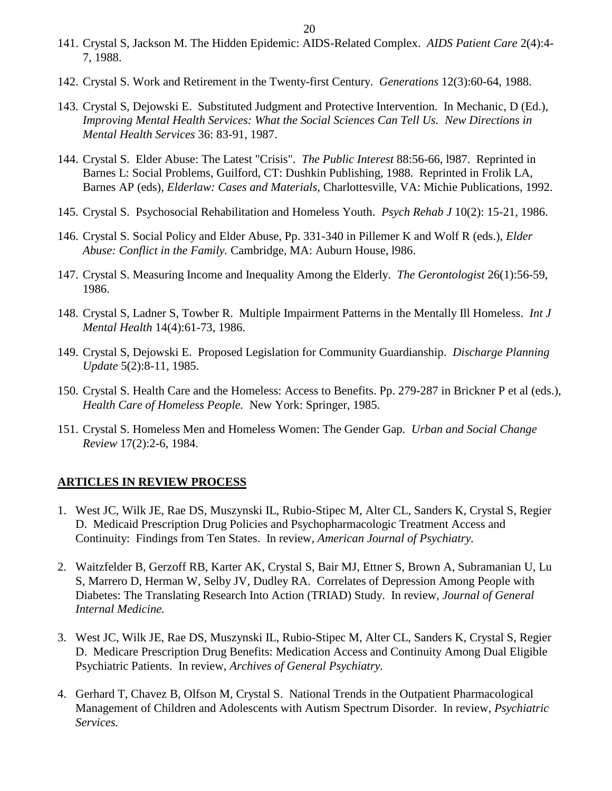- 141. Crystal S, Jackson M. The Hidden Epidemic: AIDS-Related Complex. *AIDS Patient Care* 2(4):4- 7, 1988.
- 142. Crystal S. Work and Retirement in the Twenty-first Century. *Generations* 12(3):60-64, 1988.
- 143. Crystal S, Dejowski E. Substituted Judgment and Protective Intervention. In Mechanic, D (Ed.), *Improving Mental Health Services: What the Social Sciences Can Tell Us. New Directions in Mental Health Services* 36: 83-91, 1987.
- 144. Crystal S. Elder Abuse: The Latest "Crisis". *The Public Interest* 88:56-66, l987. Reprinted in Barnes L: Social Problems, Guilford, CT: Dushkin Publishing, 1988. Reprinted in Frolik LA, Barnes AP (eds), *Elderlaw: Cases and Materials*, Charlottesville, VA: Michie Publications, 1992.
- 145. Crystal S. Psychosocial Rehabilitation and Homeless Youth. *Psych Rehab J* 10(2): 15-21, 1986.
- 146. Crystal S. Social Policy and Elder Abuse, Pp. 331-340 in Pillemer K and Wolf R (eds.), *Elder Abuse: Conflict in the Family.* Cambridge, MA: Auburn House, l986.
- 147. Crystal S. Measuring Income and Inequality Among the Elderly. *The Gerontologist* 26(1):56-59, 1986.
- 148. Crystal S, Ladner S, Towber R. Multiple Impairment Patterns in the Mentally Ill Homeless. *Int J Mental Health* 14(4):61-73, 1986.
- 149. Crystal S, Dejowski E. Proposed Legislation for Community Guardianship. *Discharge Planning Update* 5(2):8-11, 1985.
- 150. Crystal S. Health Care and the Homeless: Access to Benefits. Pp. 279-287 in Brickner P et al (eds.), *Health Care of Homeless People.* New York: Springer, 1985.
- 151. Crystal S. Homeless Men and Homeless Women: The Gender Gap. *Urban and Social Change Review* 17(2):2-6, 1984.

### **ARTICLES IN REVIEW PROCESS**

- 1. West JC, Wilk JE, Rae DS, Muszynski IL, Rubio-Stipec M, Alter CL, Sanders K, Crystal S, Regier D. Medicaid Prescription Drug Policies and Psychopharmacologic Treatment Access and Continuity: Findings from Ten States. In review, *American Journal of Psychiatry.*
- 2. Waitzfelder B, Gerzoff RB, Karter AK, Crystal S, Bair MJ, Ettner S, Brown A, Subramanian U, Lu S, Marrero D, Herman W, Selby JV, Dudley RA. Correlates of Depression Among People with Diabetes: The Translating Research Into Action (TRIAD) Study. In review, *Journal of General Internal Medicine.*
- 3. West JC, Wilk JE, Rae DS, Muszynski IL, Rubio-Stipec M, Alter CL, Sanders K, Crystal S, Regier D. Medicare Prescription Drug Benefits: Medication Access and Continuity Among Dual Eligible Psychiatric Patients. In review, *Archives of General Psychiatry.*
- 4. Gerhard T, Chavez B, Olfson M, Crystal S. National Trends in the Outpatient Pharmacological Management of Children and Adolescents with Autism Spectrum Disorder. In review, *Psychiatric Services.*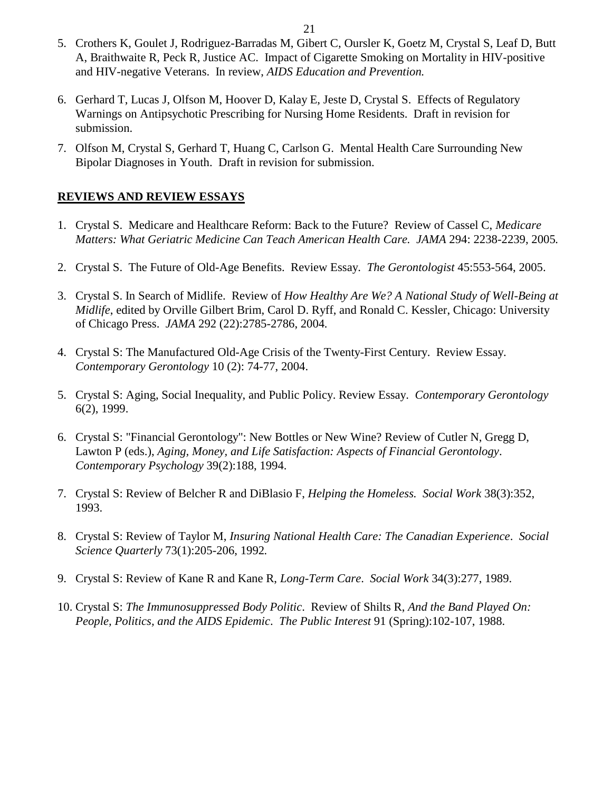- 5. Crothers K, Goulet J, Rodriguez-Barradas M, Gibert C, Oursler K, Goetz M, Crystal S, Leaf D, Butt A, Braithwaite R, Peck R, Justice AC. Impact of Cigarette Smoking on Mortality in HIV-positive and HIV-negative Veterans. In review, *AIDS Education and Prevention.*
- 6. Gerhard T, Lucas J, Olfson M, Hoover D, Kalay E, Jeste D, Crystal S. Effects of Regulatory Warnings on Antipsychotic Prescribing for Nursing Home Residents. Draft in revision for submission.
- 7. Olfson M, Crystal S, Gerhard T, Huang C, Carlson G. Mental Health Care Surrounding New Bipolar Diagnoses in Youth. Draft in revision for submission.

### **REVIEWS AND REVIEW ESSAYS**

- 1. Crystal S. Medicare and Healthcare Reform: Back to the Future? Review of Cassel C, *Medicare Matters: What Geriatric Medicine Can Teach American Health Care. JAMA* 294: 2238-2239, 2005*.*
- 2. Crystal S. The Future of Old-Age Benefits. Review Essay. *The Gerontologist* 45:553-564, 2005.
- 3. Crystal S. In Search of Midlife. Review of *How Healthy Are We? A National Study of Well-Being at Midlife*, edited by Orville Gilbert Brim, Carol D. Ryff, and Ronald C. Kessler, Chicago: University of Chicago Press. *JAMA* 292 (22):2785-2786, 2004*.*
- 4. Crystal S: The Manufactured Old-Age Crisis of the Twenty-First Century. Review Essay. *Contemporary Gerontology* 10 (2): 74-77, 2004.
- 5. Crystal S: Aging, Social Inequality, and Public Policy. Review Essay. *Contemporary Gerontology*  6(2), 1999.
- 6. Crystal S: "Financial Gerontology": New Bottles or New Wine? Review of Cutler N, Gregg D, Lawton P (eds.), *Aging, Money, and Life Satisfaction: Aspects of Financial Gerontology*. *Contemporary Psychology* 39(2):188, 1994.
- 7. Crystal S: Review of Belcher R and DiBlasio F, *Helping the Homeless. Social Work* 38(3):352, 1993.
- 8. Crystal S: Review of Taylor M, *Insuring National Health Care: The Canadian Experience*. *Social Science Quarterly* 73(1):205-206, 1992*.*
- 9. Crystal S: Review of Kane R and Kane R, *Long-Term Care*. *Social Work* 34(3):277, 1989.
- 10. Crystal S: *The Immunosuppressed Body Politic*. Review of Shilts R, *And the Band Played On: People, Politics, and the AIDS Epidemic*. *The Public Interest* 91 (Spring):102-107, 1988.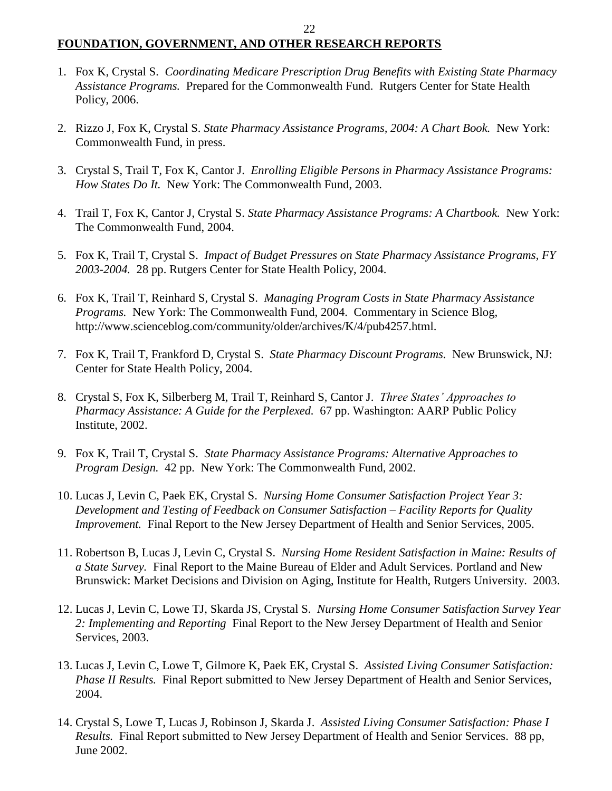# **FOUNDATION, GOVERNMENT, AND OTHER RESEARCH REPORTS**

- 1. Fox K, Crystal S. *Coordinating Medicare Prescription Drug Benefits with Existing State Pharmacy Assistance Programs.* Prepared for the Commonwealth Fund. Rutgers Center for State Health Policy, 2006.
- 2. Rizzo J, Fox K, Crystal S. *State Pharmacy Assistance Programs, 2004: A Chart Book.* New York: Commonwealth Fund, in press.
- 3. Crystal S, Trail T, Fox K, Cantor J. *Enrolling Eligible Persons in Pharmacy Assistance Programs: How States Do It.* New York: The Commonwealth Fund, 2003.
- 4. Trail T, Fox K, Cantor J, Crystal S. *State Pharmacy Assistance Programs: A Chartbook.* New York: The Commonwealth Fund, 2004.
- 5. Fox K, Trail T, Crystal S. *Impact of Budget Pressures on State Pharmacy Assistance Programs, FY 2003-2004.* 28 pp. Rutgers Center for State Health Policy, 2004.
- 6. Fox K, Trail T, Reinhard S, Crystal S. *Managing Program Costs in State Pharmacy Assistance Programs.* New York: The Commonwealth Fund, 2004. Commentary in Science Blog, http://www.scienceblog.com/community/older/archives/K/4/pub4257.html.
- 7. Fox K, Trail T, Frankford D, Crystal S. *State Pharmacy Discount Programs.* New Brunswick, NJ: Center for State Health Policy, 2004.
- 8. Crystal S, Fox K, Silberberg M, Trail T, Reinhard S, Cantor J. *Three States' Approaches to Pharmacy Assistance: A Guide for the Perplexed.* 67 pp. Washington: AARP Public Policy Institute, 2002.
- 9. Fox K, Trail T, Crystal S. *State Pharmacy Assistance Programs: Alternative Approaches to Program Design.* 42 pp. New York: The Commonwealth Fund, 2002.
- 10. Lucas J, Levin C, Paek EK, Crystal S. *Nursing Home Consumer Satisfaction Project Year 3: Development and Testing of Feedback on Consumer Satisfaction – Facility Reports for Quality Improvement.* Final Report to the New Jersey Department of Health and Senior Services, 2005.
- 11. Robertson B, Lucas J, Levin C, Crystal S. *Nursing Home Resident Satisfaction in Maine: Results of a State Survey.* Final Report to the Maine Bureau of Elder and Adult Services. Portland and New Brunswick: Market Decisions and Division on Aging, Institute for Health, Rutgers University. 2003.
- 12. Lucas J, Levin C, Lowe TJ, Skarda JS, Crystal S. *Nursing Home Consumer Satisfaction Survey Year 2: Implementing and Reporting* Final Report to the New Jersey Department of Health and Senior Services, 2003.
- 13. Lucas J, Levin C, Lowe T, Gilmore K, Paek EK, Crystal S. *Assisted Living Consumer Satisfaction: Phase II Results.* Final Report submitted to New Jersey Department of Health and Senior Services, 2004.
- 14. Crystal S, Lowe T, Lucas J, Robinson J, Skarda J. *Assisted Living Consumer Satisfaction: Phase I Results.* Final Report submitted to New Jersey Department of Health and Senior Services. 88 pp, June 2002.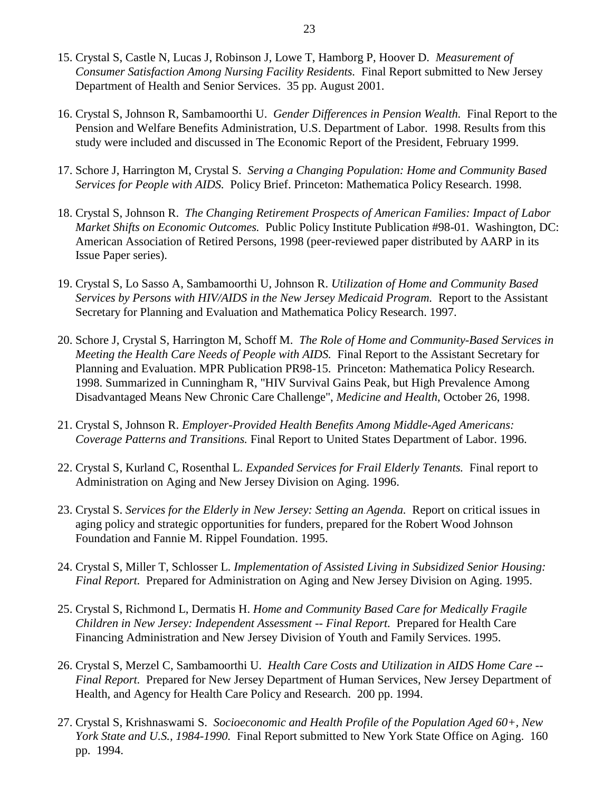- 15. Crystal S, Castle N, Lucas J, Robinson J, Lowe T, Hamborg P, Hoover D. *Measurement of Consumer Satisfaction Among Nursing Facility Residents.* Final Report submitted to New Jersey Department of Health and Senior Services. 35 pp. August 2001.
- 16. Crystal S, Johnson R, Sambamoorthi U. *Gender Differences in Pension Wealth.* Final Report to the Pension and Welfare Benefits Administration, U.S. Department of Labor. 1998. Results from this study were included and discussed in The Economic Report of the President, February 1999.
- 17. Schore J, Harrington M, Crystal S. *Serving a Changing Population: Home and Community Based Services for People with AIDS.* Policy Brief. Princeton: Mathematica Policy Research. 1998.
- 18. Crystal S, Johnson R. *The Changing Retirement Prospects of American Families: Impact of Labor Market Shifts on Economic Outcomes.* Public Policy Institute Publication #98-01. Washington, DC: American Association of Retired Persons, 1998 (peer-reviewed paper distributed by AARP in its Issue Paper series).
- 19. Crystal S, Lo Sasso A, Sambamoorthi U, Johnson R. *Utilization of Home and Community Based Services by Persons with HIV/AIDS in the New Jersey Medicaid Program.* Report to the Assistant Secretary for Planning and Evaluation and Mathematica Policy Research. 1997.
- 20. Schore J, Crystal S, Harrington M, Schoff M. *The Role of Home and Community-Based Services in Meeting the Health Care Needs of People with AIDS.* Final Report to the Assistant Secretary for Planning and Evaluation. MPR Publication PR98-15. Princeton: Mathematica Policy Research. 1998. Summarized in Cunningham R, "HIV Survival Gains Peak, but High Prevalence Among Disadvantaged Means New Chronic Care Challenge", *Medicine and Health*, October 26, 1998.
- 21. Crystal S, Johnson R. *Employer-Provided Health Benefits Among Middle-Aged Americans: Coverage Patterns and Transitions.* Final Report to United States Department of Labor. 1996.
- 22. Crystal S, Kurland C, Rosenthal L. *Expanded Services for Frail Elderly Tenants.* Final report to Administration on Aging and New Jersey Division on Aging. 1996.
- 23. Crystal S. *Services for the Elderly in New Jersey: Setting an Agenda.* Report on critical issues in aging policy and strategic opportunities for funders, prepared for the Robert Wood Johnson Foundation and Fannie M. Rippel Foundation. 1995.
- 24. Crystal S, Miller T, Schlosser L. *Implementation of Assisted Living in Subsidized Senior Housing: Final Report.* Prepared for Administration on Aging and New Jersey Division on Aging. 1995.
- 25. Crystal S, Richmond L, Dermatis H. *Home and Community Based Care for Medically Fragile Children in New Jersey: Independent Assessment -- Final Report.* Prepared for Health Care Financing Administration and New Jersey Division of Youth and Family Services. 1995.
- 26. Crystal S, Merzel C, Sambamoorthi U. *Health Care Costs and Utilization in AIDS Home Care -- Final Report.* Prepared for New Jersey Department of Human Services, New Jersey Department of Health, and Agency for Health Care Policy and Research. 200 pp. 1994.
- 27. Crystal S, Krishnaswami S. *Socioeconomic and Health Profile of the Population Aged 60+, New York State and U.S., 1984-1990.* Final Report submitted to New York State Office on Aging. 160 pp. 1994.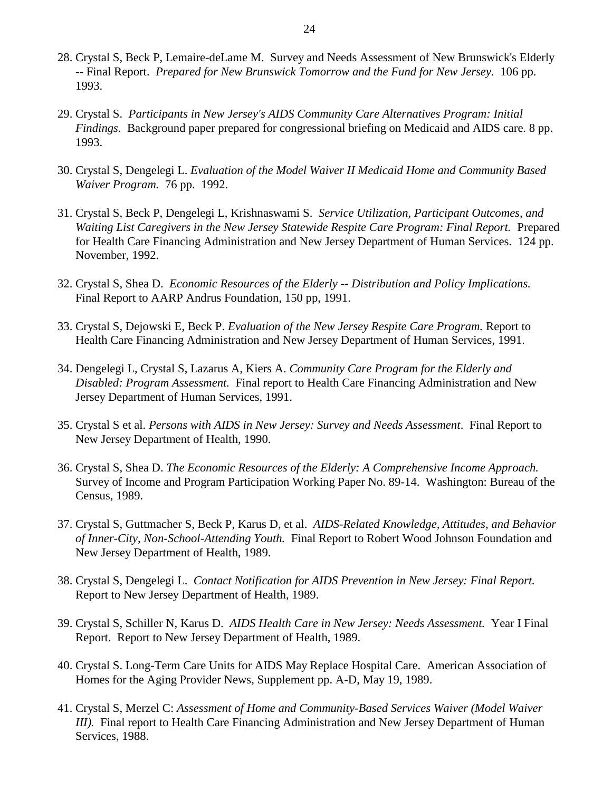- 28. Crystal S, Beck P, Lemaire-deLame M. Survey and Needs Assessment of New Brunswick's Elderly -- Final Report. *Prepared for New Brunswick Tomorrow and the Fund for New Jersey.* 106 pp. 1993.
- 29. Crystal S. *Participants in New Jersey's AIDS Community Care Alternatives Program: Initial Findings.* Background paper prepared for congressional briefing on Medicaid and AIDS care. 8 pp. 1993.
- 30. Crystal S, Dengelegi L. *Evaluation of the Model Waiver II Medicaid Home and Community Based Waiver Program.* 76 pp. 1992.
- 31. Crystal S, Beck P, Dengelegi L, Krishnaswami S. *Service Utilization, Participant Outcomes, and Waiting List Caregivers in the New Jersey Statewide Respite Care Program: Final Report.* Prepared for Health Care Financing Administration and New Jersey Department of Human Services. 124 pp. November, 1992.
- 32. Crystal S, Shea D. *Economic Resources of the Elderly -- Distribution and Policy Implications.*  Final Report to AARP Andrus Foundation, 150 pp, 1991.
- 33. Crystal S, Dejowski E, Beck P. *Evaluation of the New Jersey Respite Care Program.* Report to Health Care Financing Administration and New Jersey Department of Human Services, 1991.
- 34. Dengelegi L, Crystal S, Lazarus A, Kiers A. *Community Care Program for the Elderly and Disabled: Program Assessment.* Final report to Health Care Financing Administration and New Jersey Department of Human Services, 1991.
- 35. Crystal S et al. *Persons with AIDS in New Jersey: Survey and Needs Assessment*. Final Report to New Jersey Department of Health, 1990.
- 36. Crystal S, Shea D. *The Economic Resources of the Elderly: A Comprehensive Income Approach.* Survey of Income and Program Participation Working Paper No. 89-14. Washington: Bureau of the Census, 1989.
- 37. Crystal S, Guttmacher S, Beck P, Karus D, et al. *AIDS-Related Knowledge, Attitudes, and Behavior of Inner-City, Non-School-Attending Youth.* Final Report to Robert Wood Johnson Foundation and New Jersey Department of Health, 1989.
- 38. Crystal S, Dengelegi L. *Contact Notification for AIDS Prevention in New Jersey: Final Report.* Report to New Jersey Department of Health, 1989.
- 39. Crystal S, Schiller N, Karus D. *AIDS Health Care in New Jersey: Needs Assessment.* Year I Final Report. Report to New Jersey Department of Health, 1989.
- 40. Crystal S. Long-Term Care Units for AIDS May Replace Hospital Care. American Association of Homes for the Aging Provider News, Supplement pp. A-D, May 19, 1989.
- 41. Crystal S, Merzel C: *Assessment of Home and Community-Based Services Waiver (Model Waiver III*). Final report to Health Care Financing Administration and New Jersey Department of Human Services, 1988.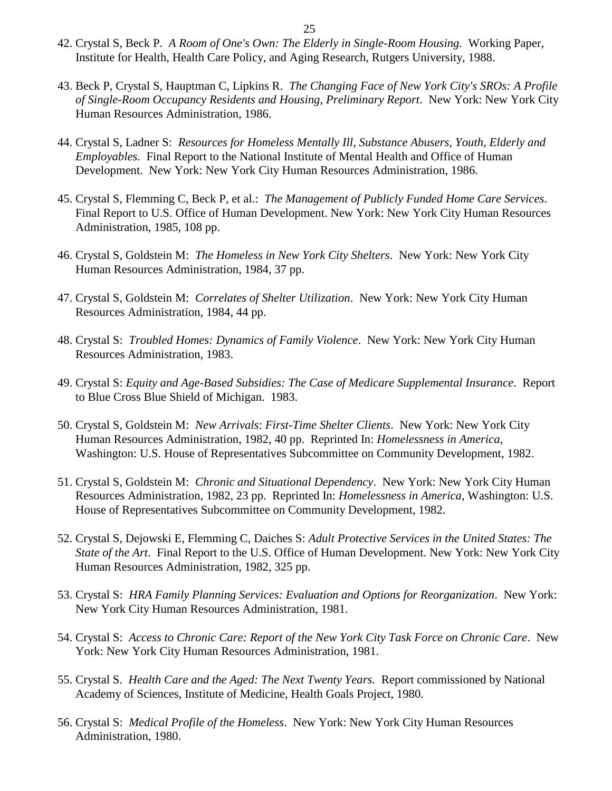- 42. Crystal S, Beck P. *A Room of One's Own: The Elderly in Single-Room Housing.* Working Paper, Institute for Health, Health Care Policy, and Aging Research, Rutgers University, 1988.
- 43. Beck P, Crystal S, Hauptman C, Lipkins R. *The Changing Face of New York City's SROs: A Profile of Single-Room Occupancy Residents and Housing*, *Preliminary Report*. New York: New York City Human Resources Administration, 1986.
- 44. Crystal S, Ladner S: *Resources for Homeless Mentally Ill, Substance Abusers, Youth, Elderly and Employables.* Final Report to the National Institute of Mental Health and Office of Human Development. New York: New York City Human Resources Administration, 1986.
- 45. Crystal S, Flemming C, Beck P, et al.: *The Management of Publicly Funded Home Care Services*. Final Report to U.S. Office of Human Development. New York: New York City Human Resources Administration, 1985, 108 pp.
- 46. Crystal S, Goldstein M: *The Homeless in New York City Shelters*. New York: New York City Human Resources Administration, 1984, 37 pp.
- 47. Crystal S, Goldstein M: *Correlates of Shelter Utilization*. New York: New York City Human Resources Administration, 1984, 44 pp.
- 48. Crystal S: *Troubled Homes: Dynamics of Family Violence*. New York: New York City Human Resources Administration, 1983.
- 49. Crystal S: *Equity and Age-Based Subsidies: The Case of Medicare Supplemental Insurance*. Report to Blue Cross Blue Shield of Michigan. 1983.
- 50. Crystal S, Goldstein M: *New Arrivals*: *First-Time Shelter Clients*. New York: New York City Human Resources Administration, 1982, 40 pp. Reprinted In: *Homelessness in America*, Washington: U.S. House of Representatives Subcommittee on Community Development, 1982.
- 51. Crystal S, Goldstein M: *Chronic and Situational Dependency*. New York: New York City Human Resources Administration, 1982, 23 pp. Reprinted In: *Homelessness in America*, Washington: U.S. House of Representatives Subcommittee on Community Development, 1982.
- 52. Crystal S, Dejowski E, Flemming C, Daiches S: *Adult Protective Services in the United States: The State of the Art*. Final Report to the U.S. Office of Human Development. New York: New York City Human Resources Administration, 1982, 325 pp.
- 53. Crystal S: *HRA Family Planning Services: Evaluation and Options for Reorganization*. New York: New York City Human Resources Administration, 1981.
- 54. Crystal S: *Access to Chronic Care: Report of the New York City Task Force on Chronic Care*. New York: New York City Human Resources Administration, 1981.
- 55. Crystal S. *Health Care and the Aged: The Next Twenty Years.* Report commissioned by National Academy of Sciences, Institute of Medicine, Health Goals Project, 1980.
- 56. Crystal S: *Medical Profile of the Homeless*. New York: New York City Human Resources Administration, 1980.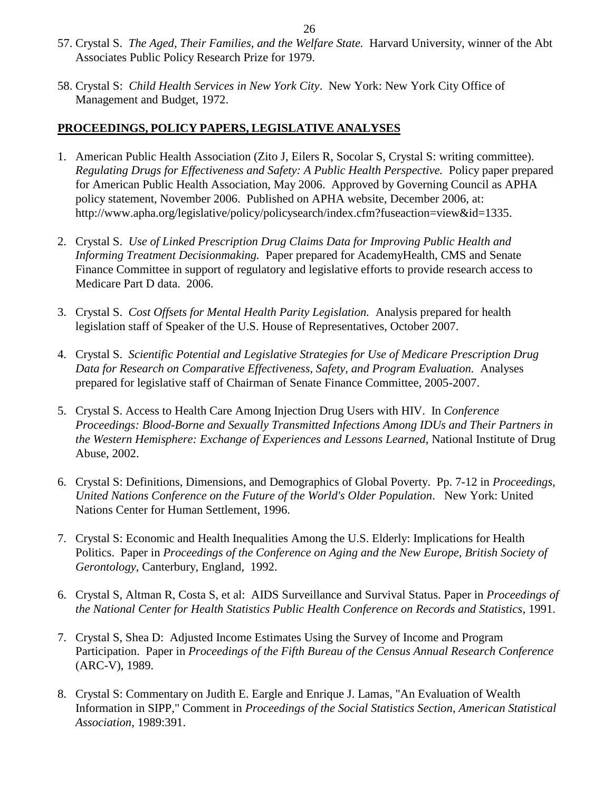- 57. Crystal S. *The Aged, Their Families, and the Welfare State.* Harvard University, winner of the Abt Associates Public Policy Research Prize for 1979.
- 58. Crystal S: *Child Health Services in New York City*. New York: New York City Office of Management and Budget, 1972.

## **PROCEEDINGS, POLICY PAPERS, LEGISLATIVE ANALYSES**

- 1. American Public Health Association (Zito J, Eilers R, Socolar S, Crystal S: writing committee). *Regulating Drugs for Effectiveness and Safety: A Public Health Perspective.* Policy paper prepared for American Public Health Association, May 2006. Approved by Governing Council as APHA policy statement, November 2006. Published on APHA website, December 2006, at: http://www.apha.org/legislative/policy/policysearch/index.cfm?fuseaction=view&id=1335.
- 2. Crystal S. *Use of Linked Prescription Drug Claims Data for Improving Public Health and Informing Treatment Decisionmaking.* Paper prepared for AcademyHealth, CMS and Senate Finance Committee in support of regulatory and legislative efforts to provide research access to Medicare Part D data. 2006.
- 3. Crystal S. *Cost Offsets for Mental Health Parity Legislation.* Analysis prepared for health legislation staff of Speaker of the U.S. House of Representatives, October 2007.
- 4. Crystal S. *Scientific Potential and Legislative Strategies for Use of Medicare Prescription Drug Data for Research on Comparative Effectiveness, Safety, and Program Evaluation.* Analyses prepared for legislative staff of Chairman of Senate Finance Committee, 2005-2007.
- 5. Crystal S. Access to Health Care Among Injection Drug Users with HIV. In *Conference Proceedings: Blood-Borne and Sexually Transmitted Infections Among IDUs and Their Partners in the Western Hemisphere: Exchange of Experiences and Lessons Learned*, National Institute of Drug Abuse, 2002.
- 6. Crystal S: Definitions, Dimensions, and Demographics of Global Poverty. Pp. 7-12 in *Proceedings, United Nations Conference on the Future of the World's Older Population*. New York: United Nations Center for Human Settlement, 1996.
- 7. Crystal S: Economic and Health Inequalities Among the U.S. Elderly: Implications for Health Politics. Paper in *Proceedings of the Conference on Aging and the New Europe, British Society of Gerontology*, Canterbury, England, 1992.
- 6. Crystal S, Altman R, Costa S, et al: AIDS Surveillance and Survival Status. Paper in *Proceedings of the National Center for Health Statistics Public Health Conference on Records and Statistics*, 1991.
- 7. Crystal S, Shea D: Adjusted Income Estimates Using the Survey of Income and Program Participation. Paper in *Proceedings of the Fifth Bureau of the Census Annual Research Conference*  (ARC-V), 1989.
- 8. Crystal S: Commentary on Judith E. Eargle and Enrique J. Lamas, "An Evaluation of Wealth Information in SIPP," Comment in *Proceedings of the Social Statistics Section*, *American Statistical Association*, 1989:391.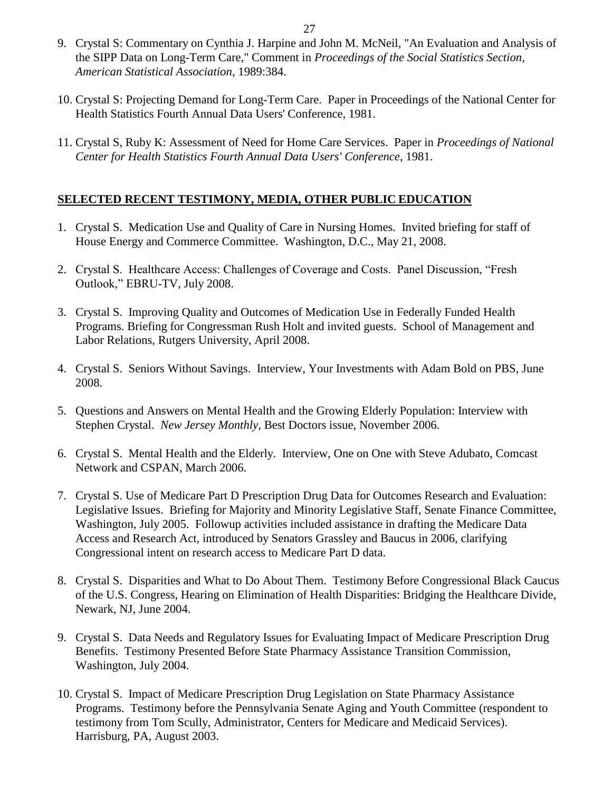- 9. Crystal S: Commentary on Cynthia J. Harpine and John M. McNeil, "An Evaluation and Analysis of the SIPP Data on Long-Term Care," Comment in *Proceedings of the Social Statistics Section, American Statistical Association*, 1989:384.
- 10. Crystal S: Projecting Demand for Long-Term Care. Paper in Proceedings of the National Center for Health Statistics Fourth Annual Data Users' Conference, 1981.
- 11. Crystal S, Ruby K: Assessment of Need for Home Care Services. Paper in *Proceedings of National Center for Health Statistics Fourth Annual Data Users' Conference*, 1981.

## **SELECTED RECENT TESTIMONY, MEDIA, OTHER PUBLIC EDUCATION**

- 1. Crystal S. Medication Use and Quality of Care in Nursing Homes. Invited briefing for staff of House Energy and Commerce Committee. Washington, D.C., May 21, 2008.
- 2. Crystal S. Healthcare Access: Challenges of Coverage and Costs. Panel Discussion, "Fresh Outlook," EBRU-TV, July 2008.
- 3. Crystal S. Improving Quality and Outcomes of Medication Use in Federally Funded Health Programs. Briefing for Congressman Rush Holt and invited guests. School of Management and Labor Relations, Rutgers University, April 2008.
- 4. Crystal S. Seniors Without Savings. Interview, Your Investments with Adam Bold on PBS, June 2008.
- 5. Questions and Answers on Mental Health and the Growing Elderly Population: Interview with Stephen Crystal. *New Jersey Monthly,* Best Doctors issue, November 2006.
- 6. Crystal S. Mental Health and the Elderly. Interview, One on One with Steve Adubato, Comcast Network and CSPAN, March 2006.
- 7. Crystal S. Use of Medicare Part D Prescription Drug Data for Outcomes Research and Evaluation: Legislative Issues. Briefing for Majority and Minority Legislative Staff, Senate Finance Committee, Washington, July 2005. Followup activities included assistance in drafting the Medicare Data Access and Research Act, introduced by Senators Grassley and Baucus in 2006, clarifying Congressional intent on research access to Medicare Part D data.
- 8. Crystal S. Disparities and What to Do About Them. Testimony Before Congressional Black Caucus of the U.S. Congress, Hearing on Elimination of Health Disparities: Bridging the Healthcare Divide, Newark, NJ, June 2004.
- 9. Crystal S. Data Needs and Regulatory Issues for Evaluating Impact of Medicare Prescription Drug Benefits. Testimony Presented Before State Pharmacy Assistance Transition Commission, Washington, July 2004.
- 10. Crystal S. Impact of Medicare Prescription Drug Legislation on State Pharmacy Assistance Programs. Testimony before the Pennsylvania Senate Aging and Youth Committee (respondent to testimony from Tom Scully, Administrator, Centers for Medicare and Medicaid Services). Harrisburg, PA, August 2003.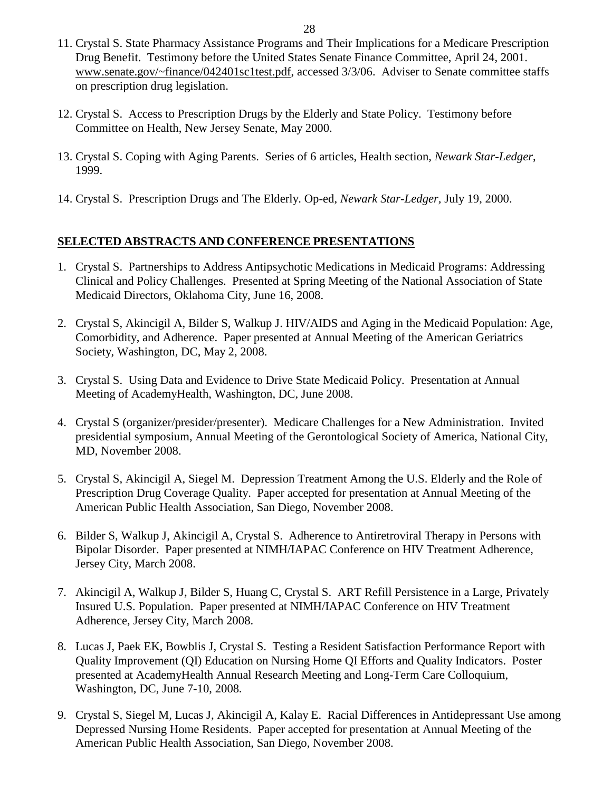- 11. Crystal S. State Pharmacy Assistance Programs and Their Implications for a Medicare Prescription Drug Benefit. Testimony before the United States Senate Finance Committee, April 24, 2001. [www.senate.gov/~finance/042401sc1test.pdf,](http://www.senate.gov/~finance/042401sc1test.pdf) accessed 3/3/06. Adviser to Senate committee staffs on prescription drug legislation.
- 12. Crystal S. Access to Prescription Drugs by the Elderly and State Policy. Testimony before Committee on Health, New Jersey Senate, May 2000.
- 13. Crystal S. Coping with Aging Parents. Series of 6 articles, Health section, *Newark Star-Ledger*, 1999.
- 14. Crystal S. Prescription Drugs and The Elderly. Op-ed, *Newark Star-Ledger,* July 19, 2000.

## **SELECTED ABSTRACTS AND CONFERENCE PRESENTATIONS**

- 1. Crystal S. Partnerships to Address Antipsychotic Medications in Medicaid Programs: Addressing Clinical and Policy Challenges. Presented at Spring Meeting of the National Association of State Medicaid Directors, Oklahoma City, June 16, 2008.
- 2. Crystal S, Akincigil A, Bilder S, Walkup J. HIV/AIDS and Aging in the Medicaid Population: Age, Comorbidity, and Adherence. Paper presented at Annual Meeting of the American Geriatrics Society, Washington, DC, May 2, 2008.
- 3. Crystal S. Using Data and Evidence to Drive State Medicaid Policy. Presentation at Annual Meeting of AcademyHealth, Washington, DC, June 2008.
- 4. Crystal S (organizer/presider/presenter). Medicare Challenges for a New Administration. Invited presidential symposium, Annual Meeting of the Gerontological Society of America, National City, MD, November 2008.
- 5. Crystal S, Akincigil A, Siegel M. Depression Treatment Among the U.S. Elderly and the Role of Prescription Drug Coverage Quality. Paper accepted for presentation at Annual Meeting of the American Public Health Association, San Diego, November 2008.
- 6. Bilder S, Walkup J, Akincigil A, Crystal S. Adherence to Antiretroviral Therapy in Persons with Bipolar Disorder. Paper presented at NIMH/IAPAC Conference on HIV Treatment Adherence, Jersey City, March 2008.
- 7. Akincigil A, Walkup J, Bilder S, Huang C, Crystal S. ART Refill Persistence in a Large, Privately Insured U.S. Population. Paper presented at NIMH/IAPAC Conference on HIV Treatment Adherence, Jersey City, March 2008.
- 8. Lucas J, Paek EK, Bowblis J, Crystal S. Testing a Resident Satisfaction Performance Report with Quality Improvement (QI) Education on Nursing Home QI Efforts and Quality Indicators. Poster presented at AcademyHealth Annual Research Meeting and Long-Term Care Colloquium, Washington, DC, June 7-10, 2008**.**
- 9. Crystal S, Siegel M, Lucas J, Akincigil A, Kalay E. Racial Differences in Antidepressant Use among Depressed Nursing Home Residents. Paper accepted for presentation at Annual Meeting of the American Public Health Association, San Diego, November 2008.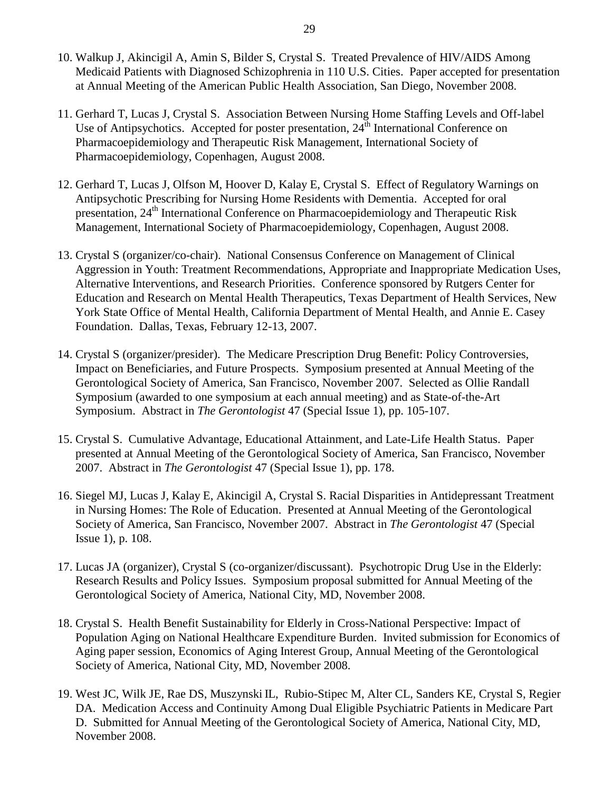- 10. Walkup J, Akincigil A, Amin S, Bilder S, Crystal S. Treated Prevalence of HIV/AIDS Among Medicaid Patients with Diagnosed Schizophrenia in 110 U.S. Cities. Paper accepted for presentation at Annual Meeting of the American Public Health Association, San Diego, November 2008.
- 11. Gerhard T, Lucas J, Crystal S. Association Between Nursing Home Staffing Levels and Off-label Use of Antipsychotics. Accepted for poster presentation,  $24^{\text{th}}$  International Conference on Pharmacoepidemiology and Therapeutic Risk Management, International Society of Pharmacoepidemiology, Copenhagen, August 2008.
- 12. Gerhard T, Lucas J, Olfson M, Hoover D, Kalay E, Crystal S. Effect of Regulatory Warnings on Antipsychotic Prescribing for Nursing Home Residents with Dementia. Accepted for oral presentation, 24<sup>th</sup> International Conference on Pharmacoepidemiology and Therapeutic Risk Management, International Society of Pharmacoepidemiology, Copenhagen, August 2008.
- 13. Crystal S (organizer/co-chair). National Consensus Conference on Management of Clinical Aggression in Youth: Treatment Recommendations, Appropriate and Inappropriate Medication Uses, Alternative Interventions, and Research Priorities. Conference sponsored by Rutgers Center for Education and Research on Mental Health Therapeutics, Texas Department of Health Services, New York State Office of Mental Health, California Department of Mental Health, and Annie E. Casey Foundation. Dallas, Texas, February 12-13, 2007.
- 14. Crystal S (organizer/presider). The Medicare Prescription Drug Benefit: Policy Controversies, Impact on Beneficiaries, and Future Prospects. Symposium presented at Annual Meeting of the Gerontological Society of America, San Francisco, November 2007. Selected as Ollie Randall Symposium (awarded to one symposium at each annual meeting) and as State-of-the-Art Symposium. Abstract in *The Gerontologist* 47 (Special Issue 1), pp. 105-107.
- 15. Crystal S. Cumulative Advantage, Educational Attainment, and Late-Life Health Status. Paper presented at Annual Meeting of the Gerontological Society of America, San Francisco, November 2007. Abstract in *The Gerontologist* 47 (Special Issue 1), pp. 178.
- 16. Siegel MJ, Lucas J, Kalay E, Akincigil A, Crystal S. Racial Disparities in Antidepressant Treatment in Nursing Homes: The Role of Education. Presented at Annual Meeting of the Gerontological Society of America, San Francisco, November 2007. Abstract in *The Gerontologist* 47 (Special Issue 1), p. 108.
- 17. Lucas JA (organizer), Crystal S (co-organizer/discussant). Psychotropic Drug Use in the Elderly: Research Results and Policy Issues. Symposium proposal submitted for Annual Meeting of the Gerontological Society of America, National City, MD, November 2008.
- 18. Crystal S. Health Benefit Sustainability for Elderly in Cross-National Perspective: Impact of Population Aging on National Healthcare Expenditure Burden. Invited submission for Economics of Aging paper session, Economics of Aging Interest Group, Annual Meeting of the Gerontological Society of America, National City, MD, November 2008.
- 19. West JC, Wilk JE, Rae DS, Muszynski IL, Rubio-Stipec M, Alter CL, Sanders KE, Crystal S, Regier DA. Medication Access and Continuity Among Dual Eligible Psychiatric Patients in Medicare Part D. Submitted for Annual Meeting of the Gerontological Society of America, National City, MD, November 2008.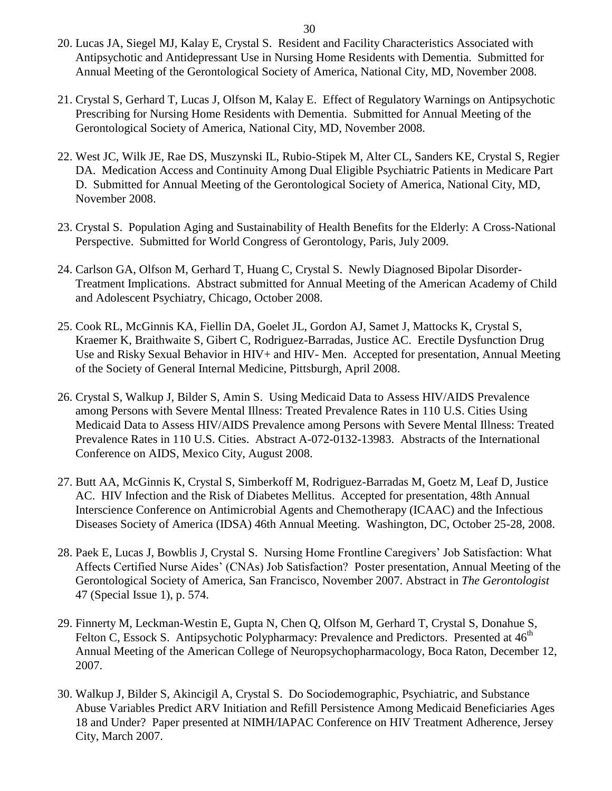- 20. Lucas JA, Siegel MJ, Kalay E, Crystal S. Resident and Facility Characteristics Associated with Antipsychotic and Antidepressant Use in Nursing Home Residents with Dementia. Submitted for Annual Meeting of the Gerontological Society of America, National City, MD, November 2008.
- 21. Crystal S, Gerhard T, Lucas J, Olfson M, Kalay E. Effect of Regulatory Warnings on Antipsychotic Prescribing for Nursing Home Residents with Dementia. Submitted for Annual Meeting of the Gerontological Society of America, National City, MD, November 2008.
- 22. West JC, Wilk JE, Rae DS, Muszynski IL, Rubio-Stipek M, Alter CL, Sanders KE, Crystal S, Regier DA. Medication Access and Continuity Among Dual Eligible Psychiatric Patients in Medicare Part D. Submitted for Annual Meeting of the Gerontological Society of America, National City, MD, November 2008.
- 23. Crystal S. Population Aging and Sustainability of Health Benefits for the Elderly: A Cross-National Perspective. Submitted for World Congress of Gerontology, Paris, July 2009.
- 24. Carlson GA, Olfson M, Gerhard T, Huang C, Crystal S. Newly Diagnosed Bipolar Disorder-Treatment Implications. Abstract submitted for Annual Meeting of the American Academy of Child and Adolescent Psychiatry, Chicago, October 2008.
- 25. Cook RL, McGinnis KA, Fiellin DA, Goelet JL, Gordon AJ, Samet J, Mattocks K, Crystal S, Kraemer K, Braithwaite S, Gibert C, Rodriguez-Barradas, Justice AC. Erectile Dysfunction Drug Use and Risky Sexual Behavior in HIV+ and HIV- Men. Accepted for presentation, Annual Meeting of the Society of General Internal Medicine, Pittsburgh, April 2008.
- 26. Crystal S, Walkup J, Bilder S, Amin S. Using Medicaid Data to Assess HIV/AIDS Prevalence among Persons with Severe Mental Illness: Treated Prevalence Rates in 110 U.S. Cities Using Medicaid Data to Assess HIV/AIDS Prevalence among Persons with Severe Mental Illness: Treated Prevalence Rates in 110 U.S. Cities. Abstract A-072-0132-13983. Abstracts of the International Conference on AIDS, Mexico City, August 2008.
- 27. Butt AA, McGinnis K, Crystal S, Simberkoff M, Rodriguez-Barradas M, Goetz M, Leaf D, Justice AC. HIV Infection and the Risk of Diabetes Mellitus. Accepted for presentation, 48th Annual Interscience Conference on Antimicrobial Agents and Chemotherapy (ICAAC) and the Infectious Diseases Society of America (IDSA) 46th Annual Meeting. Washington, DC, October 25-28, 2008.
- 28. Paek E, Lucas J, Bowblis J, Crystal S. Nursing Home Frontline Caregivers' Job Satisfaction: What Affects Certified Nurse Aides' (CNAs) Job Satisfaction? Poster presentation, Annual Meeting of the Gerontological Society of America, San Francisco, November 2007. Abstract in *The Gerontologist*  47 (Special Issue 1), p. 574.
- 29. Finnerty M, Leckman-Westin E, Gupta N, Chen Q, Olfson M, Gerhard T, Crystal S, Donahue S, Felton C, Essock S. Antipsychotic Polypharmacy: Prevalence and Predictors. Presented at 46<sup>th</sup> Annual Meeting of the American College of Neuropsychopharmacology, Boca Raton, December 12, 2007.
- 30. Walkup J, Bilder S, Akincigil A, Crystal S. Do Sociodemographic, Psychiatric, and Substance Abuse Variables Predict ARV Initiation and Refill Persistence Among Medicaid Beneficiaries Ages 18 and Under? Paper presented at NIMH/IAPAC Conference on HIV Treatment Adherence, Jersey City, March 2007.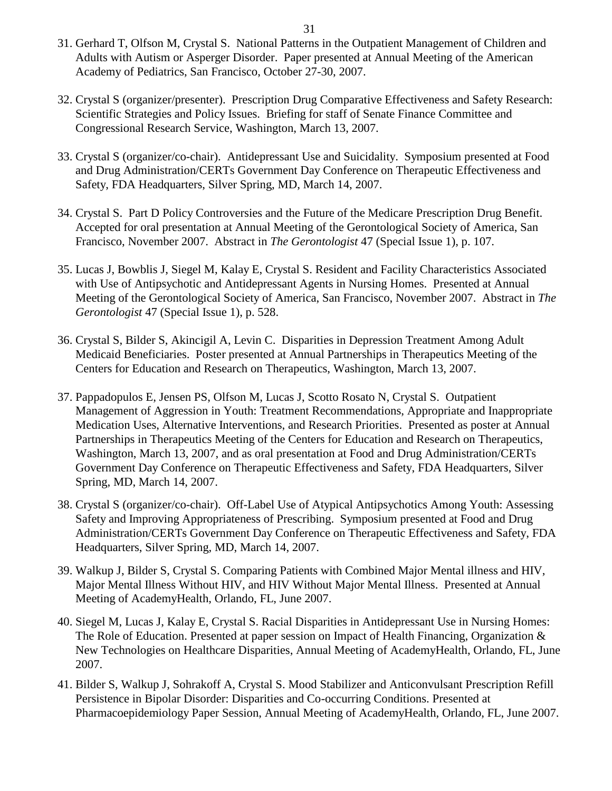- 31. Gerhard T, Olfson M, Crystal S. National Patterns in the Outpatient Management of Children and Adults with Autism or Asperger Disorder. Paper presented at Annual Meeting of the American Academy of Pediatrics, San Francisco, October 27-30, 2007.
- 32. Crystal S (organizer/presenter). Prescription Drug Comparative Effectiveness and Safety Research: Scientific Strategies and Policy Issues. Briefing for staff of Senate Finance Committee and Congressional Research Service, Washington, March 13, 2007.
- 33. Crystal S (organizer/co-chair). Antidepressant Use and Suicidality. Symposium presented at Food and Drug Administration/CERTs Government Day Conference on Therapeutic Effectiveness and Safety, FDA Headquarters, Silver Spring, MD, March 14, 2007.
- 34. Crystal S. Part D Policy Controversies and the Future of the Medicare Prescription Drug Benefit. Accepted for oral presentation at Annual Meeting of the Gerontological Society of America, San Francisco, November 2007. Abstract in *The Gerontologist* 47 (Special Issue 1), p. 107.
- 35. Lucas J, Bowblis J, Siegel M, Kalay E, Crystal S. Resident and Facility Characteristics Associated with Use of Antipsychotic and Antidepressant Agents in Nursing Homes. Presented at Annual Meeting of the Gerontological Society of America, San Francisco, November 2007. Abstract in *The Gerontologist* 47 (Special Issue 1), p. 528.
- 36. Crystal S, Bilder S, Akincigil A, Levin C. Disparities in Depression Treatment Among Adult Medicaid Beneficiaries. Poster presented at Annual Partnerships in Therapeutics Meeting of the Centers for Education and Research on Therapeutics, Washington, March 13, 2007.
- 37. Pappadopulos E, Jensen PS, Olfson M, Lucas J, Scotto Rosato N, Crystal S. Outpatient Management of Aggression in Youth: Treatment Recommendations, Appropriate and Inappropriate Medication Uses, Alternative Interventions, and Research Priorities. Presented as poster at Annual Partnerships in Therapeutics Meeting of the Centers for Education and Research on Therapeutics, Washington, March 13, 2007, and as oral presentation at Food and Drug Administration/CERTs Government Day Conference on Therapeutic Effectiveness and Safety, FDA Headquarters, Silver Spring, MD, March 14, 2007.
- 38. Crystal S (organizer/co-chair). Off-Label Use of Atypical Antipsychotics Among Youth: Assessing Safety and Improving Appropriateness of Prescribing. Symposium presented at Food and Drug Administration/CERTs Government Day Conference on Therapeutic Effectiveness and Safety, FDA Headquarters, Silver Spring, MD, March 14, 2007.
- 39. Walkup J, Bilder S, Crystal S. Comparing Patients with Combined Major Mental illness and HIV, Major Mental Illness Without HIV, and HIV Without Major Mental Illness. Presented at Annual Meeting of AcademyHealth, Orlando, FL, June 2007.
- 40. Siegel M, Lucas J, Kalay E, Crystal S. Racial Disparities in Antidepressant Use in Nursing Homes: The Role of Education. Presented at paper session on Impact of Health Financing, Organization & New Technologies on Healthcare Disparities, Annual Meeting of AcademyHealth, Orlando, FL, June 2007.
- 41. Bilder S, Walkup J, Sohrakoff A, Crystal S. Mood Stabilizer and Anticonvulsant Prescription Refill Persistence in Bipolar Disorder: Disparities and Co-occurring Conditions. Presented at Pharmacoepidemiology Paper Session, Annual Meeting of AcademyHealth, Orlando, FL, June 2007.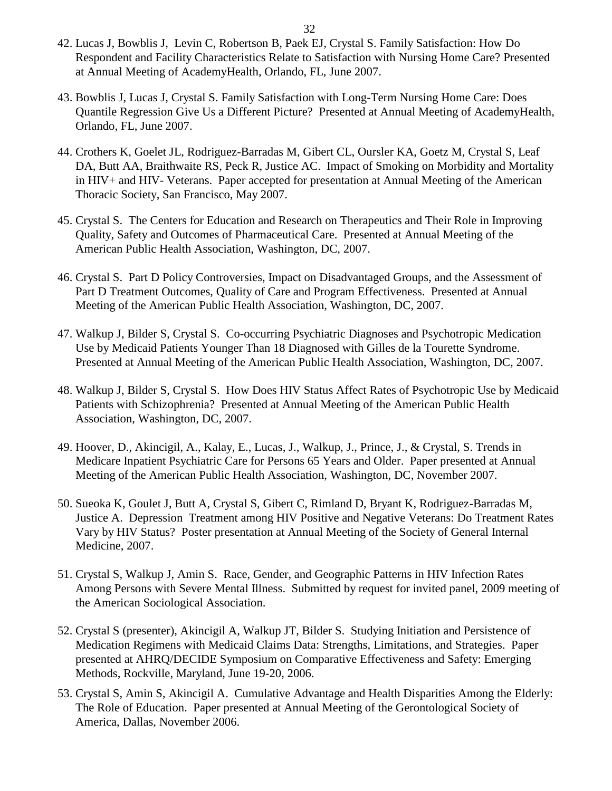- 42. Lucas J, Bowblis J, Levin C, Robertson B, Paek EJ, Crystal S. Family Satisfaction: How Do Respondent and Facility Characteristics Relate to Satisfaction with Nursing Home Care? Presented at Annual Meeting of AcademyHealth, Orlando, FL, June 2007.
- 43. Bowblis J, Lucas J, Crystal S. Family Satisfaction with Long-Term Nursing Home Care: Does Quantile Regression Give Us a Different Picture? Presented at Annual Meeting of AcademyHealth, Orlando, FL, June 2007.
- 44. Crothers K, Goelet JL, Rodriguez-Barradas M, Gibert CL, Oursler KA, Goetz M, Crystal S, Leaf DA, Butt AA, Braithwaite RS, Peck R, Justice AC. Impact of Smoking on Morbidity and Mortality in HIV+ and HIV- Veterans. Paper accepted for presentation at Annual Meeting of the American Thoracic Society, San Francisco, May 2007.
- 45. Crystal S. The Centers for Education and Research on Therapeutics and Their Role in Improving Quality, Safety and Outcomes of Pharmaceutical Care. Presented at Annual Meeting of the American Public Health Association, Washington, DC, 2007.
- 46. Crystal S. Part D Policy Controversies, Impact on Disadvantaged Groups, and the Assessment of Part D Treatment Outcomes, Quality of Care and Program Effectiveness. Presented at Annual Meeting of the American Public Health Association, Washington, DC, 2007.
- 47. Walkup J, Bilder S, Crystal S. Co-occurring Psychiatric Diagnoses and Psychotropic Medication Use by Medicaid Patients Younger Than 18 Diagnosed with Gilles de la Tourette Syndrome. Presented at Annual Meeting of the American Public Health Association, Washington, DC, 2007.
- 48. Walkup J, Bilder S, Crystal S. How Does HIV Status Affect Rates of Psychotropic Use by Medicaid Patients with Schizophrenia? Presented at Annual Meeting of the American Public Health Association, Washington, DC, 2007.
- 49. Hoover, D., Akincigil, A., Kalay, E., Lucas, J., Walkup, J., Prince, J., & Crystal, S. Trends in Medicare Inpatient Psychiatric Care for Persons 65 Years and Older. Paper presented at Annual Meeting of the American Public Health Association, Washington, DC, November 2007.
- 50. Sueoka K, Goulet J, Butt A, Crystal S, Gibert C, Rimland D, Bryant K, Rodriguez-Barradas M, Justice A. Depression Treatment among HIV Positive and Negative Veterans: Do Treatment Rates Vary by HIV Status? Poster presentation at Annual Meeting of the Society of General Internal Medicine, 2007.
- 51. Crystal S, Walkup J, Amin S. Race, Gender, and Geographic Patterns in HIV Infection Rates Among Persons with Severe Mental Illness. Submitted by request for invited panel, 2009 meeting of the American Sociological Association.
- 52. Crystal S (presenter), Akincigil A, Walkup JT, Bilder S. Studying Initiation and Persistence of Medication Regimens with Medicaid Claims Data: Strengths, Limitations, and Strategies. Paper presented at AHRQ/DECIDE Symposium on Comparative Effectiveness and Safety: Emerging Methods, Rockville, Maryland, June 19-20, 2006.
- 53. Crystal S, Amin S, Akincigil A. Cumulative Advantage and Health Disparities Among the Elderly: The Role of Education. Paper presented at Annual Meeting of the Gerontological Society of America, Dallas, November 2006.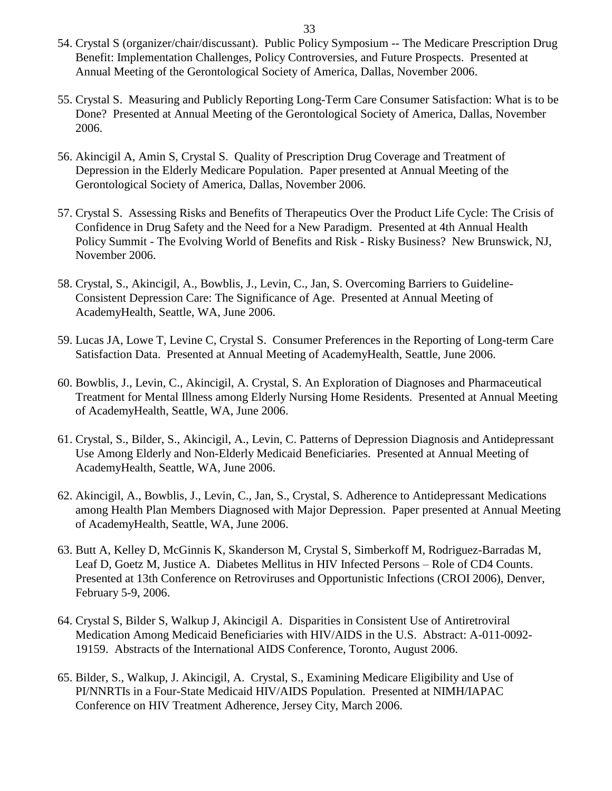- 54. Crystal S (organizer/chair/discussant). Public Policy Symposium -- The Medicare Prescription Drug Benefit: Implementation Challenges, Policy Controversies, and Future Prospects. Presented at Annual Meeting of the Gerontological Society of America, Dallas, November 2006.
- 55. Crystal S. Measuring and Publicly Reporting Long-Term Care Consumer Satisfaction: What is to be Done? Presented at Annual Meeting of the Gerontological Society of America, Dallas, November 2006.
- 56. Akincigil A, Amin S, Crystal S.Quality of Prescription Drug Coverage and Treatment of Depression in the Elderly Medicare Population. Paper presented at Annual Meeting of the Gerontological Society of America, Dallas, November 2006.
- 57. Crystal S. Assessing Risks and Benefits of Therapeutics Over the Product Life Cycle: The Crisis of Confidence in Drug Safety and the Need for a New Paradigm. Presented at 4th Annual Health Policy Summit - The Evolving World of Benefits and Risk - Risky Business? New Brunswick, NJ, November 2006.
- 58. Crystal, S., Akincigil, A., Bowblis, J., Levin, C., Jan, S. Overcoming Barriers to Guideline-Consistent Depression Care: The Significance of Age. Presented at Annual Meeting of AcademyHealth, Seattle, WA, June 2006.
- 59. Lucas JA, Lowe T, Levine C, Crystal S. Consumer Preferences in the Reporting of Long-term Care Satisfaction Data. Presented at Annual Meeting of AcademyHealth, Seattle, June 2006.
- 60. Bowblis, J., Levin, C., Akincigil, A. Crystal, S. An Exploration of Diagnoses and Pharmaceutical Treatment for Mental Illness among Elderly Nursing Home Residents. Presented at Annual Meeting of AcademyHealth, Seattle, WA, June 2006.
- 61. Crystal, S., Bilder, S., Akincigil, A., Levin, C. Patterns of Depression Diagnosis and Antidepressant Use Among Elderly and Non-Elderly Medicaid Beneficiaries. Presented at Annual Meeting of AcademyHealth, Seattle, WA, June 2006.
- 62. Akincigil, A., Bowblis, J., Levin, C., Jan, S., Crystal, S. Adherence to Antidepressant Medications among Health Plan Members Diagnosed with Major Depression. Paper presented at Annual Meeting of AcademyHealth, Seattle, WA, June 2006.
- 63. Butt A, Kelley D, McGinnis K, Skanderson M, Crystal S, Simberkoff M, Rodriguez-Barradas M, Leaf D, Goetz M, Justice A. Diabetes Mellitus in HIV Infected Persons – Role of CD4 Counts. Presented at 13th Conference on Retroviruses and Opportunistic Infections (CROI 2006), Denver, February 5-9, 2006.
- 64. Crystal S, Bilder S, Walkup J, Akincigil A. Disparities in Consistent Use of Antiretroviral Medication Among Medicaid Beneficiaries with HIV/AIDS in the U.S. Abstract: A-011-0092- 19159. Abstracts of the International AIDS Conference, Toronto, August 2006.
- 65. Bilder, S., Walkup, J. Akincigil, A. Crystal, S., Examining Medicare Eligibility and Use of PI/NNRTIs in a Four-State Medicaid HIV/AIDS Population. Presented at NIMH/IAPAC Conference on HIV Treatment Adherence, Jersey City, March 2006.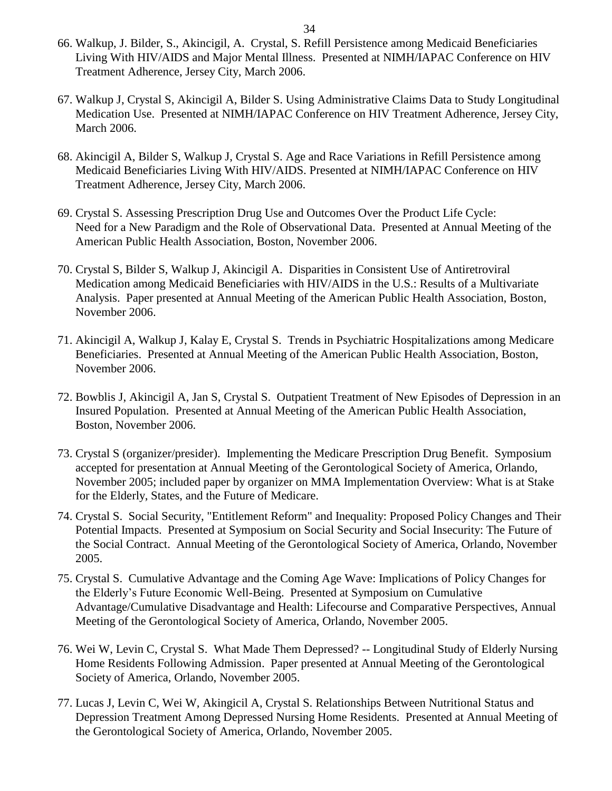- 66. Walkup, J. Bilder, S., Akincigil, A. Crystal, S. Refill Persistence among Medicaid Beneficiaries Living With HIV/AIDS and Major Mental Illness. Presented at NIMH/IAPAC Conference on HIV Treatment Adherence, Jersey City, March 2006.
- 67. Walkup J, Crystal S, Akincigil A, Bilder S. Using Administrative Claims Data to Study Longitudinal Medication Use. Presented at NIMH/IAPAC Conference on HIV Treatment Adherence, Jersey City, March 2006.
- 68. Akincigil A, Bilder S, Walkup J, Crystal S. Age and Race Variations in Refill Persistence among Medicaid Beneficiaries Living With HIV/AIDS. Presented at NIMH/IAPAC Conference on HIV Treatment Adherence, Jersey City, March 2006.
- 69. Crystal S. Assessing Prescription Drug Use and Outcomes Over the Product Life Cycle: Need for a New Paradigm and the Role of Observational Data. Presented at Annual Meeting of the American Public Health Association, Boston, November 2006.
- 70. Crystal S, Bilder S, Walkup J, Akincigil A. Disparities in Consistent Use of Antiretroviral Medication among Medicaid Beneficiaries with HIV/AIDS in the U.S.: Results of a Multivariate Analysis. Paper presented at Annual Meeting of the American Public Health Association, Boston, November 2006.
- 71. Akincigil A, Walkup J, Kalay E, Crystal S. Trends in Psychiatric Hospitalizations among Medicare Beneficiaries. Presented at Annual Meeting of the American Public Health Association, Boston, November 2006.
- 72. Bowblis J, Akincigil A, Jan S, Crystal S. Outpatient Treatment of New Episodes of Depression in an Insured Population. Presented at Annual Meeting of the American Public Health Association, Boston, November 2006.
- 73. Crystal S (organizer/presider). Implementing the Medicare Prescription Drug Benefit. Symposium accepted for presentation at Annual Meeting of the Gerontological Society of America, Orlando, November 2005; included paper by organizer on MMA Implementation Overview: What is at Stake for the Elderly, States, and the Future of Medicare.
- 74. Crystal S. Social Security, "Entitlement Reform" and Inequality: Proposed Policy Changes and Their Potential Impacts. Presented at Symposium on Social Security and Social Insecurity: The Future of the Social Contract. Annual Meeting of the Gerontological Society of America, Orlando, November 2005.
- 75. Crystal S. Cumulative Advantage and the Coming Age Wave: Implications of Policy Changes for the Elderly's Future Economic Well-Being. Presented at Symposium on Cumulative Advantage/Cumulative Disadvantage and Health: Lifecourse and Comparative Perspectives, Annual Meeting of the Gerontological Society of America, Orlando, November 2005.
- 76. Wei W, Levin C, Crystal S. What Made Them Depressed? -- Longitudinal Study of Elderly Nursing Home Residents Following Admission. Paper presented at Annual Meeting of the Gerontological Society of America, Orlando, November 2005.
- 77. Lucas J, Levin C, Wei W, Akingicil A, Crystal S. Relationships Between Nutritional Status and Depression Treatment Among Depressed Nursing Home Residents. Presented at Annual Meeting of the Gerontological Society of America, Orlando, November 2005.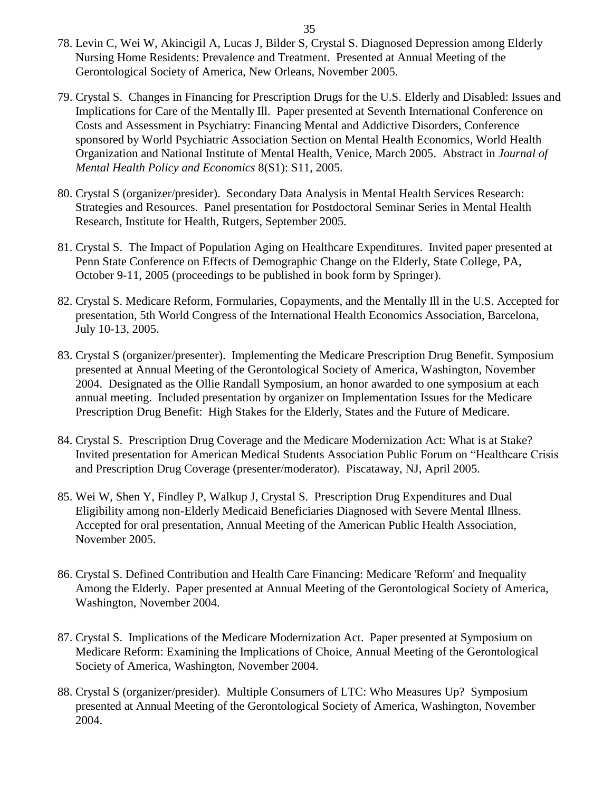- 78. Levin C, Wei W, Akincigil A, Lucas J, Bilder S, Crystal S. Diagnosed Depression among Elderly Nursing Home Residents: Prevalence and Treatment. Presented at Annual Meeting of the Gerontological Society of America, New Orleans, November 2005.
- 79. Crystal S. Changes in Financing for Prescription Drugs for the U.S. Elderly and Disabled: Issues and Implications for Care of the Mentally Ill. Paper presented at Seventh International Conference on Costs and Assessment in Psychiatry: Financing Mental and Addictive Disorders, Conference sponsored by World Psychiatric Association Section on Mental Health Economics, World Health Organization and National Institute of Mental Health, Venice, March 2005. Abstract in *Journal of Mental Health Policy and Economics* 8(S1): S11, 2005.
- 80. Crystal S (organizer/presider). Secondary Data Analysis in Mental Health Services Research: Strategies and Resources. Panel presentation for Postdoctoral Seminar Series in Mental Health Research, Institute for Health, Rutgers, September 2005.
- 81. Crystal S. The Impact of Population Aging on Healthcare Expenditures. Invited paper presented at Penn State Conference on Effects of Demographic Change on the Elderly, State College, PA, October 9-11, 2005 (proceedings to be published in book form by Springer).
- 82. Crystal S. Medicare Reform, Formularies, Copayments, and the Mentally Ill in the U.S. Accepted for presentation, 5th World Congress of the International Health Economics Association, Barcelona, July 10-13, 2005.
- 83. Crystal S (organizer/presenter). Implementing the Medicare Prescription Drug Benefit. Symposium presented at Annual Meeting of the Gerontological Society of America, Washington, November 2004. Designated as the Ollie Randall Symposium, an honor awarded to one symposium at each annual meeting. Included presentation by organizer on Implementation Issues for the Medicare Prescription Drug Benefit: High Stakes for the Elderly, States and the Future of Medicare.
- 84. Crystal S. Prescription Drug Coverage and the Medicare Modernization Act: What is at Stake? Invited presentation for American Medical Students Association Public Forum on "Healthcare Crisis and Prescription Drug Coverage (presenter/moderator). Piscataway, NJ, April 2005.
- 85. Wei W, Shen Y, Findley P, Walkup J, Crystal S. Prescription Drug Expenditures and Dual Eligibility among non-Elderly Medicaid Beneficiaries Diagnosed with Severe Mental Illness. Accepted for oral presentation, Annual Meeting of the American Public Health Association, November 2005.
- 86. Crystal S. Defined Contribution and Health Care Financing: Medicare 'Reform' and Inequality Among the Elderly. Paper presented at Annual Meeting of the Gerontological Society of America, Washington, November 2004.
- 87. Crystal S. Implications of the Medicare Modernization Act. Paper presented at Symposium on Medicare Reform: Examining the Implications of Choice, Annual Meeting of the Gerontological Society of America, Washington, November 2004.
- 88. Crystal S (organizer/presider). Multiple Consumers of LTC: Who Measures Up? Symposium presented at Annual Meeting of the Gerontological Society of America, Washington, November 2004.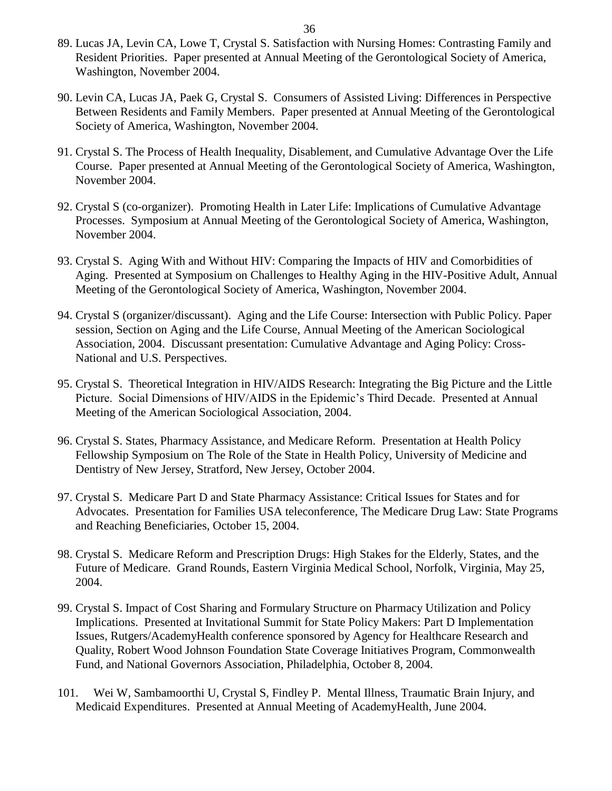- 89. Lucas JA, Levin CA, Lowe T, Crystal S. Satisfaction with Nursing Homes: Contrasting Family and Resident Priorities. Paper presented at Annual Meeting of the Gerontological Society of America, Washington, November 2004.
- 90. Levin CA, Lucas JA, Paek G, Crystal S. Consumers of Assisted Living: Differences in Perspective Between Residents and Family Members. Paper presented at Annual Meeting of the Gerontological Society of America, Washington, November 2004.
- 91. Crystal S. The Process of Health Inequality, Disablement, and Cumulative Advantage Over the Life Course. Paper presented at Annual Meeting of the Gerontological Society of America, Washington, November 2004.
- 92. Crystal S (co-organizer). Promoting Health in Later Life: Implications of Cumulative Advantage Processes. Symposium at Annual Meeting of the Gerontological Society of America, Washington, November 2004.
- 93. Crystal S. Aging With and Without HIV: Comparing the Impacts of HIV and Comorbidities of Aging. Presented at Symposium on Challenges to Healthy Aging in the HIV-Positive Adult, Annual Meeting of the Gerontological Society of America, Washington, November 2004.
- 94. Crystal S (organizer/discussant). Aging and the Life Course: Intersection with Public Policy. Paper session, Section on Aging and the Life Course, Annual Meeting of the American Sociological Association, 2004. Discussant presentation: Cumulative Advantage and Aging Policy: Cross-National and U.S. Perspectives.
- 95. Crystal S. Theoretical Integration in HIV/AIDS Research: Integrating the Big Picture and the Little Picture. Social Dimensions of HIV/AIDS in the Epidemic's Third Decade. Presented at Annual Meeting of the American Sociological Association, 2004.
- 96. Crystal S. States, Pharmacy Assistance, and Medicare Reform. Presentation at Health Policy Fellowship Symposium on The Role of the State in Health Policy, University of Medicine and Dentistry of New Jersey, Stratford, New Jersey, October 2004.
- 97. Crystal S. Medicare Part D and State Pharmacy Assistance: Critical Issues for States and for Advocates. Presentation for Families USA teleconference, The Medicare Drug Law: State Programs and Reaching Beneficiaries, October 15, 2004.
- 98. Crystal S. Medicare Reform and Prescription Drugs: High Stakes for the Elderly, States, and the Future of Medicare. Grand Rounds, Eastern Virginia Medical School, Norfolk, Virginia, May 25, 2004.
- 99. Crystal S. Impact of Cost Sharing and Formulary Structure on Pharmacy Utilization and Policy Implications. Presented at Invitational Summit for State Policy Makers: Part D Implementation Issues, Rutgers/AcademyHealth conference sponsored by Agency for Healthcare Research and Quality, Robert Wood Johnson Foundation State Coverage Initiatives Program, Commonwealth Fund, and National Governors Association, Philadelphia, October 8, 2004.
- 101. Wei W, Sambamoorthi U, Crystal S, Findley P. Mental Illness, Traumatic Brain Injury, and Medicaid Expenditures. Presented at Annual Meeting of AcademyHealth, June 2004.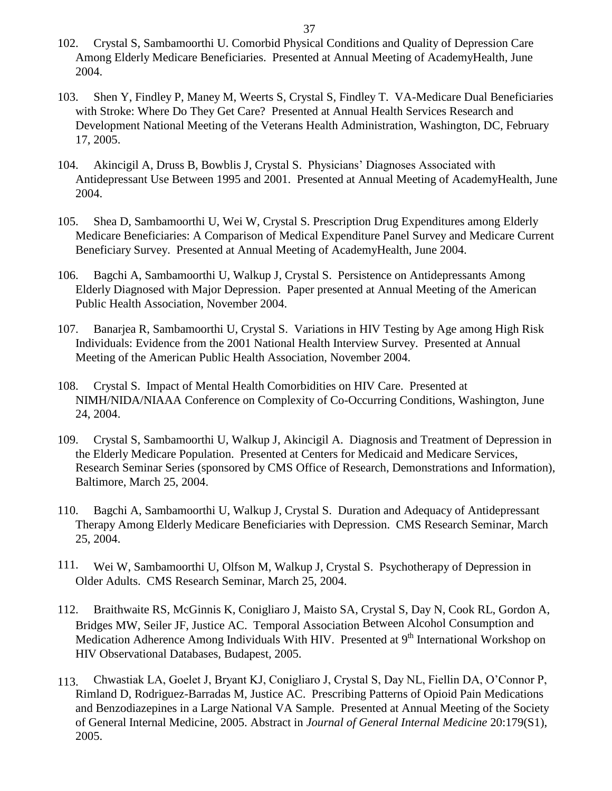- 102. Crystal S, Sambamoorthi U. Comorbid Physical Conditions and Quality of Depression Care Among Elderly Medicare Beneficiaries. Presented at Annual Meeting of AcademyHealth, June 2004.
- 103. Shen Y, Findley P, Maney M, Weerts S, Crystal S, Findley T. VA-Medicare Dual Beneficiaries with Stroke: Where Do They Get Care? Presented at Annual Health Services Research and Development National Meeting of the Veterans Health Administration, Washington, DC, February 17, 2005.
- 104. Akincigil A, Druss B, Bowblis J, Crystal S. Physicians' Diagnoses Associated with Antidepressant Use Between 1995 and 2001. Presented at Annual Meeting of AcademyHealth, June 2004.
- 105. Shea D, Sambamoorthi U, Wei W, Crystal S. Prescription Drug Expenditures among Elderly Medicare Beneficiaries: A Comparison of Medical Expenditure Panel Survey and Medicare Current Beneficiary Survey. Presented at Annual Meeting of AcademyHealth, June 2004.
- 106. Bagchi A, Sambamoorthi U, Walkup J, Crystal S. Persistence on Antidepressants Among Elderly Diagnosed with Major Depression. Paper presented at Annual Meeting of the American Public Health Association, November 2004.
- 107. Banarjea R, Sambamoorthi U, Crystal S. Variations in HIV Testing by Age among High Risk Individuals: Evidence from the 2001 National Health Interview Survey. Presented at Annual Meeting of the American Public Health Association, November 2004.
- 108. Crystal S. Impact of Mental Health Comorbidities on HIV Care. Presented at NIMH/NIDA/NIAAA Conference on Complexity of Co-Occurring Conditions, Washington, June 24, 2004.
- 109. Crystal S, Sambamoorthi U, Walkup J, Akincigil A. Diagnosis and Treatment of Depression in the Elderly Medicare Population. Presented at Centers for Medicaid and Medicare Services, Research Seminar Series (sponsored by CMS Office of Research, Demonstrations and Information), Baltimore, March 25, 2004.
- 110. Bagchi A, Sambamoorthi U, Walkup J, Crystal S. Duration and Adequacy of Antidepressant Therapy Among Elderly Medicare Beneficiaries with Depression. CMS Research Seminar, March 25, 2004.
- 111. Wei W, Sambamoorthi U, Olfson M, Walkup J, Crystal S. Psychotherapy of Depression in Older Adults. CMS Research Seminar, March 25, 2004.
- 112. Braithwaite RS, McGinnis K, Conigliaro J, Maisto SA, Crystal S, Day N, Cook RL, Gordon A, Bridges MW, Seiler JF, Justice AC. Temporal Association Between Alcohol Consumption and Medication Adherence Among Individuals With HIV. Presented at 9<sup>th</sup> International Workshop on HIV Observational Databases, Budapest, 2005.
- 113. Chwastiak LA, Goelet J, Bryant KJ, Conigliaro J, Crystal S, Day NL, Fiellin DA, O'Connor P, Rimland D, Rodriguez-Barradas M, Justice AC. Prescribing Patterns of Opioid Pain Medications and Benzodiazepines in a Large National VA Sample. Presented at Annual Meeting of the Society of General Internal Medicine, 2005. Abstract in *Journal of General Internal Medicine* 20:179(S1), 2005.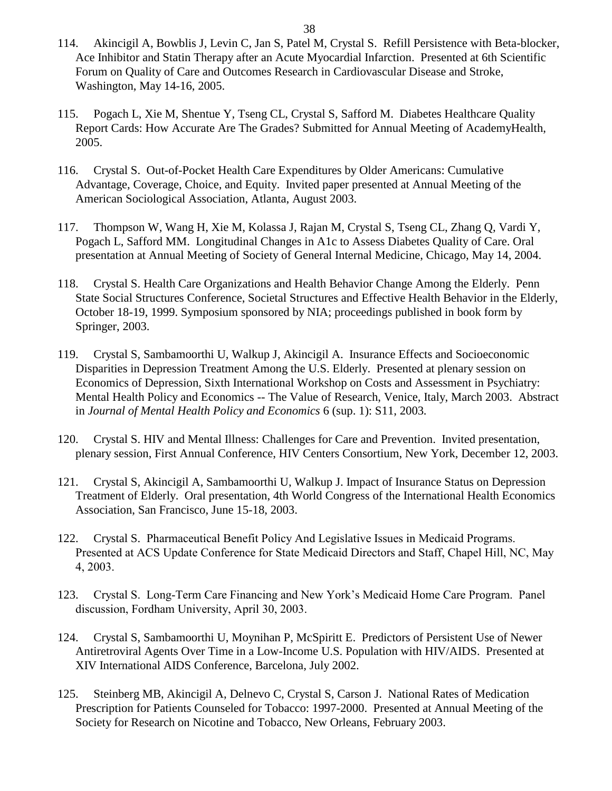- 114. Akincigil A, Bowblis J, Levin C, Jan S, Patel M, Crystal S. Refill Persistence with Beta-blocker, Ace Inhibitor and Statin Therapy after an Acute Myocardial Infarction. Presented at 6th Scientific Forum on Quality of Care and Outcomes Research in Cardiovascular Disease and Stroke, Washington, May 14-16, 2005.
- 115. Pogach L, Xie M, Shentue Y, Tseng CL, Crystal S, Safford M. Diabetes Healthcare Quality Report Cards: How Accurate Are The Grades? Submitted for Annual Meeting of AcademyHealth, 2005.
- 116. Crystal S. Out-of-Pocket Health Care Expenditures by Older Americans: Cumulative Advantage, Coverage, Choice, and Equity. Invited paper presented at Annual Meeting of the American Sociological Association, Atlanta, August 2003.
- 117. Thompson W, Wang H, Xie M, Kolassa J, Rajan M, Crystal S, Tseng CL, Zhang Q, Vardi Y, Pogach L, Safford MM. Longitudinal Changes in A1c to Assess Diabetes Quality of Care. Oral presentation at Annual Meeting of Society of General Internal Medicine, Chicago, May 14, 2004.
- 118. Crystal S. Health Care Organizations and Health Behavior Change Among the Elderly. Penn State Social Structures Conference, Societal Structures and Effective Health Behavior in the Elderly, October 18-19, 1999. Symposium sponsored by NIA; proceedings published in book form by Springer, 2003.
- 119. Crystal S, Sambamoorthi U, Walkup J, Akincigil A. Insurance Effects and Socioeconomic Disparities in Depression Treatment Among the U.S. Elderly. Presented at plenary session on Economics of Depression, Sixth International Workshop on Costs and Assessment in Psychiatry: Mental Health Policy and Economics -- The Value of Research, Venice, Italy, March 2003. Abstract in *Journal of Mental Health Policy and Economics* 6 (sup. 1): S11, 2003*.*
- 120. Crystal S. HIV and Mental Illness: Challenges for Care and Prevention. Invited presentation, plenary session, First Annual Conference, HIV Centers Consortium, New York, December 12, 2003.
- 121. Crystal S, Akincigil A, Sambamoorthi U, Walkup J. Impact of Insurance Status on Depression Treatment of Elderly. Oral presentation, 4th World Congress of the International Health Economics Association, San Francisco, June 15-18, 2003.
- 122. Crystal S. Pharmaceutical Benefit Policy And Legislative Issues in Medicaid Programs. Presented at ACS Update Conference for State Medicaid Directors and Staff, Chapel Hill, NC, May 4, 2003.
- 123. Crystal S. Long-Term Care Financing and New York's Medicaid Home Care Program. Panel discussion, Fordham University, April 30, 2003.
- 124. Crystal S, Sambamoorthi U, Moynihan P, McSpiritt E. Predictors of Persistent Use of Newer Antiretroviral Agents Over Time in a Low-Income U.S. Population with HIV/AIDS. Presented at XIV International AIDS Conference, Barcelona, July 2002.
- 125. Steinberg MB, Akincigil A, Delnevo C, Crystal S, Carson J. National Rates of Medication Prescription for Patients Counseled for Tobacco: 1997-2000. Presented at Annual Meeting of the Society for Research on Nicotine and Tobacco, New Orleans, February 2003.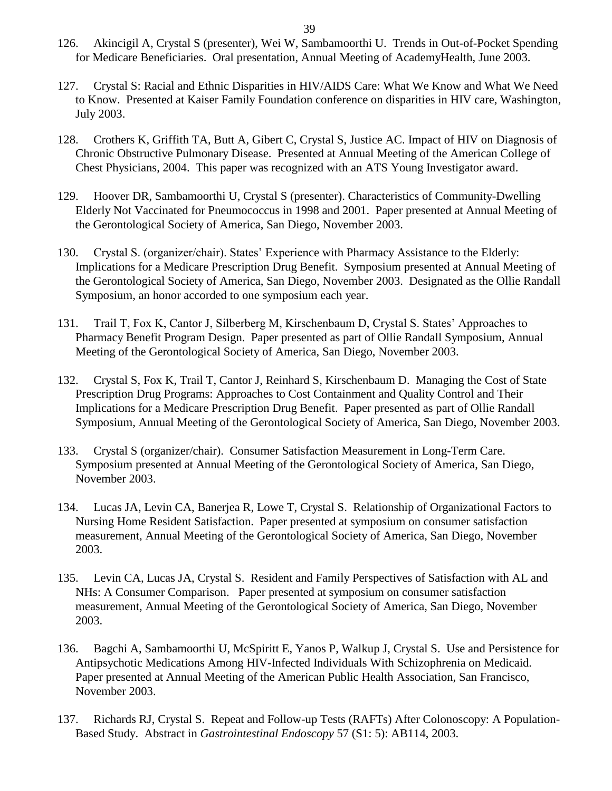- 126. Akincigil A, Crystal S (presenter), Wei W, Sambamoorthi U. Trends in Out-of-Pocket Spending for Medicare Beneficiaries. Oral presentation, Annual Meeting of AcademyHealth, June 2003.
- 127. Crystal S: Racial and Ethnic Disparities in HIV/AIDS Care: What We Know and What We Need to Know. Presented at Kaiser Family Foundation conference on disparities in HIV care, Washington, July 2003.
- 128. Crothers K, Griffith TA, Butt A, Gibert C, Crystal S, Justice AC. Impact of HIV on Diagnosis of Chronic Obstructive Pulmonary Disease. Presented at Annual Meeting of the American College of Chest Physicians, 2004. This paper was recognized with an ATS Young Investigator award.
- 129. Hoover DR, Sambamoorthi U, Crystal S (presenter). Characteristics of Community-Dwelling Elderly Not Vaccinated for Pneumococcus in 1998 and 2001. Paper presented at Annual Meeting of the Gerontological Society of America, San Diego, November 2003.
- 130. Crystal S. (organizer/chair). States' Experience with Pharmacy Assistance to the Elderly: Implications for a Medicare Prescription Drug Benefit. Symposium presented at Annual Meeting of the Gerontological Society of America, San Diego, November 2003. Designated as the Ollie Randall Symposium, an honor accorded to one symposium each year.
- 131. Trail T, Fox K, Cantor J, Silberberg M, Kirschenbaum D, Crystal S. States' Approaches to Pharmacy Benefit Program Design. Paper presented as part of Ollie Randall Symposium, Annual Meeting of the Gerontological Society of America, San Diego, November 2003.
- 132. Crystal S, Fox K, Trail T, Cantor J, Reinhard S, Kirschenbaum D. Managing the Cost of State Prescription Drug Programs: Approaches to Cost Containment and Quality Control and Their Implications for a Medicare Prescription Drug Benefit. Paper presented as part of Ollie Randall Symposium, Annual Meeting of the Gerontological Society of America, San Diego, November 2003.
- 133. Crystal S (organizer/chair). Consumer Satisfaction Measurement in Long-Term Care. Symposium presented at Annual Meeting of the Gerontological Society of America, San Diego, November 2003.
- 134. Lucas JA, Levin CA, Banerjea R, Lowe T, Crystal S. Relationship of Organizational Factors to Nursing Home Resident Satisfaction. Paper presented at symposium on consumer satisfaction measurement, Annual Meeting of the Gerontological Society of America, San Diego, November 2003.
- 135. Levin CA, Lucas JA, Crystal S. Resident and Family Perspectives of Satisfaction with AL and NHs: A Consumer Comparison. Paper presented at symposium on consumer satisfaction measurement, Annual Meeting of the Gerontological Society of America, San Diego, November 2003.
- 136. Bagchi A, Sambamoorthi U, McSpiritt E, Yanos P, Walkup J, Crystal S. Use and Persistence for Antipsychotic Medications Among HIV-Infected Individuals With Schizophrenia on Medicaid. Paper presented at Annual Meeting of the American Public Health Association, San Francisco, November 2003.
- 137. Richards RJ, Crystal S. Repeat and Follow-up Tests (RAFTs) After Colonoscopy: A Population-Based Study. Abstract in *Gastrointestinal Endoscopy* 57 (S1: 5): AB114, 2003.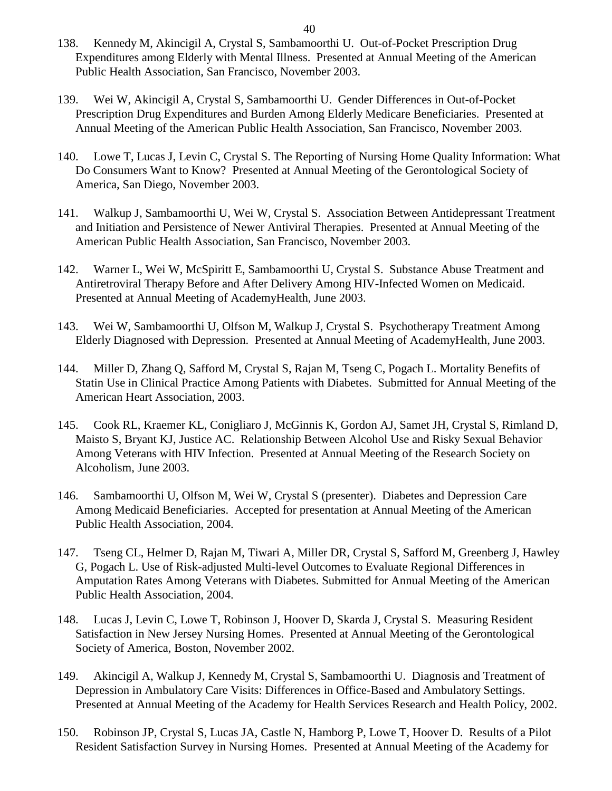- 138. Kennedy M, Akincigil A, Crystal S, Sambamoorthi U. Out-of-Pocket Prescription Drug Expenditures among Elderly with Mental Illness. Presented at Annual Meeting of the American Public Health Association, San Francisco, November 2003.
- 139. Wei W, Akincigil A, Crystal S, Sambamoorthi U. Gender Differences in Out-of-Pocket Prescription Drug Expenditures and Burden Among Elderly Medicare Beneficiaries. Presented at Annual Meeting of the American Public Health Association, San Francisco, November 2003.
- 140. Lowe T, Lucas J, Levin C, Crystal S. The Reporting of Nursing Home Quality Information: What Do Consumers Want to Know? Presented at Annual Meeting of the Gerontological Society of America, San Diego, November 2003.
- 141. Walkup J, Sambamoorthi U, Wei W, Crystal S. Association Between Antidepressant Treatment and Initiation and Persistence of Newer Antiviral Therapies. Presented at Annual Meeting of the American Public Health Association, San Francisco, November 2003.
- 142. Warner L, Wei W, McSpiritt E, Sambamoorthi U, Crystal S. Substance Abuse Treatment and Antiretroviral Therapy Before and After Delivery Among HIV-Infected Women on Medicaid. Presented at Annual Meeting of AcademyHealth, June 2003.
- 143. Wei W, Sambamoorthi U, Olfson M, Walkup J, Crystal S. Psychotherapy Treatment Among Elderly Diagnosed with Depression. Presented at Annual Meeting of AcademyHealth, June 2003.
- 144. Miller D, Zhang Q, Safford M, Crystal S, Rajan M, Tseng C, Pogach L. Mortality Benefits of Statin Use in Clinical Practice Among Patients with Diabetes. Submitted for Annual Meeting of the American Heart Association, 2003.
- 145. Cook RL, Kraemer KL, Conigliaro J, McGinnis K, Gordon AJ, Samet JH, Crystal S, Rimland D, Maisto S, Bryant KJ, Justice AC. Relationship Between Alcohol Use and Risky Sexual Behavior Among Veterans with HIV Infection. Presented at Annual Meeting of the Research Society on Alcoholism, June 2003.
- 146. Sambamoorthi U, Olfson M, Wei W, Crystal S (presenter). Diabetes and Depression Care Among Medicaid Beneficiaries. Accepted for presentation at Annual Meeting of the American Public Health Association, 2004.
- 147. Tseng CL, Helmer D, Rajan M, Tiwari A, Miller DR, Crystal S, Safford M, Greenberg J, Hawley G, Pogach L. Use of Risk-adjusted Multi-level Outcomes to Evaluate Regional Differences in Amputation Rates Among Veterans with Diabetes. Submitted for Annual Meeting of the American Public Health Association, 2004.
- 148. Lucas J, Levin C, Lowe T, Robinson J, Hoover D, Skarda J, Crystal S. Measuring Resident Satisfaction in New Jersey Nursing Homes. Presented at Annual Meeting of the Gerontological Society of America, Boston, November 2002.
- 149. Akincigil A, Walkup J, Kennedy M, Crystal S, Sambamoorthi U. Diagnosis and Treatment of Depression in Ambulatory Care Visits: Differences in Office-Based and Ambulatory Settings. Presented at Annual Meeting of the Academy for Health Services Research and Health Policy, 2002.
- 150. Robinson JP, Crystal S, Lucas JA, Castle N, Hamborg P, Lowe T, Hoover D. Results of a Pilot Resident Satisfaction Survey in Nursing Homes. Presented at Annual Meeting of the Academy for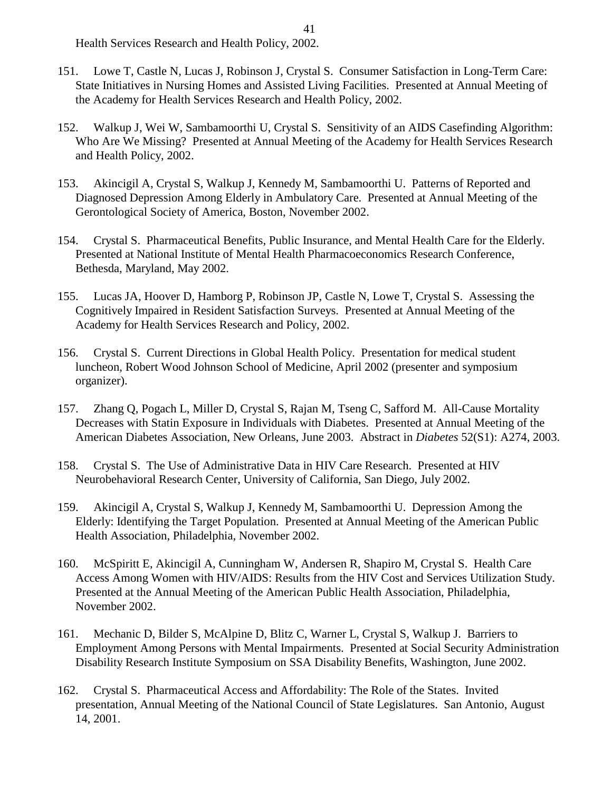Health Services Research and Health Policy, 2002.

- 151. Lowe T, Castle N, Lucas J, Robinson J, Crystal S. Consumer Satisfaction in Long-Term Care: State Initiatives in Nursing Homes and Assisted Living Facilities. Presented at Annual Meeting of the Academy for Health Services Research and Health Policy, 2002.
- 152. Walkup J, Wei W, Sambamoorthi U, Crystal S. Sensitivity of an AIDS Casefinding Algorithm: Who Are We Missing? Presented at Annual Meeting of the Academy for Health Services Research and Health Policy, 2002.
- 153. Akincigil A, Crystal S, Walkup J, Kennedy M, Sambamoorthi U. Patterns of Reported and Diagnosed Depression Among Elderly in Ambulatory Care. Presented at Annual Meeting of the Gerontological Society of America, Boston, November 2002.
- 154. Crystal S. Pharmaceutical Benefits, Public Insurance, and Mental Health Care for the Elderly. Presented at National Institute of Mental Health Pharmacoeconomics Research Conference, Bethesda, Maryland, May 2002.
- 155. Lucas JA, Hoover D, Hamborg P, Robinson JP, Castle N, Lowe T, Crystal S. Assessing the Cognitively Impaired in Resident Satisfaction Surveys. Presented at Annual Meeting of the Academy for Health Services Research and Policy, 2002.
- 156. Crystal S. Current Directions in Global Health Policy. Presentation for medical student luncheon, Robert Wood Johnson School of Medicine, April 2002 (presenter and symposium organizer).
- 157. Zhang Q, Pogach L, Miller D, Crystal S, Rajan M, Tseng C, Safford M. All-Cause Mortality Decreases with Statin Exposure in Individuals with Diabetes. Presented at Annual Meeting of the American Diabetes Association, New Orleans, June 2003. Abstract in *Diabetes* 52(S1): A274, 2003.
- 158. Crystal S. The Use of Administrative Data in HIV Care Research. Presented at HIV Neurobehavioral Research Center, University of California, San Diego, July 2002.
- 159. Akincigil A, Crystal S, Walkup J, Kennedy M, Sambamoorthi U. Depression Among the Elderly: Identifying the Target Population. Presented at Annual Meeting of the American Public Health Association, Philadelphia, November 2002.
- 160. McSpiritt E, Akincigil A, Cunningham W, Andersen R, Shapiro M, Crystal S. Health Care Access Among Women with HIV/AIDS: Results from the HIV Cost and Services Utilization Study. Presented at the Annual Meeting of the American Public Health Association, Philadelphia, November 2002.
- 161. Mechanic D, Bilder S, McAlpine D, Blitz C, Warner L, Crystal S, Walkup J. Barriers to Employment Among Persons with Mental Impairments. Presented at Social Security Administration Disability Research Institute Symposium on SSA Disability Benefits, Washington, June 2002.
- 162. Crystal S. Pharmaceutical Access and Affordability: The Role of the States. Invited presentation, Annual Meeting of the National Council of State Legislatures. San Antonio, August 14, 2001.

41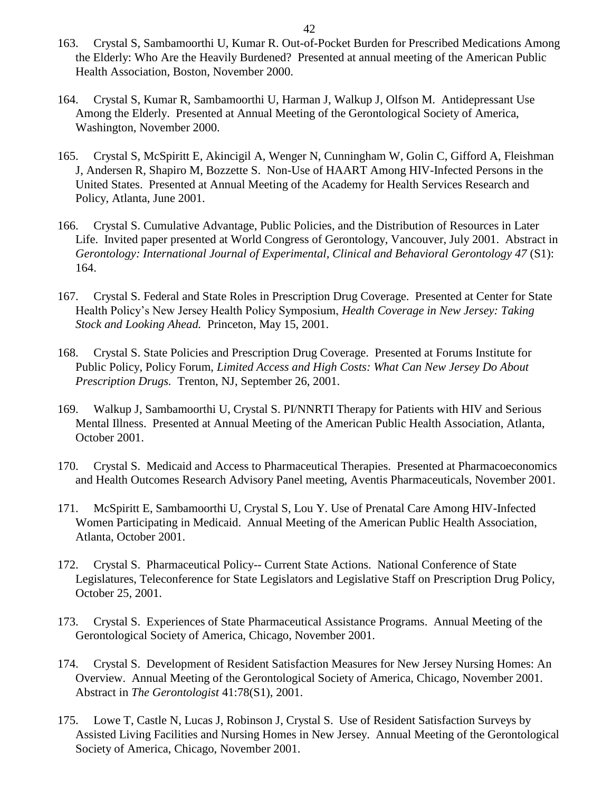- 163. Crystal S, Sambamoorthi U, Kumar R. Out-of-Pocket Burden for Prescribed Medications Among the Elderly: Who Are the Heavily Burdened? Presented at annual meeting of the American Public Health Association, Boston, November 2000.
- 164. Crystal S, Kumar R, Sambamoorthi U, Harman J, Walkup J, Olfson M. Antidepressant Use Among the Elderly. Presented at Annual Meeting of the Gerontological Society of America, Washington, November 2000.
- 165. Crystal S, McSpiritt E, Akincigil A, Wenger N, Cunningham W, Golin C, Gifford A, Fleishman J, Andersen R, Shapiro M, Bozzette S. Non-Use of HAART Among HIV-Infected Persons in the United States. Presented at Annual Meeting of the Academy for Health Services Research and Policy, Atlanta, June 2001.
- 166. Crystal S. Cumulative Advantage, Public Policies, and the Distribution of Resources in Later Life. Invited paper presented at World Congress of Gerontology, Vancouver, July 2001. Abstract in *Gerontology: International Journal of Experimental, Clinical and Behavioral Gerontology 47* (S1): 164.
- 167. Crystal S. Federal and State Roles in Prescription Drug Coverage. Presented at Center for State Health Policy's New Jersey Health Policy Symposium, *Health Coverage in New Jersey: Taking Stock and Looking Ahead.* Princeton, May 15, 2001.
- 168. Crystal S. State Policies and Prescription Drug Coverage. Presented at Forums Institute for Public Policy, Policy Forum, *Limited Access and High Costs: What Can New Jersey Do About Prescription Drugs.* Trenton, NJ, September 26, 2001.
- 169. Walkup J, Sambamoorthi U, Crystal S. PI/NNRTI Therapy for Patients with HIV and Serious Mental Illness. Presented at Annual Meeting of the American Public Health Association, Atlanta, October 2001.
- 170. Crystal S. Medicaid and Access to Pharmaceutical Therapies. Presented at Pharmacoeconomics and Health Outcomes Research Advisory Panel meeting, Aventis Pharmaceuticals, November 2001.
- 171. McSpiritt E, Sambamoorthi U, Crystal S, Lou Y. Use of Prenatal Care Among HIV-Infected Women Participating in Medicaid. Annual Meeting of the American Public Health Association, Atlanta, October 2001.
- 172. Crystal S. Pharmaceutical Policy-- Current State Actions. National Conference of State Legislatures, Teleconference for State Legislators and Legislative Staff on Prescription Drug Policy, October 25, 2001.
- 173. Crystal S. Experiences of State Pharmaceutical Assistance Programs. Annual Meeting of the Gerontological Society of America, Chicago, November 2001.
- 174. Crystal S. Development of Resident Satisfaction Measures for New Jersey Nursing Homes: An Overview. Annual Meeting of the Gerontological Society of America, Chicago, November 2001. Abstract in *The Gerontologist* 41:78(S1), 2001.
- 175. Lowe T, Castle N, Lucas J, Robinson J, Crystal S. Use of Resident Satisfaction Surveys by Assisted Living Facilities and Nursing Homes in New Jersey. Annual Meeting of the Gerontological Society of America, Chicago, November 2001.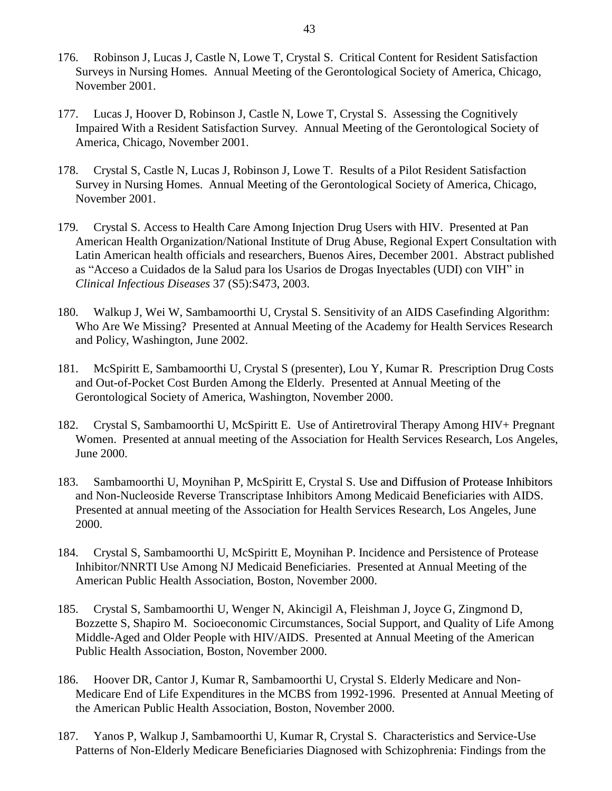- 176. Robinson J, Lucas J, Castle N, Lowe T, Crystal S. Critical Content for Resident Satisfaction Surveys in Nursing Homes. Annual Meeting of the Gerontological Society of America, Chicago, November 2001.
- 177. Lucas J, Hoover D, Robinson J, Castle N, Lowe T, Crystal S. Assessing the Cognitively Impaired With a Resident Satisfaction Survey. Annual Meeting of the Gerontological Society of America, Chicago, November 2001.
- 178. Crystal S, Castle N, Lucas J, Robinson J, Lowe T. Results of a Pilot Resident Satisfaction Survey in Nursing Homes. Annual Meeting of the Gerontological Society of America, Chicago, November 2001.
- 179. Crystal S. Access to Health Care Among Injection Drug Users with HIV. Presented at Pan American Health Organization/National Institute of Drug Abuse, Regional Expert Consultation with Latin American health officials and researchers, Buenos Aires, December 2001. Abstract published as "Acceso a Cuidados de la Salud para los Usarios de Drogas Inyectables (UDI) con VIH" in *Clinical Infectious Diseases* 37 (S5):S473, 2003.
- 180. Walkup J, Wei W, Sambamoorthi U, Crystal S. Sensitivity of an AIDS Casefinding Algorithm: Who Are We Missing? Presented at Annual Meeting of the Academy for Health Services Research and Policy, Washington, June 2002.
- 181. McSpiritt E, Sambamoorthi U, Crystal S (presenter), Lou Y, Kumar R. Prescription Drug Costs and Out-of-Pocket Cost Burden Among the Elderly. Presented at Annual Meeting of the Gerontological Society of America, Washington, November 2000.
- 182. Crystal S, Sambamoorthi U, McSpiritt E. Use of Antiretroviral Therapy Among HIV+ Pregnant Women. Presented at annual meeting of the Association for Health Services Research, Los Angeles, June 2000.
- 183. Sambamoorthi U, Moynihan P, McSpiritt E, Crystal S. Use and Diffusion of Protease Inhibitors and Non-Nucleoside Reverse Transcriptase Inhibitors Among Medicaid Beneficiaries with AIDS. Presented at annual meeting of the Association for Health Services Research, Los Angeles, June 2000.
- 184. Crystal S, Sambamoorthi U, McSpiritt E, Moynihan P. Incidence and Persistence of Protease Inhibitor/NNRTI Use Among NJ Medicaid Beneficiaries. Presented at Annual Meeting of the American Public Health Association, Boston, November 2000.
- 185. Crystal S, Sambamoorthi U, Wenger N, Akincigil A, Fleishman J, Joyce G, Zingmond D, Bozzette S, Shapiro M. Socioeconomic Circumstances, Social Support, and Quality of Life Among Middle-Aged and Older People with HIV/AIDS. Presented at Annual Meeting of the American Public Health Association, Boston, November 2000.
- 186. Hoover DR, Cantor J, Kumar R, Sambamoorthi U, Crystal S. Elderly Medicare and Non-Medicare End of Life Expenditures in the MCBS from 1992-1996. Presented at Annual Meeting of the American Public Health Association, Boston, November 2000.
- 187. Yanos P, Walkup J, Sambamoorthi U, Kumar R, Crystal S. Characteristics and Service-Use Patterns of Non-Elderly Medicare Beneficiaries Diagnosed with Schizophrenia: Findings from the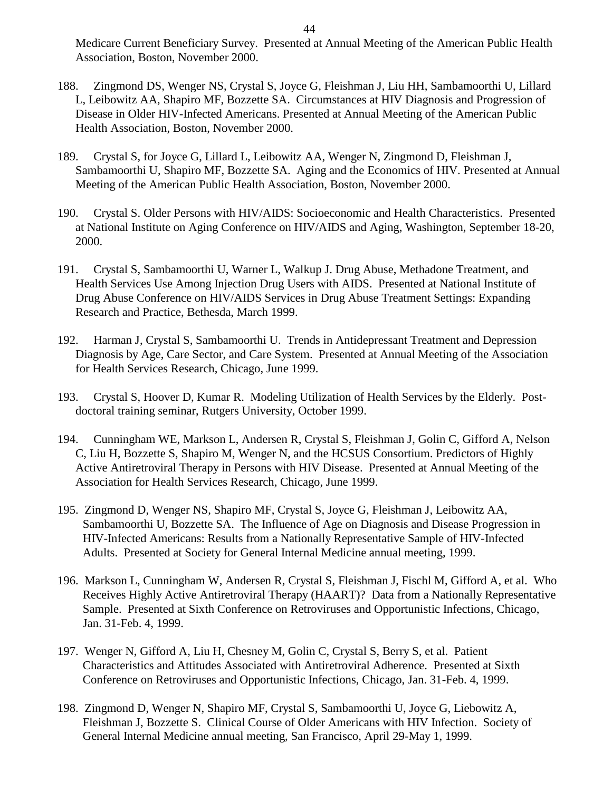Medicare Current Beneficiary Survey. Presented at Annual Meeting of the American Public Health Association, Boston, November 2000.

- 188. Zingmond DS, Wenger NS, Crystal S, Joyce G, Fleishman J, Liu HH, Sambamoorthi U, Lillard L, Leibowitz AA, Shapiro MF, Bozzette SA. Circumstances at HIV Diagnosis and Progression of Disease in Older HIV-Infected Americans. Presented at Annual Meeting of the American Public Health Association, Boston, November 2000.
- 189. Crystal S, for Joyce G, Lillard L, Leibowitz AA, Wenger N, Zingmond D, Fleishman J, Sambamoorthi U, Shapiro MF, Bozzette SA. Aging and the Economics of HIV. Presented at Annual Meeting of the American Public Health Association, Boston, November 2000.
- 190. Crystal S. Older Persons with HIV/AIDS: Socioeconomic and Health Characteristics. Presented at National Institute on Aging Conference on HIV/AIDS and Aging, Washington, September 18-20, 2000.
- 191. Crystal S, Sambamoorthi U, Warner L, Walkup J. Drug Abuse, Methadone Treatment, and Health Services Use Among Injection Drug Users with AIDS. Presented at National Institute of Drug Abuse Conference on HIV/AIDS Services in Drug Abuse Treatment Settings: Expanding Research and Practice, Bethesda, March 1999.
- 192. Harman J, Crystal S, Sambamoorthi U. Trends in Antidepressant Treatment and Depression Diagnosis by Age, Care Sector, and Care System. Presented at Annual Meeting of the Association for Health Services Research, Chicago, June 1999.
- 193. Crystal S, Hoover D, Kumar R. Modeling Utilization of Health Services by the Elderly. Postdoctoral training seminar, Rutgers University, October 1999.
- 194. Cunningham WE, Markson L, Andersen R, Crystal S, Fleishman J, Golin C, Gifford A, Nelson C, Liu H, Bozzette S, Shapiro M, Wenger N, and the HCSUS Consortium. Predictors of Highly Active Antiretroviral Therapy in Persons with HIV Disease. Presented at Annual Meeting of the Association for Health Services Research, Chicago, June 1999.
- 195. Zingmond D, Wenger NS, Shapiro MF, Crystal S, Joyce G, Fleishman J, Leibowitz AA, Sambamoorthi U, Bozzette SA. The Influence of Age on Diagnosis and Disease Progression in HIV-Infected Americans: Results from a Nationally Representative Sample of HIV-Infected Adults. Presented at Society for General Internal Medicine annual meeting, 1999.
- 196. Markson L, Cunningham W, Andersen R, Crystal S, Fleishman J, Fischl M, Gifford A, et al. Who Receives Highly Active Antiretroviral Therapy (HAART)? Data from a Nationally Representative Sample. Presented at Sixth Conference on Retroviruses and Opportunistic Infections, Chicago, Jan. 31-Feb. 4, 1999.
- 197. Wenger N, Gifford A, Liu H, Chesney M, Golin C, Crystal S, Berry S, et al. Patient Characteristics and Attitudes Associated with Antiretroviral Adherence. Presented at Sixth Conference on Retroviruses and Opportunistic Infections, Chicago, Jan. 31-Feb. 4, 1999.
- 198. Zingmond D, Wenger N, Shapiro MF, Crystal S, Sambamoorthi U, Joyce G, Liebowitz A, Fleishman J, Bozzette S. Clinical Course of Older Americans with HIV Infection. Society of General Internal Medicine annual meeting, San Francisco, April 29-May 1, 1999.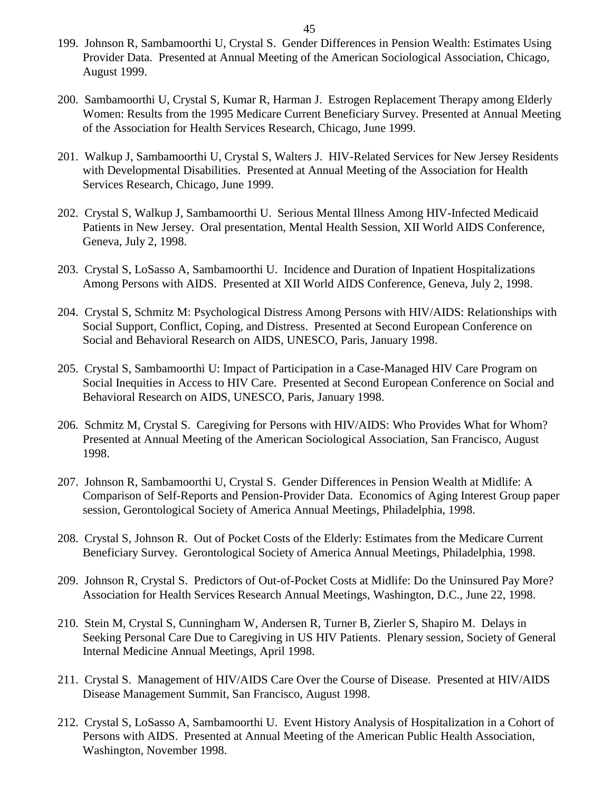- 199. Johnson R, Sambamoorthi U, Crystal S. Gender Differences in Pension Wealth: Estimates Using Provider Data. Presented at Annual Meeting of the American Sociological Association, Chicago, August 1999.
- 200. Sambamoorthi U, Crystal S, Kumar R, Harman J. Estrogen Replacement Therapy among Elderly Women: Results from the 1995 Medicare Current Beneficiary Survey. Presented at Annual Meeting of the Association for Health Services Research, Chicago, June 1999.
- 201. Walkup J, Sambamoorthi U, Crystal S, Walters J. HIV-Related Services for New Jersey Residents with Developmental Disabilities. Presented at Annual Meeting of the Association for Health Services Research, Chicago, June 1999.
- 202. Crystal S, Walkup J, Sambamoorthi U. Serious Mental Illness Among HIV-Infected Medicaid Patients in New Jersey. Oral presentation, Mental Health Session, XII World AIDS Conference, Geneva, July 2, 1998.
- 203. Crystal S, LoSasso A, Sambamoorthi U. Incidence and Duration of Inpatient Hospitalizations Among Persons with AIDS. Presented at XII World AIDS Conference, Geneva, July 2, 1998.
- 204. Crystal S, Schmitz M: Psychological Distress Among Persons with HIV/AIDS: Relationships with Social Support, Conflict, Coping, and Distress. Presented at Second European Conference on Social and Behavioral Research on AIDS, UNESCO, Paris, January 1998.
- 205. Crystal S, Sambamoorthi U: Impact of Participation in a Case-Managed HIV Care Program on Social Inequities in Access to HIV Care. Presented at Second European Conference on Social and Behavioral Research on AIDS, UNESCO, Paris, January 1998.
- 206. Schmitz M, Crystal S. Caregiving for Persons with HIV/AIDS: Who Provides What for Whom? Presented at Annual Meeting of the American Sociological Association, San Francisco, August 1998.
- 207. Johnson R, Sambamoorthi U, Crystal S. Gender Differences in Pension Wealth at Midlife: A Comparison of Self-Reports and Pension-Provider Data. Economics of Aging Interest Group paper session, Gerontological Society of America Annual Meetings, Philadelphia, 1998.
- 208. Crystal S, Johnson R. Out of Pocket Costs of the Elderly: Estimates from the Medicare Current Beneficiary Survey. Gerontological Society of America Annual Meetings, Philadelphia, 1998.
- 209. Johnson R, Crystal S. Predictors of Out-of-Pocket Costs at Midlife: Do the Uninsured Pay More? Association for Health Services Research Annual Meetings, Washington, D.C., June 22, 1998.
- 210. Stein M, Crystal S, Cunningham W, Andersen R, Turner B, Zierler S, Shapiro M. Delays in Seeking Personal Care Due to Caregiving in US HIV Patients. Plenary session, Society of General Internal Medicine Annual Meetings, April 1998.
- 211. Crystal S. Management of HIV/AIDS Care Over the Course of Disease. Presented at HIV/AIDS Disease Management Summit, San Francisco, August 1998.
- 212. Crystal S, LoSasso A, Sambamoorthi U. Event History Analysis of Hospitalization in a Cohort of Persons with AIDS. Presented at Annual Meeting of the American Public Health Association, Washington, November 1998.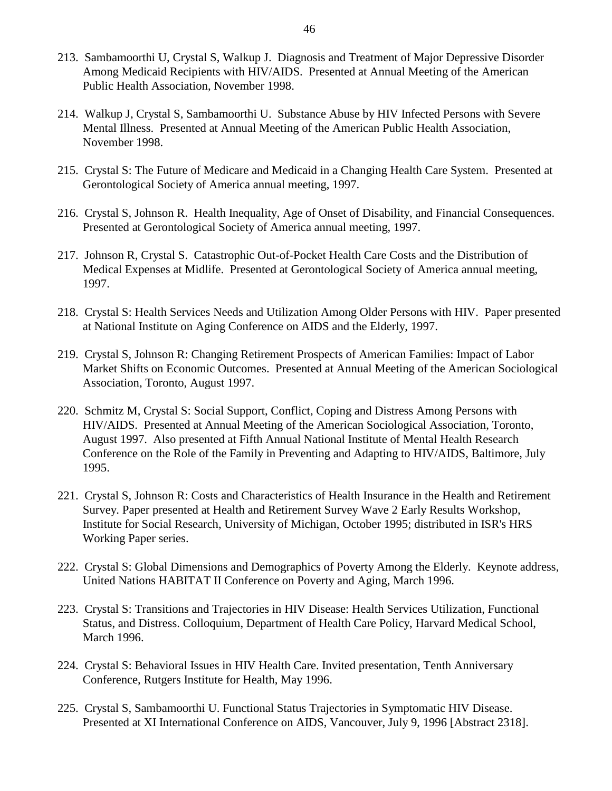- 213. Sambamoorthi U, Crystal S, Walkup J. Diagnosis and Treatment of Major Depressive Disorder Among Medicaid Recipients with HIV/AIDS. Presented at Annual Meeting of the American Public Health Association, November 1998.
- 214. Walkup J, Crystal S, Sambamoorthi U. Substance Abuse by HIV Infected Persons with Severe Mental Illness. Presented at Annual Meeting of the American Public Health Association, November 1998.
- 215. Crystal S: The Future of Medicare and Medicaid in a Changing Health Care System. Presented at Gerontological Society of America annual meeting, 1997.
- 216. Crystal S, Johnson R. Health Inequality, Age of Onset of Disability, and Financial Consequences. Presented at Gerontological Society of America annual meeting, 1997.
- 217. Johnson R, Crystal S. Catastrophic Out-of-Pocket Health Care Costs and the Distribution of Medical Expenses at Midlife. Presented at Gerontological Society of America annual meeting, 1997.
- 218. Crystal S: Health Services Needs and Utilization Among Older Persons with HIV. Paper presented at National Institute on Aging Conference on AIDS and the Elderly, 1997.
- 219. Crystal S, Johnson R: Changing Retirement Prospects of American Families: Impact of Labor Market Shifts on Economic Outcomes. Presented at Annual Meeting of the American Sociological Association, Toronto, August 1997.
- 220. Schmitz M, Crystal S: Social Support, Conflict, Coping and Distress Among Persons with HIV/AIDS. Presented at Annual Meeting of the American Sociological Association, Toronto, August 1997. Also presented at Fifth Annual National Institute of Mental Health Research Conference on the Role of the Family in Preventing and Adapting to HIV/AIDS, Baltimore, July 1995.
- 221. Crystal S, Johnson R: Costs and Characteristics of Health Insurance in the Health and Retirement Survey. Paper presented at Health and Retirement Survey Wave 2 Early Results Workshop, Institute for Social Research, University of Michigan, October 1995; distributed in ISR's HRS Working Paper series.
- 222. Crystal S: Global Dimensions and Demographics of Poverty Among the Elderly. Keynote address, United Nations HABITAT II Conference on Poverty and Aging, March 1996.
- 223. Crystal S: Transitions and Trajectories in HIV Disease: Health Services Utilization, Functional Status, and Distress. Colloquium, Department of Health Care Policy, Harvard Medical School, March 1996.
- 224. Crystal S: Behavioral Issues in HIV Health Care. Invited presentation, Tenth Anniversary Conference, Rutgers Institute for Health, May 1996.
- 225. Crystal S, Sambamoorthi U. Functional Status Trajectories in Symptomatic HIV Disease. Presented at XI International Conference on AIDS, Vancouver, July 9, 1996 [Abstract 2318].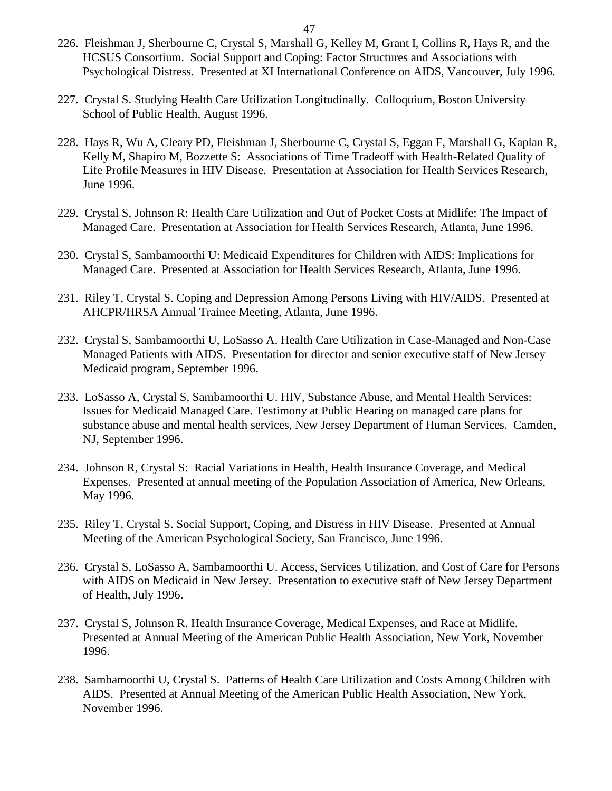- 226. Fleishman J, Sherbourne C, Crystal S, Marshall G, Kelley M, Grant I, Collins R, Hays R, and the HCSUS Consortium. Social Support and Coping: Factor Structures and Associations with Psychological Distress. Presented at XI International Conference on AIDS, Vancouver, July 1996.
- 227. Crystal S. Studying Health Care Utilization Longitudinally. Colloquium, Boston University School of Public Health, August 1996.
- 228. Hays R, Wu A, Cleary PD, Fleishman J, Sherbourne C, Crystal S, Eggan F, Marshall G, Kaplan R, Kelly M, Shapiro M, Bozzette S: Associations of Time Tradeoff with Health-Related Quality of Life Profile Measures in HIV Disease. Presentation at Association for Health Services Research, June 1996.
- 229. Crystal S, Johnson R: Health Care Utilization and Out of Pocket Costs at Midlife: The Impact of Managed Care. Presentation at Association for Health Services Research, Atlanta, June 1996.
- 230. Crystal S, Sambamoorthi U: Medicaid Expenditures for Children with AIDS: Implications for Managed Care. Presented at Association for Health Services Research, Atlanta, June 1996.
- 231. Riley T, Crystal S. Coping and Depression Among Persons Living with HIV/AIDS. Presented at AHCPR/HRSA Annual Trainee Meeting, Atlanta, June 1996.
- 232. Crystal S, Sambamoorthi U, LoSasso A. Health Care Utilization in Case-Managed and Non-Case Managed Patients with AIDS. Presentation for director and senior executive staff of New Jersey Medicaid program, September 1996.
- 233. LoSasso A, Crystal S, Sambamoorthi U. HIV, Substance Abuse, and Mental Health Services: Issues for Medicaid Managed Care. Testimony at Public Hearing on managed care plans for substance abuse and mental health services, New Jersey Department of Human Services. Camden, NJ, September 1996.
- 234. Johnson R, Crystal S: Racial Variations in Health, Health Insurance Coverage, and Medical Expenses. Presented at annual meeting of the Population Association of America, New Orleans, May 1996.
- 235. Riley T, Crystal S. Social Support, Coping, and Distress in HIV Disease. Presented at Annual Meeting of the American Psychological Society, San Francisco, June 1996.
- 236. Crystal S, LoSasso A, Sambamoorthi U. Access, Services Utilization, and Cost of Care for Persons with AIDS on Medicaid in New Jersey. Presentation to executive staff of New Jersey Department of Health, July 1996.
- 237. Crystal S, Johnson R. Health Insurance Coverage, Medical Expenses, and Race at Midlife. Presented at Annual Meeting of the American Public Health Association, New York, November 1996.
- 238. Sambamoorthi U, Crystal S. Patterns of Health Care Utilization and Costs Among Children with AIDS. Presented at Annual Meeting of the American Public Health Association, New York, November 1996.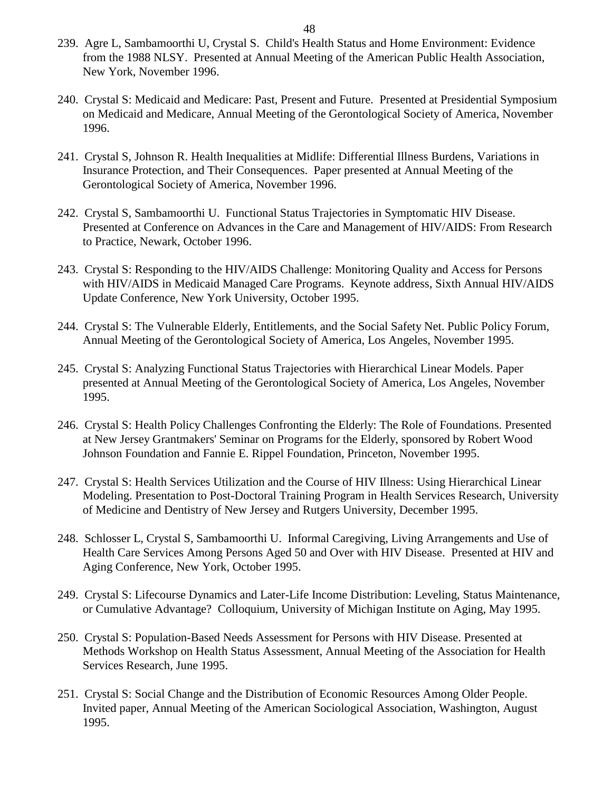- 239. Agre L, Sambamoorthi U, Crystal S. Child's Health Status and Home Environment: Evidence from the 1988 NLSY. Presented at Annual Meeting of the American Public Health Association, New York, November 1996.
- 240. Crystal S: Medicaid and Medicare: Past, Present and Future. Presented at Presidential Symposium on Medicaid and Medicare, Annual Meeting of the Gerontological Society of America, November 1996.
- 241. Crystal S, Johnson R. Health Inequalities at Midlife: Differential Illness Burdens, Variations in Insurance Protection, and Their Consequences. Paper presented at Annual Meeting of the Gerontological Society of America, November 1996.
- 242. Crystal S, Sambamoorthi U. Functional Status Trajectories in Symptomatic HIV Disease. Presented at Conference on Advances in the Care and Management of HIV/AIDS: From Research to Practice, Newark, October 1996.
- 243. Crystal S: Responding to the HIV/AIDS Challenge: Monitoring Quality and Access for Persons with HIV/AIDS in Medicaid Managed Care Programs. Keynote address, Sixth Annual HIV/AIDS Update Conference, New York University, October 1995.
- 244. Crystal S: The Vulnerable Elderly, Entitlements, and the Social Safety Net. Public Policy Forum, Annual Meeting of the Gerontological Society of America, Los Angeles, November 1995.
- 245. Crystal S: Analyzing Functional Status Trajectories with Hierarchical Linear Models. Paper presented at Annual Meeting of the Gerontological Society of America, Los Angeles, November 1995.
- 246. Crystal S: Health Policy Challenges Confronting the Elderly: The Role of Foundations. Presented at New Jersey Grantmakers' Seminar on Programs for the Elderly, sponsored by Robert Wood Johnson Foundation and Fannie E. Rippel Foundation, Princeton, November 1995.
- 247. Crystal S: Health Services Utilization and the Course of HIV Illness: Using Hierarchical Linear Modeling. Presentation to Post-Doctoral Training Program in Health Services Research, University of Medicine and Dentistry of New Jersey and Rutgers University, December 1995.
- 248. Schlosser L, Crystal S, Sambamoorthi U. Informal Caregiving, Living Arrangements and Use of Health Care Services Among Persons Aged 50 and Over with HIV Disease. Presented at HIV and Aging Conference, New York, October 1995.
- 249. Crystal S: Lifecourse Dynamics and Later-Life Income Distribution: Leveling, Status Maintenance, or Cumulative Advantage? Colloquium, University of Michigan Institute on Aging, May 1995.
- 250. Crystal S: Population-Based Needs Assessment for Persons with HIV Disease. Presented at Methods Workshop on Health Status Assessment, Annual Meeting of the Association for Health Services Research, June 1995.
- 251. Crystal S: Social Change and the Distribution of Economic Resources Among Older People. Invited paper, Annual Meeting of the American Sociological Association, Washington, August 1995.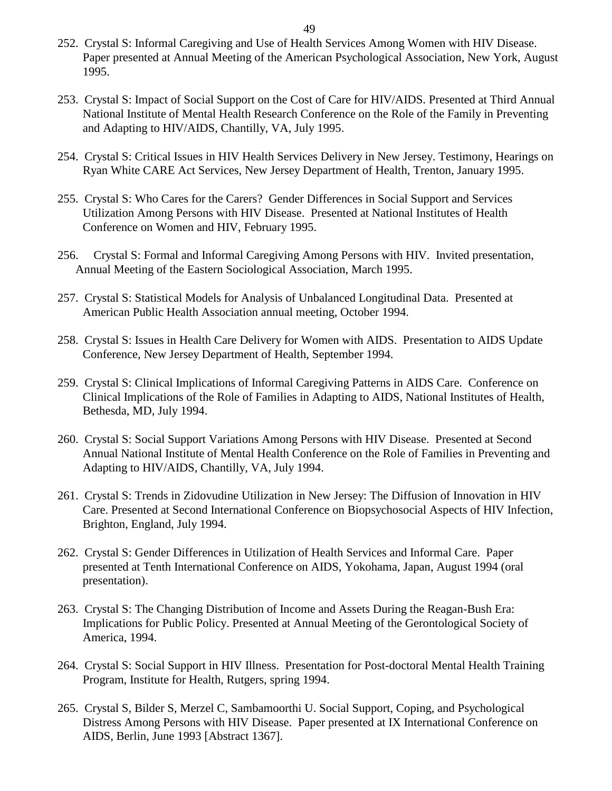- 252. Crystal S: Informal Caregiving and Use of Health Services Among Women with HIV Disease. Paper presented at Annual Meeting of the American Psychological Association, New York, August 1995.
- 253. Crystal S: Impact of Social Support on the Cost of Care for HIV/AIDS. Presented at Third Annual National Institute of Mental Health Research Conference on the Role of the Family in Preventing and Adapting to HIV/AIDS, Chantilly, VA, July 1995.
- 254. Crystal S: Critical Issues in HIV Health Services Delivery in New Jersey. Testimony, Hearings on Ryan White CARE Act Services, New Jersey Department of Health, Trenton, January 1995.
- 255. Crystal S: Who Cares for the Carers? Gender Differences in Social Support and Services Utilization Among Persons with HIV Disease. Presented at National Institutes of Health Conference on Women and HIV, February 1995.
- 256. Crystal S: Formal and Informal Caregiving Among Persons with HIV. Invited presentation, Annual Meeting of the Eastern Sociological Association, March 1995.
- 257. Crystal S: Statistical Models for Analysis of Unbalanced Longitudinal Data. Presented at American Public Health Association annual meeting, October 1994.
- 258. Crystal S: Issues in Health Care Delivery for Women with AIDS. Presentation to AIDS Update Conference, New Jersey Department of Health, September 1994.
- 259. Crystal S: Clinical Implications of Informal Caregiving Patterns in AIDS Care. Conference on Clinical Implications of the Role of Families in Adapting to AIDS, National Institutes of Health, Bethesda, MD, July 1994.
- 260. Crystal S: Social Support Variations Among Persons with HIV Disease. Presented at Second Annual National Institute of Mental Health Conference on the Role of Families in Preventing and Adapting to HIV/AIDS, Chantilly, VA, July 1994.
- 261. Crystal S: Trends in Zidovudine Utilization in New Jersey: The Diffusion of Innovation in HIV Care. Presented at Second International Conference on Biopsychosocial Aspects of HIV Infection, Brighton, England, July 1994.
- 262. Crystal S: Gender Differences in Utilization of Health Services and Informal Care. Paper presented at Tenth International Conference on AIDS, Yokohama, Japan, August 1994 (oral presentation).
- 263. Crystal S: The Changing Distribution of Income and Assets During the Reagan-Bush Era: Implications for Public Policy. Presented at Annual Meeting of the Gerontological Society of America, 1994.
- 264. Crystal S: Social Support in HIV Illness. Presentation for Post-doctoral Mental Health Training Program, Institute for Health, Rutgers, spring 1994.
- 265. Crystal S, Bilder S, Merzel C, Sambamoorthi U. Social Support, Coping, and Psychological Distress Among Persons with HIV Disease. Paper presented at IX International Conference on AIDS, Berlin, June 1993 [Abstract 1367].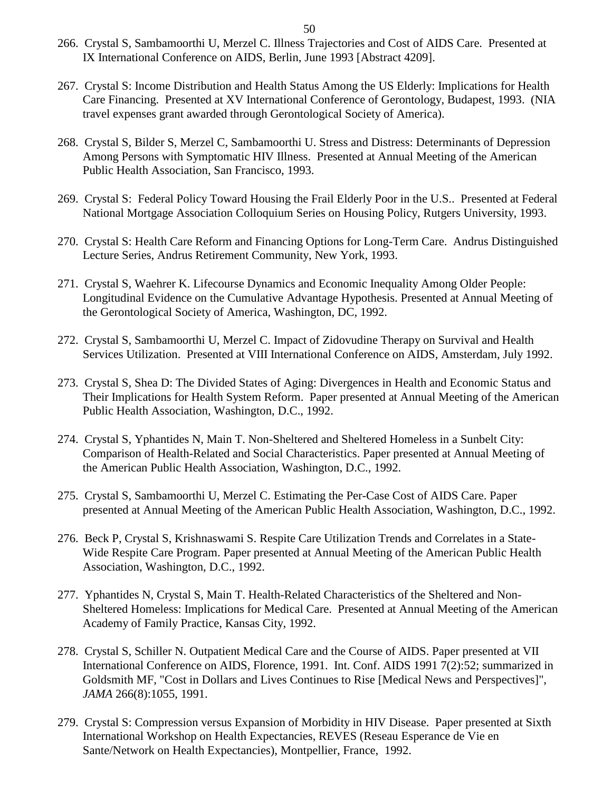- 266. Crystal S, Sambamoorthi U, Merzel C. Illness Trajectories and Cost of AIDS Care. Presented at IX International Conference on AIDS, Berlin, June 1993 [Abstract 4209].
- 267. Crystal S: Income Distribution and Health Status Among the US Elderly: Implications for Health Care Financing. Presented at XV International Conference of Gerontology, Budapest, 1993. (NIA travel expenses grant awarded through Gerontological Society of America).
- 268. Crystal S, Bilder S, Merzel C, Sambamoorthi U. Stress and Distress: Determinants of Depression Among Persons with Symptomatic HIV Illness. Presented at Annual Meeting of the American Public Health Association, San Francisco, 1993.
- 269. Crystal S: Federal Policy Toward Housing the Frail Elderly Poor in the U.S.. Presented at Federal National Mortgage Association Colloquium Series on Housing Policy, Rutgers University, 1993.
- 270. Crystal S: Health Care Reform and Financing Options for Long-Term Care. Andrus Distinguished Lecture Series, Andrus Retirement Community, New York, 1993.
- 271. Crystal S, Waehrer K. Lifecourse Dynamics and Economic Inequality Among Older People: Longitudinal Evidence on the Cumulative Advantage Hypothesis. Presented at Annual Meeting of the Gerontological Society of America, Washington, DC, 1992.
- 272. Crystal S, Sambamoorthi U, Merzel C. Impact of Zidovudine Therapy on Survival and Health Services Utilization. Presented at VIII International Conference on AIDS, Amsterdam, July 1992.
- 273. Crystal S, Shea D: The Divided States of Aging: Divergences in Health and Economic Status and Their Implications for Health System Reform. Paper presented at Annual Meeting of the American Public Health Association, Washington, D.C., 1992.
- 274. Crystal S, Yphantides N, Main T. Non-Sheltered and Sheltered Homeless in a Sunbelt City: Comparison of Health-Related and Social Characteristics. Paper presented at Annual Meeting of the American Public Health Association, Washington, D.C., 1992.
- 275. Crystal S, Sambamoorthi U, Merzel C. Estimating the Per-Case Cost of AIDS Care. Paper presented at Annual Meeting of the American Public Health Association, Washington, D.C., 1992.
- 276. Beck P, Crystal S, Krishnaswami S. Respite Care Utilization Trends and Correlates in a State-Wide Respite Care Program. Paper presented at Annual Meeting of the American Public Health Association, Washington, D.C., 1992.
- 277. Yphantides N, Crystal S, Main T. Health-Related Characteristics of the Sheltered and Non-Sheltered Homeless: Implications for Medical Care. Presented at Annual Meeting of the American Academy of Family Practice, Kansas City, 1992.
- 278. Crystal S, Schiller N. Outpatient Medical Care and the Course of AIDS. Paper presented at VII International Conference on AIDS, Florence, 1991. Int. Conf. AIDS 1991 7(2):52; summarized in Goldsmith MF, "Cost in Dollars and Lives Continues to Rise [Medical News and Perspectives]", *JAMA* 266(8):1055, 1991.
- 279. Crystal S: Compression versus Expansion of Morbidity in HIV Disease. Paper presented at Sixth International Workshop on Health Expectancies, REVES (Reseau Esperance de Vie en Sante/Network on Health Expectancies), Montpellier, France, 1992.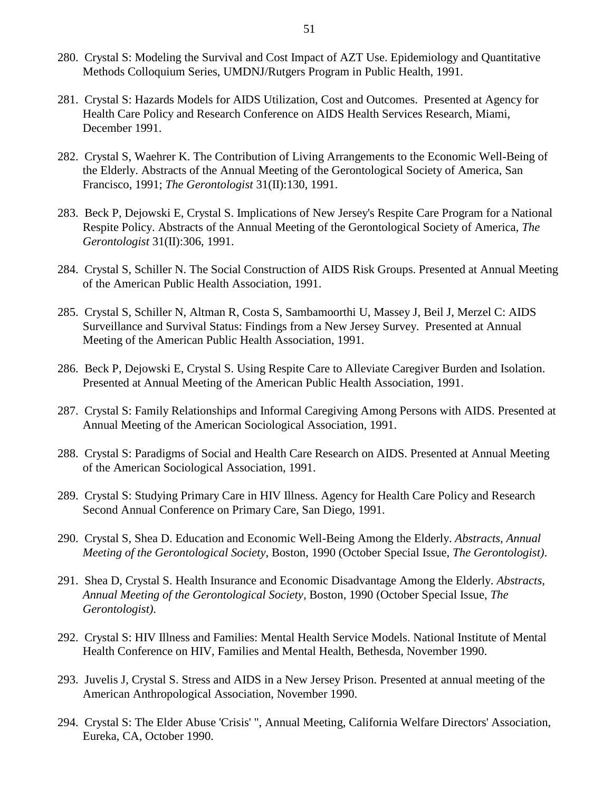- 280. Crystal S: Modeling the Survival and Cost Impact of AZT Use. Epidemiology and Quantitative Methods Colloquium Series, UMDNJ/Rutgers Program in Public Health, 1991.
- 281. Crystal S: Hazards Models for AIDS Utilization, Cost and Outcomes. Presented at Agency for Health Care Policy and Research Conference on AIDS Health Services Research, Miami, December 1991.
- 282. Crystal S, Waehrer K. The Contribution of Living Arrangements to the Economic Well-Being of the Elderly. Abstracts of the Annual Meeting of the Gerontological Society of America, San Francisco, 1991; *The Gerontologist* 31(II):130, 1991.
- 283. Beck P, Dejowski E, Crystal S. Implications of New Jersey's Respite Care Program for a National Respite Policy. Abstracts of the Annual Meeting of the Gerontological Society of America, *The Gerontologist* 31(II):306, 1991.
- 284. Crystal S, Schiller N. The Social Construction of AIDS Risk Groups. Presented at Annual Meeting of the American Public Health Association, 1991.
- 285. Crystal S, Schiller N, Altman R, Costa S, Sambamoorthi U, Massey J, Beil J, Merzel C: AIDS Surveillance and Survival Status: Findings from a New Jersey Survey. Presented at Annual Meeting of the American Public Health Association, 1991.
- 286. Beck P, Dejowski E, Crystal S. Using Respite Care to Alleviate Caregiver Burden and Isolation. Presented at Annual Meeting of the American Public Health Association, 1991.
- 287. Crystal S: Family Relationships and Informal Caregiving Among Persons with AIDS. Presented at Annual Meeting of the American Sociological Association, 1991.
- 288. Crystal S: Paradigms of Social and Health Care Research on AIDS. Presented at Annual Meeting of the American Sociological Association, 1991.
- 289. Crystal S: Studying Primary Care in HIV Illness. Agency for Health Care Policy and Research Second Annual Conference on Primary Care, San Diego, 1991.
- 290. Crystal S, Shea D. Education and Economic Well-Being Among the Elderly. *Abstracts, Annual Meeting of the Gerontological Society,* Boston, 1990 (October Special Issue, *The Gerontologist)*.
- 291. Shea D, Crystal S. Health Insurance and Economic Disadvantage Among the Elderly. *Abstracts, Annual Meeting of the Gerontological Society,* Boston, 1990 (October Special Issue, *The Gerontologist)*.
- 292. Crystal S: HIV Illness and Families: Mental Health Service Models. National Institute of Mental Health Conference on HIV, Families and Mental Health, Bethesda, November 1990.
- 293. Juvelis J, Crystal S. Stress and AIDS in a New Jersey Prison. Presented at annual meeting of the American Anthropological Association, November 1990.
- 294. Crystal S: The Elder Abuse 'Crisis' ", Annual Meeting, California Welfare Directors' Association, Eureka, CA, October 1990.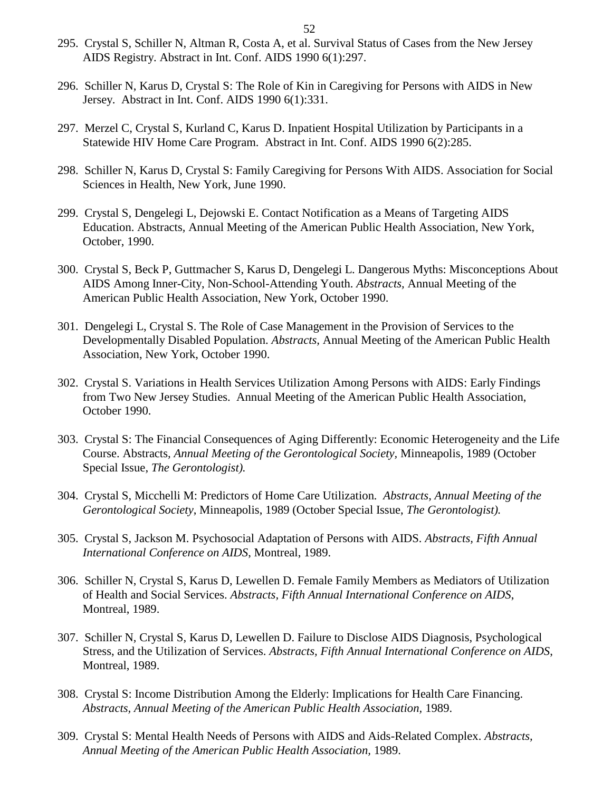- 295. Crystal S, Schiller N, Altman R, Costa A, et al. Survival Status of Cases from the New Jersey AIDS Registry. Abstract in Int. Conf. AIDS 1990 6(1):297.
- 296. Schiller N, Karus D, Crystal S: The Role of Kin in Caregiving for Persons with AIDS in New Jersey. Abstract in Int. Conf. AIDS 1990 6(1):331.
- 297. Merzel C, Crystal S, Kurland C, Karus D. Inpatient Hospital Utilization by Participants in a Statewide HIV Home Care Program. Abstract in Int. Conf. AIDS 1990 6(2):285.
- 298. Schiller N, Karus D, Crystal S: Family Caregiving for Persons With AIDS. Association for Social Sciences in Health, New York, June 1990.
- 299. Crystal S, Dengelegi L, Dejowski E. Contact Notification as a Means of Targeting AIDS Education. Abstracts*,* Annual Meeting of the American Public Health Association, New York, October, 1990.
- 300. Crystal S, Beck P, Guttmacher S, Karus D, Dengelegi L. Dangerous Myths: Misconceptions About AIDS Among Inner-City, Non-School-Attending Youth. *Abstracts,* Annual Meeting of the American Public Health Association, New York, October 1990.
- 301. Dengelegi L, Crystal S. The Role of Case Management in the Provision of Services to the Developmentally Disabled Population. *Abstracts,* Annual Meeting of the American Public Health Association, New York, October 1990.
- 302. Crystal S. Variations in Health Services Utilization Among Persons with AIDS: Early Findings from Two New Jersey Studies. Annual Meeting of the American Public Health Association, October 1990.
- 303. Crystal S: The Financial Consequences of Aging Differently: Economic Heterogeneity and the Life Course. Abstracts*, Annual Meeting of the Gerontological Society,* Minneapolis, 1989 (October Special Issue, *The Gerontologist).*
- 304. Crystal S, Micchelli M: Predictors of Home Care Utilization*. Abstracts, Annual Meeting of the Gerontological Society*, Minneapolis, 1989 (October Special Issue, *The Gerontologist).*
- 305. Crystal S, Jackson M. Psychosocial Adaptation of Persons with AIDS. *Abstracts, Fifth Annual International Conference on AIDS*, Montreal, 1989.
- 306. Schiller N, Crystal S, Karus D, Lewellen D. Female Family Members as Mediators of Utilization of Health and Social Services. *Abstracts, Fifth Annual International Conference on AIDS*, Montreal, 1989.
- 307. Schiller N, Crystal S, Karus D, Lewellen D. Failure to Disclose AIDS Diagnosis, Psychological Stress, and the Utilization of Services. *Abstracts, Fifth Annual International Conference on AIDS*, Montreal, 1989.
- 308. Crystal S: Income Distribution Among the Elderly: Implications for Health Care Financing. *Abstracts, Annual Meeting of the American Public Health Association,* 1989.
- 309. Crystal S: Mental Health Needs of Persons with AIDS and Aids-Related Complex. *Abstracts, Annual Meeting of the American Public Health Association,* 1989.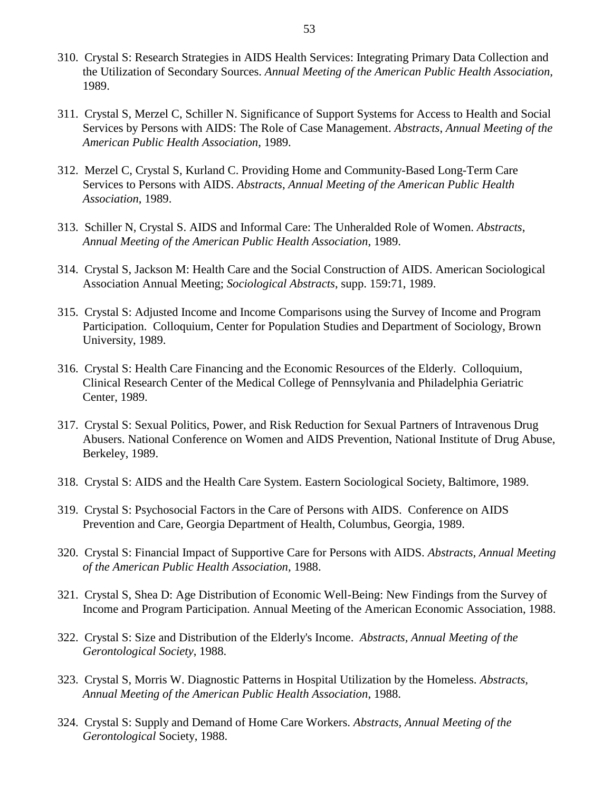- 310. Crystal S: Research Strategies in AIDS Health Services: Integrating Primary Data Collection and the Utilization of Secondary Sources. *Annual Meeting of the American Public Health Association,*  1989.
- 311. Crystal S, Merzel C, Schiller N. Significance of Support Systems for Access to Health and Social Services by Persons with AIDS: The Role of Case Management. *Abstracts*, *Annual Meeting of the American Public Health Association*, 1989.
- 312. Merzel C, Crystal S, Kurland C. Providing Home and Community-Based Long-Term Care Services to Persons with AIDS. *Abstracts*, *Annual Meeting of the American Public Health Association*, 1989.
- 313. Schiller N, Crystal S. AIDS and Informal Care: The Unheralded Role of Women. *Abstracts*, *Annual Meeting of the American Public Health Association*, 1989.
- 314. Crystal S, Jackson M: Health Care and the Social Construction of AIDS. American Sociological Association Annual Meeting; *Sociological Abstracts*, supp. 159:71, 1989.
- 315. Crystal S: Adjusted Income and Income Comparisons using the Survey of Income and Program Participation. Colloquium, Center for Population Studies and Department of Sociology, Brown University, 1989.
- 316. Crystal S: Health Care Financing and the Economic Resources of the Elderly. Colloquium, Clinical Research Center of the Medical College of Pennsylvania and Philadelphia Geriatric Center, 1989.
- 317. Crystal S: Sexual Politics, Power, and Risk Reduction for Sexual Partners of Intravenous Drug Abusers. National Conference on Women and AIDS Prevention, National Institute of Drug Abuse, Berkeley, 1989.
- 318. Crystal S: AIDS and the Health Care System. Eastern Sociological Society, Baltimore, 1989.
- 319. Crystal S: Psychosocial Factors in the Care of Persons with AIDS. Conference on AIDS Prevention and Care, Georgia Department of Health, Columbus, Georgia, 1989.
- 320. Crystal S: Financial Impact of Supportive Care for Persons with AIDS. *Abstracts, Annual Meeting of the American Public Health Association,* 1988.
- 321. Crystal S, Shea D: Age Distribution of Economic Well-Being: New Findings from the Survey of Income and Program Participation. Annual Meeting of the American Economic Association, 1988.
- 322. Crystal S: Size and Distribution of the Elderly's Income. *Abstracts, Annual Meeting of the Gerontological Society*, 1988.
- 323. Crystal S, Morris W. Diagnostic Patterns in Hospital Utilization by the Homeless. *Abstracts, Annual Meeting of the American Public Health Association*, 1988.
- 324. Crystal S: Supply and Demand of Home Care Workers. *Abstracts, Annual Meeting of the Gerontological* Society, 1988.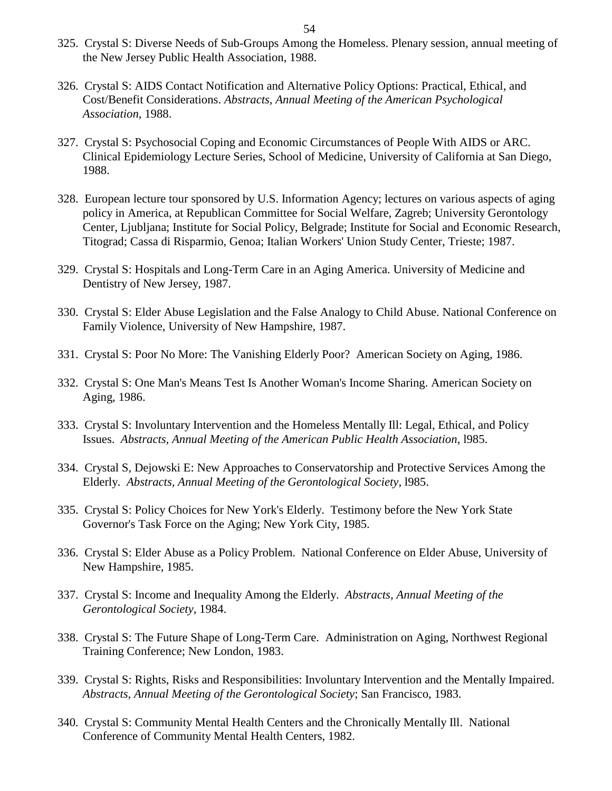- 325. Crystal S: Diverse Needs of Sub-Groups Among the Homeless. Plenary session, annual meeting of the New Jersey Public Health Association, 1988.
- 326. Crystal S: AIDS Contact Notification and Alternative Policy Options: Practical, Ethical, and Cost/Benefit Considerations. *Abstracts, Annual Meeting of the American Psychological Association*, 1988.
- 327. Crystal S: Psychosocial Coping and Economic Circumstances of People With AIDS or ARC. Clinical Epidemiology Lecture Series, School of Medicine, University of California at San Diego, 1988.
- 328. European lecture tour sponsored by U.S. Information Agency; lectures on various aspects of aging policy in America, at Republican Committee for Social Welfare, Zagreb; University Gerontology Center, Ljubljana; Institute for Social Policy, Belgrade; Institute for Social and Economic Research, Titograd; Cassa di Risparmio, Genoa; Italian Workers' Union Study Center, Trieste; 1987.
- 329. Crystal S: Hospitals and Long-Term Care in an Aging America. University of Medicine and Dentistry of New Jersey, 1987.
- 330. Crystal S: Elder Abuse Legislation and the False Analogy to Child Abuse. National Conference on Family Violence, University of New Hampshire, 1987.
- 331. Crystal S: Poor No More: The Vanishing Elderly Poor? American Society on Aging, 1986.
- 332. Crystal S: One Man's Means Test Is Another Woman's Income Sharing. American Society on Aging, 1986.
- 333. Crystal S: Involuntary Intervention and the Homeless Mentally Ill: Legal, Ethical, and Policy Issues. *Abstracts, Annual Meeting of the American Public Health Association*, l985.
- 334. Crystal S, Dejowski E: New Approaches to Conservatorship and Protective Services Among the Elderly. *Abstracts, Annual Meeting of the Gerontological Society*, l985.
- 335. Crystal S: Policy Choices for New York's Elderly. Testimony before the New York State Governor's Task Force on the Aging; New York City, 1985.
- 336. Crystal S: Elder Abuse as a Policy Problem. National Conference on Elder Abuse, University of New Hampshire, 1985.
- 337. Crystal S: Income and Inequality Among the Elderly. *Abstracts, Annual Meeting of the Gerontological Society*, 1984.
- 338. Crystal S: The Future Shape of Long-Term Care. Administration on Aging, Northwest Regional Training Conference; New London, 1983.
- 339. Crystal S: Rights, Risks and Responsibilities: Involuntary Intervention and the Mentally Impaired. *Abstracts, Annual Meeting of the Gerontological Society*; San Francisco, 1983.
- 340. Crystal S: Community Mental Health Centers and the Chronically Mentally Ill. National Conference of Community Mental Health Centers, 1982.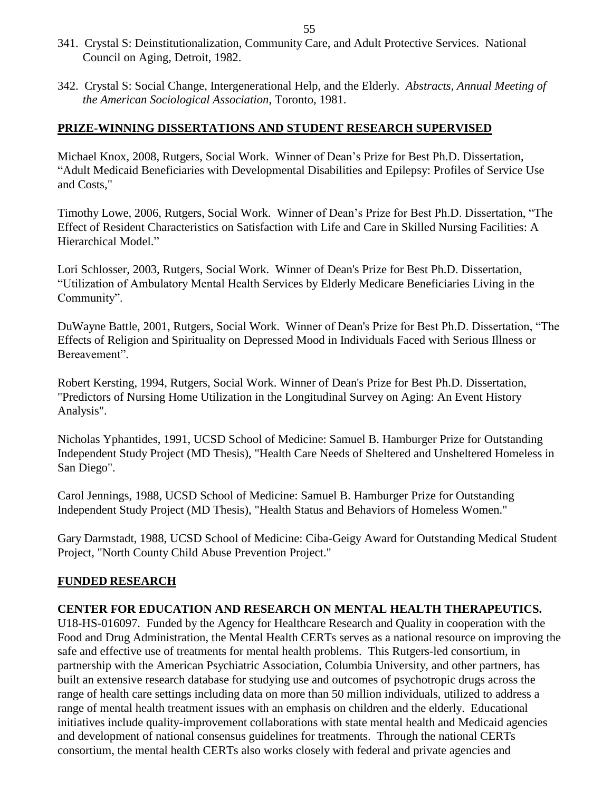- 341. Crystal S: Deinstitutionalization, Community Care, and Adult Protective Services. National Council on Aging, Detroit, 1982.
- 342. Crystal S: Social Change, Intergenerational Help, and the Elderly. *Abstracts, Annual Meeting of the American Sociological Association*, Toronto, 1981.

### **PRIZE-WINNING DISSERTATIONS AND STUDENT RESEARCH SUPERVISED**

Michael Knox, 2008, Rutgers, Social Work. Winner of Dean's Prize for Best Ph.D. Dissertation, "Adult Medicaid Beneficiaries with Developmental Disabilities and Epilepsy: Profiles of Service Use and Costs,"

Timothy Lowe, 2006, Rutgers, Social Work. Winner of Dean's Prize for Best Ph.D. Dissertation, "The Effect of Resident Characteristics on Satisfaction with Life and Care in Skilled Nursing Facilities: A Hierarchical Model."

Lori Schlosser, 2003, Rutgers, Social Work. Winner of Dean's Prize for Best Ph.D. Dissertation, "Utilization of Ambulatory Mental Health Services by Elderly Medicare Beneficiaries Living in the Community".

DuWayne Battle, 2001, Rutgers, Social Work. Winner of Dean's Prize for Best Ph.D. Dissertation, "The Effects of Religion and Spirituality on Depressed Mood in Individuals Faced with Serious Illness or Bereavement".

Robert Kersting, 1994, Rutgers, Social Work. Winner of Dean's Prize for Best Ph.D. Dissertation, "Predictors of Nursing Home Utilization in the Longitudinal Survey on Aging: An Event History Analysis".

Nicholas Yphantides, 1991, UCSD School of Medicine: Samuel B. Hamburger Prize for Outstanding Independent Study Project (MD Thesis), "Health Care Needs of Sheltered and Unsheltered Homeless in San Diego".

Carol Jennings, 1988, UCSD School of Medicine: Samuel B. Hamburger Prize for Outstanding Independent Study Project (MD Thesis), "Health Status and Behaviors of Homeless Women."

Gary Darmstadt, 1988, UCSD School of Medicine: Ciba-Geigy Award for Outstanding Medical Student Project, "North County Child Abuse Prevention Project."

#### **FUNDED RESEARCH**

#### **CENTER FOR EDUCATION AND RESEARCH ON MENTAL HEALTH THERAPEUTICS.**

U18-HS-016097. Funded by the Agency for Healthcare Research and Quality in cooperation with the Food and Drug Administration, the Mental Health CERTs serves as a national resource on improving the safe and effective use of treatments for mental health problems. This Rutgers-led consortium, in partnership with the American Psychiatric Association, Columbia University, and other partners, has built an extensive research database for studying use and outcomes of psychotropic drugs across the range of health care settings including data on more than 50 million individuals, utilized to address a range of mental health treatment issues with an emphasis on children and the elderly. Educational initiatives include quality-improvement collaborations with state mental health and Medicaid agencies and development of national consensus guidelines for treatments. Through the national CERTs consortium, the mental health CERTs also works closely with federal and private agencies and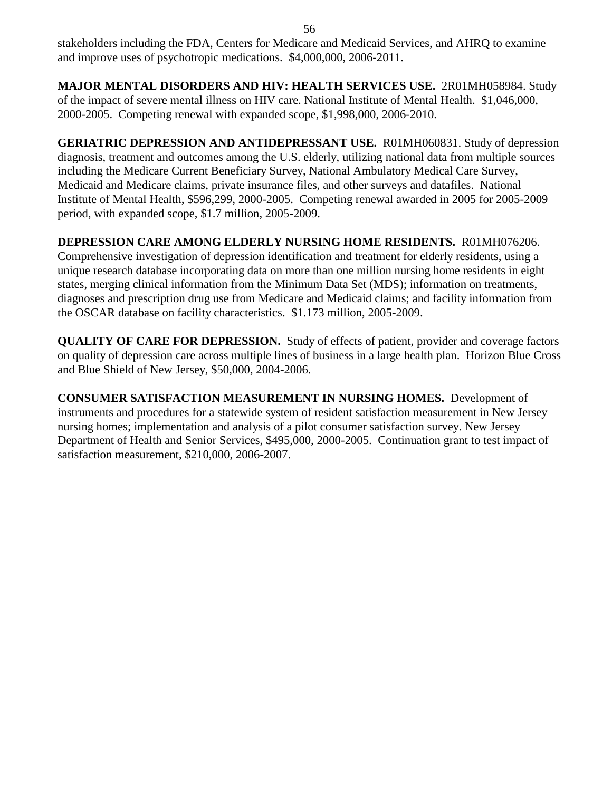stakeholders including the FDA, Centers for Medicare and Medicaid Services, and AHRQ to examine and improve uses of psychotropic medications. \$4,000,000, 2006-2011.

**MAJOR MENTAL DISORDERS AND HIV: HEALTH SERVICES USE.** 2R01MH058984. Study of the impact of severe mental illness on HIV care. National Institute of Mental Health. \$1,046,000, 2000-2005. Competing renewal with expanded scope, \$1,998,000, 2006-2010.

**GERIATRIC DEPRESSION AND ANTIDEPRESSANT USE.** R01MH060831. Study of depression diagnosis, treatment and outcomes among the U.S. elderly, utilizing national data from multiple sources including the Medicare Current Beneficiary Survey, National Ambulatory Medical Care Survey, Medicaid and Medicare claims, private insurance files, and other surveys and datafiles. National Institute of Mental Health, \$596,299, 2000-2005. Competing renewal awarded in 2005 for 2005-2009 period, with expanded scope, \$1.7 million, 2005-2009.

## **DEPRESSION CARE AMONG ELDERLY NURSING HOME RESIDENTS.** R01MH076206.

Comprehensive investigation of depression identification and treatment for elderly residents, using a unique research database incorporating data on more than one million nursing home residents in eight states, merging clinical information from the Minimum Data Set (MDS); information on treatments, diagnoses and prescription drug use from Medicare and Medicaid claims; and facility information from the OSCAR database on facility characteristics. \$1.173 million, 2005-2009.

**QUALITY OF CARE FOR DEPRESSION.** Study of effects of patient, provider and coverage factors on quality of depression care across multiple lines of business in a large health plan. Horizon Blue Cross and Blue Shield of New Jersey, \$50,000, 2004-2006.

**CONSUMER SATISFACTION MEASUREMENT IN NURSING HOMES.** Development of instruments and procedures for a statewide system of resident satisfaction measurement in New Jersey nursing homes; implementation and analysis of a pilot consumer satisfaction survey. New Jersey Department of Health and Senior Services, \$495,000, 2000-2005. Continuation grant to test impact of satisfaction measurement, \$210,000, 2006-2007.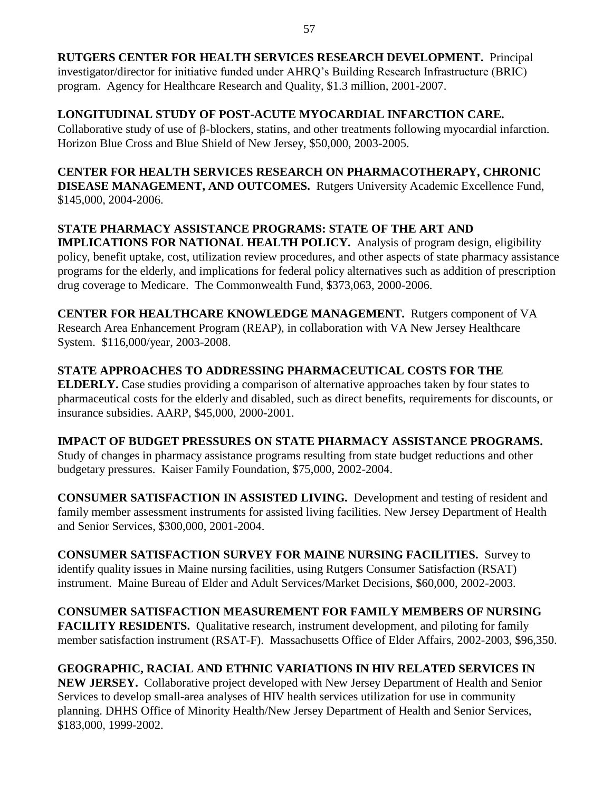## **LONGITUDINAL STUDY OF POST-ACUTE MYOCARDIAL INFARCTION CARE.**

Collaborative study of use of  $\beta$ -blockers, statins, and other treatments following myocardial infarction. Horizon Blue Cross and Blue Shield of New Jersey, \$50,000, 2003-2005.

**CENTER FOR HEALTH SERVICES RESEARCH ON PHARMACOTHERAPY, CHRONIC DISEASE MANAGEMENT, AND OUTCOMES.** Rutgers University Academic Excellence Fund, \$145,000, 2004-2006.

## **STATE PHARMACY ASSISTANCE PROGRAMS: STATE OF THE ART AND**

**IMPLICATIONS FOR NATIONAL HEALTH POLICY.** Analysis of program design, eligibility policy, benefit uptake, cost, utilization review procedures, and other aspects of state pharmacy assistance programs for the elderly, and implications for federal policy alternatives such as addition of prescription drug coverage to Medicare. The Commonwealth Fund, \$373,063, 2000-2006.

**CENTER FOR HEALTHCARE KNOWLEDGE MANAGEMENT.** Rutgers component of VA Research Area Enhancement Program (REAP), in collaboration with VA New Jersey Healthcare System. \$116,000/year, 2003-2008.

## **STATE APPROACHES TO ADDRESSING PHARMACEUTICAL COSTS FOR THE**

**ELDERLY.** Case studies providing a comparison of alternative approaches taken by four states to pharmaceutical costs for the elderly and disabled, such as direct benefits, requirements for discounts, or insurance subsidies. AARP, \$45,000, 2000-2001.

**IMPACT OF BUDGET PRESSURES ON STATE PHARMACY ASSISTANCE PROGRAMS.**  Study of changes in pharmacy assistance programs resulting from state budget reductions and other budgetary pressures. Kaiser Family Foundation, \$75,000, 2002-2004.

**CONSUMER SATISFACTION IN ASSISTED LIVING.** Development and testing of resident and family member assessment instruments for assisted living facilities. New Jersey Department of Health and Senior Services, \$300,000, 2001-2004.

**CONSUMER SATISFACTION SURVEY FOR MAINE NURSING FACILITIES.** Survey to identify quality issues in Maine nursing facilities, using Rutgers Consumer Satisfaction (RSAT) instrument. Maine Bureau of Elder and Adult Services/Market Decisions, \$60,000, 2002-2003.

**CONSUMER SATISFACTION MEASUREMENT FOR FAMILY MEMBERS OF NURSING FACILITY RESIDENTS.** Qualitative research, instrument development, and piloting for family member satisfaction instrument (RSAT-F). Massachusetts Office of Elder Affairs, 2002-2003, \$96,350.

## **GEOGRAPHIC, RACIAL AND ETHNIC VARIATIONS IN HIV RELATED SERVICES IN**

**NEW JERSEY.** Collaborative project developed with New Jersey Department of Health and Senior Services to develop small-area analyses of HIV health services utilization for use in community planning. DHHS Office of Minority Health/New Jersey Department of Health and Senior Services, \$183,000, 1999-2002.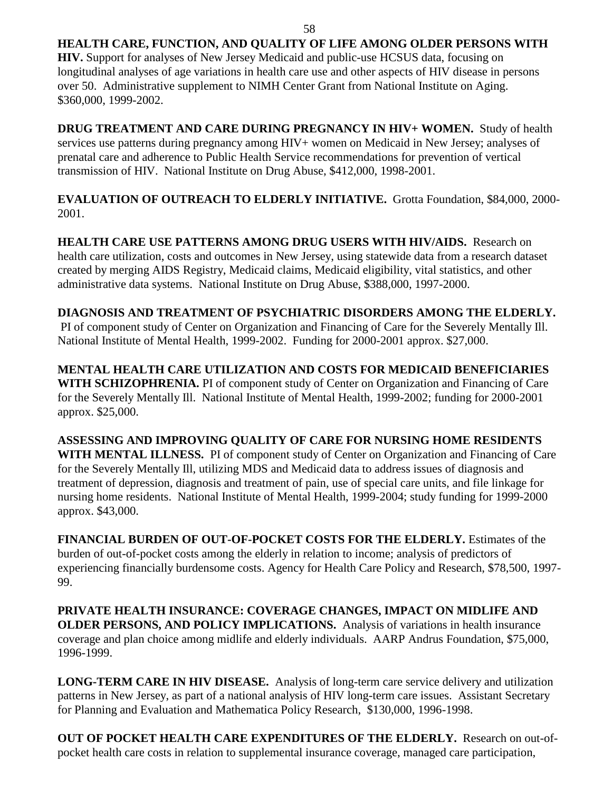## **HEALTH CARE, FUNCTION, AND QUALITY OF LIFE AMONG OLDER PERSONS WITH**

**HIV.** Support for analyses of New Jersey Medicaid and public-use HCSUS data, focusing on longitudinal analyses of age variations in health care use and other aspects of HIV disease in persons over 50. Administrative supplement to NIMH Center Grant from National Institute on Aging. \$360,000, 1999-2002.

**DRUG TREATMENT AND CARE DURING PREGNANCY IN HIV+ WOMEN.** Study of health services use patterns during pregnancy among HIV+ women on Medicaid in New Jersey; analyses of prenatal care and adherence to Public Health Service recommendations for prevention of vertical transmission of HIV. National Institute on Drug Abuse, \$412,000, 1998-2001.

**EVALUATION OF OUTREACH TO ELDERLY INITIATIVE.** Grotta Foundation, \$84,000, 2000- 2001.

**HEALTH CARE USE PATTERNS AMONG DRUG USERS WITH HIV/AIDS.** Research on health care utilization, costs and outcomes in New Jersey, using statewide data from a research dataset created by merging AIDS Registry, Medicaid claims, Medicaid eligibility, vital statistics, and other administrative data systems. National Institute on Drug Abuse, \$388,000, 1997-2000.

**DIAGNOSIS AND TREATMENT OF PSYCHIATRIC DISORDERS AMONG THE ELDERLY.**  PI of component study of Center on Organization and Financing of Care for the Severely Mentally Ill. National Institute of Mental Health, 1999-2002. Funding for 2000-2001 approx. \$27,000.

**MENTAL HEALTH CARE UTILIZATION AND COSTS FOR MEDICAID BENEFICIARIES WITH SCHIZOPHRENIA.** PI of component study of Center on Organization and Financing of Care for the Severely Mentally Ill. National Institute of Mental Health, 1999-2002; funding for 2000-2001 approx. \$25,000.

**ASSESSING AND IMPROVING QUALITY OF CARE FOR NURSING HOME RESIDENTS WITH MENTAL ILLNESS.** PI of component study of Center on Organization and Financing of Care for the Severely Mentally Ill, utilizing MDS and Medicaid data to address issues of diagnosis and treatment of depression, diagnosis and treatment of pain, use of special care units, and file linkage for nursing home residents. National Institute of Mental Health, 1999-2004; study funding for 1999-2000 approx. \$43,000.

**FINANCIAL BURDEN OF OUT-OF-POCKET COSTS FOR THE ELDERLY.** Estimates of the burden of out-of-pocket costs among the elderly in relation to income; analysis of predictors of experiencing financially burdensome costs. Agency for Health Care Policy and Research, \$78,500, 1997- 99.

**PRIVATE HEALTH INSURANCE: COVERAGE CHANGES, IMPACT ON MIDLIFE AND OLDER PERSONS, AND POLICY IMPLICATIONS.** Analysis of variations in health insurance coverage and plan choice among midlife and elderly individuals. AARP Andrus Foundation, \$75,000, 1996-1999.

**LONG-TERM CARE IN HIV DISEASE.** Analysis of long-term care service delivery and utilization patterns in New Jersey, as part of a national analysis of HIV long-term care issues. Assistant Secretary for Planning and Evaluation and Mathematica Policy Research, \$130,000, 1996-1998.

**OUT OF POCKET HEALTH CARE EXPENDITURES OF THE ELDERLY.** Research on out-ofpocket health care costs in relation to supplemental insurance coverage, managed care participation,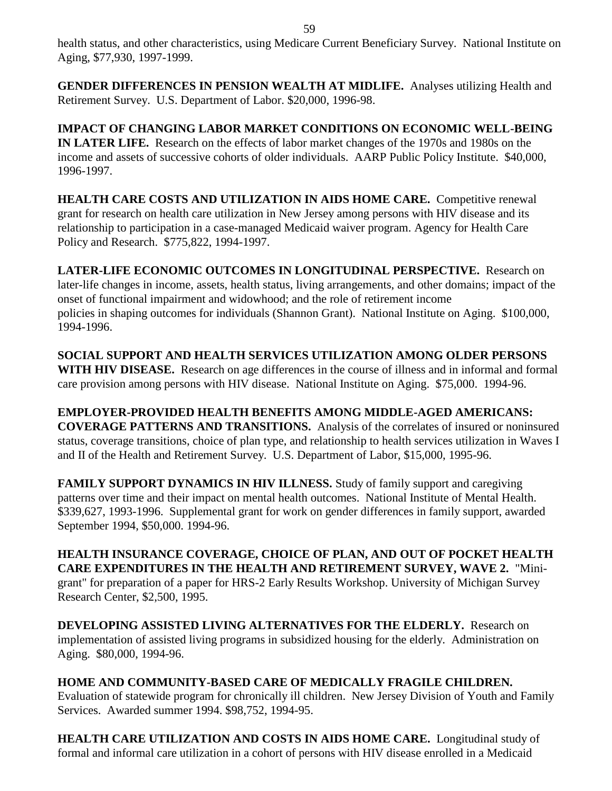health status, and other characteristics, using Medicare Current Beneficiary Survey. National Institute on Aging, \$77,930, 1997-1999.

**GENDER DIFFERENCES IN PENSION WEALTH AT MIDLIFE.** Analyses utilizing Health and Retirement Survey. U.S. Department of Labor. \$20,000, 1996-98.

**IMPACT OF CHANGING LABOR MARKET CONDITIONS ON ECONOMIC WELL-BEING IN LATER LIFE.** Research on the effects of labor market changes of the 1970s and 1980s on the income and assets of successive cohorts of older individuals. AARP Public Policy Institute. \$40,000, 1996-1997.

**HEALTH CARE COSTS AND UTILIZATION IN AIDS HOME CARE.** Competitive renewal grant for research on health care utilization in New Jersey among persons with HIV disease and its relationship to participation in a case-managed Medicaid waiver program. Agency for Health Care Policy and Research. \$775,822, 1994-1997.

**LATER-LIFE ECONOMIC OUTCOMES IN LONGITUDINAL PERSPECTIVE.** Research on later-life changes in income, assets, health status, living arrangements, and other domains; impact of the onset of functional impairment and widowhood; and the role of retirement income policies in shaping outcomes for individuals (Shannon Grant). National Institute on Aging. \$100,000, 1994-1996.

**SOCIAL SUPPORT AND HEALTH SERVICES UTILIZATION AMONG OLDER PERSONS WITH HIV DISEASE.** Research on age differences in the course of illness and in informal and formal care provision among persons with HIV disease. National Institute on Aging. \$75,000. 1994-96.

**EMPLOYER-PROVIDED HEALTH BENEFITS AMONG MIDDLE-AGED AMERICANS: COVERAGE PATTERNS AND TRANSITIONS.** Analysis of the correlates of insured or noninsured status, coverage transitions, choice of plan type, and relationship to health services utilization in Waves I and II of the Health and Retirement Survey. U.S. Department of Labor, \$15,000, 1995-96.

**FAMILY SUPPORT DYNAMICS IN HIV ILLNESS.** Study of family support and caregiving patterns over time and their impact on mental health outcomes. National Institute of Mental Health. \$339,627, 1993-1996. Supplemental grant for work on gender differences in family support, awarded September 1994, \$50,000. 1994-96.

**HEALTH INSURANCE COVERAGE, CHOICE OF PLAN, AND OUT OF POCKET HEALTH CARE EXPENDITURES IN THE HEALTH AND RETIREMENT SURVEY, WAVE 2.** "Minigrant" for preparation of a paper for HRS-2 Early Results Workshop. University of Michigan Survey Research Center, \$2,500, 1995.

**DEVELOPING ASSISTED LIVING ALTERNATIVES FOR THE ELDERLY.** Research on implementation of assisted living programs in subsidized housing for the elderly. Administration on Aging. \$80,000, 1994-96.

**HOME AND COMMUNITY-BASED CARE OF MEDICALLY FRAGILE CHILDREN.**  Evaluation of statewide program for chronically ill children. New Jersey Division of Youth and Family Services. Awarded summer 1994. \$98,752, 1994-95.

**HEALTH CARE UTILIZATION AND COSTS IN AIDS HOME CARE.** Longitudinal study of formal and informal care utilization in a cohort of persons with HIV disease enrolled in a Medicaid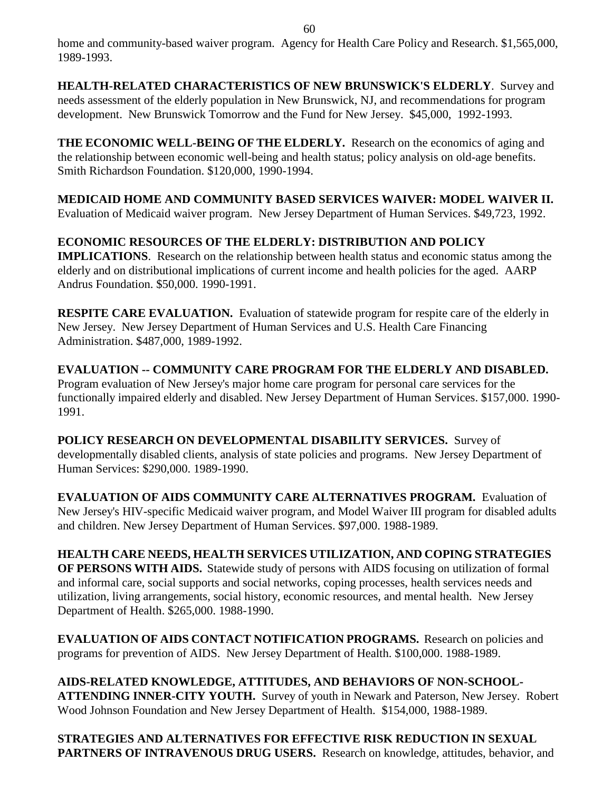home and community-based waiver program. Agency for Health Care Policy and Research. \$1,565,000, 1989-1993.

**HEALTH-RELATED CHARACTERISTICS OF NEW BRUNSWICK'S ELDERLY**. Survey and needs assessment of the elderly population in New Brunswick, NJ, and recommendations for program development. New Brunswick Tomorrow and the Fund for New Jersey. \$45,000, 1992-1993.

**THE ECONOMIC WELL-BEING OF THE ELDERLY.** Research on the economics of aging and the relationship between economic well-being and health status; policy analysis on old-age benefits. Smith Richardson Foundation. \$120,000, 1990-1994.

**MEDICAID HOME AND COMMUNITY BASED SERVICES WAIVER: MODEL WAIVER II.**  Evaluation of Medicaid waiver program. New Jersey Department of Human Services. \$49,723, 1992.

# **ECONOMIC RESOURCES OF THE ELDERLY: DISTRIBUTION AND POLICY**

**IMPLICATIONS**. Research on the relationship between health status and economic status among the elderly and on distributional implications of current income and health policies for the aged. AARP Andrus Foundation. \$50,000. 1990-1991.

**RESPITE CARE EVALUATION.** Evaluation of statewide program for respite care of the elderly in New Jersey. New Jersey Department of Human Services and U.S. Health Care Financing Administration. \$487,000, 1989-1992.

**EVALUATION -- COMMUNITY CARE PROGRAM FOR THE ELDERLY AND DISABLED.** Program evaluation of New Jersey's major home care program for personal care services for the functionally impaired elderly and disabled. New Jersey Department of Human Services. \$157,000. 1990- 1991.

**POLICY RESEARCH ON DEVELOPMENTAL DISABILITY SERVICES.** Survey of developmentally disabled clients, analysis of state policies and programs.New Jersey Department of Human Services: \$290,000. 1989-1990.

**EVALUATION OF AIDS COMMUNITY CARE ALTERNATIVES PROGRAM.** Evaluation of New Jersey's HIV-specific Medicaid waiver program, and Model Waiver III program for disabled adults and children. New Jersey Department of Human Services. \$97,000. 1988-1989.

**HEALTH CARE NEEDS, HEALTH SERVICES UTILIZATION, AND COPING STRATEGIES OF PERSONS WITH AIDS.** Statewide study of persons with AIDS focusing on utilization of formal and informal care, social supports and social networks, coping processes, health services needs and utilization, living arrangements, social history, economic resources, and mental health. New Jersey Department of Health. \$265,000. 1988-1990.

**EVALUATION OF AIDS CONTACT NOTIFICATION PROGRAMS.** Research on policies and programs for prevention of AIDS. New Jersey Department of Health. \$100,000. 1988-1989.

**AIDS-RELATED KNOWLEDGE, ATTITUDES, AND BEHAVIORS OF NON-SCHOOL-ATTENDING INNER-CITY YOUTH.** Survey of youth in Newark and Paterson, New Jersey. Robert Wood Johnson Foundation and New Jersey Department of Health.\$154,000, 1988-1989.

**STRATEGIES AND ALTERNATIVES FOR EFFECTIVE RISK REDUCTION IN SEXUAL PARTNERS OF INTRAVENOUS DRUG USERS.** Research on knowledge, attitudes, behavior, and